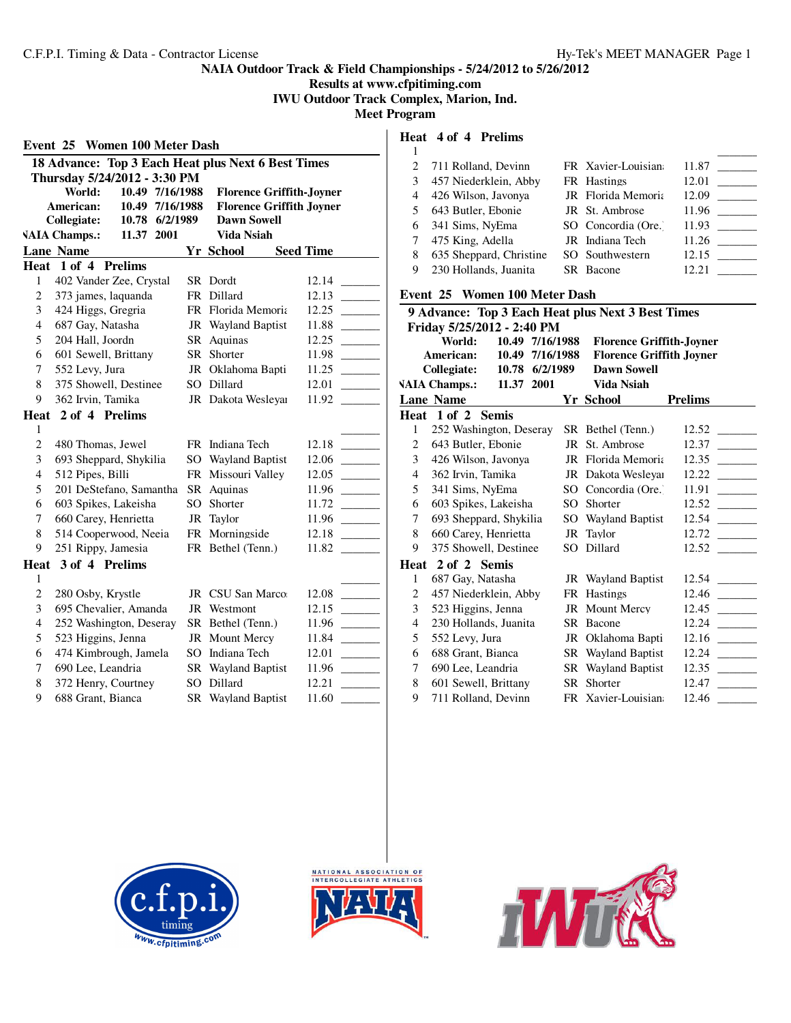**Results at www.cfpitiming.com IWU Outdoor Track Complex, Marion, Ind.**

**Meet Program**

|                                                                 | Event 25 Women 100 Meter Dash                      |  |                           |                  |  |  |  |  |  |
|-----------------------------------------------------------------|----------------------------------------------------|--|---------------------------|------------------|--|--|--|--|--|
|                                                                 | 18 Advance: Top 3 Each Heat plus Next 6 Best Times |  |                           |                  |  |  |  |  |  |
|                                                                 | Thursday 5/24/2012 - 3:30 PM                       |  |                           |                  |  |  |  |  |  |
| World:<br>10.49 7/16/1988<br><b>Florence Griffith-Joyner</b>    |                                                    |  |                           |                  |  |  |  |  |  |
| American:<br>10.49 7/16/1988<br><b>Florence Griffith Joyner</b> |                                                    |  |                           |                  |  |  |  |  |  |
|                                                                 | Collegiate:<br>10.78 6/2/1989                      |  | <b>Dawn Sowell</b>        |                  |  |  |  |  |  |
|                                                                 | <b>VAIA Champs.:</b><br>11.37 2001                 |  | Vida Nsiah                |                  |  |  |  |  |  |
|                                                                 | <b>Lane Name</b>                                   |  | Yr School                 | <b>Seed Time</b> |  |  |  |  |  |
|                                                                 | Heat 1 of 4 Prelims                                |  |                           |                  |  |  |  |  |  |
| 1                                                               | 402 Vander Zee, Crystal                            |  | SR Dordt                  | 12.14            |  |  |  |  |  |
| $\mathbf{2}$                                                    | 373 james, laquanda                                |  | FR Dillard                | 12.13            |  |  |  |  |  |
| 3                                                               | 424 Higgs, Gregria                                 |  | FR Florida Memoria        | 12.25            |  |  |  |  |  |
| $\overline{4}$                                                  | 687 Gay, Natasha                                   |  | <b>JR</b> Wayland Baptist | 11.88            |  |  |  |  |  |
| 5                                                               | 204 Hall, Joordn                                   |  | SR Aquinas                | 12.25            |  |  |  |  |  |
| 6                                                               | 601 Sewell, Brittany                               |  | SR Shorter                | 11.98            |  |  |  |  |  |
| 7                                                               | 552 Levy, Jura                                     |  | JR Oklahoma Bapti         | 11.25            |  |  |  |  |  |
| 8                                                               | 375 Showell, Destinee                              |  | SO Dillard                | 12.01            |  |  |  |  |  |
| 9                                                               | 362 Irvin, Tamika                                  |  | JR Dakota Wesleyar        | 11.92            |  |  |  |  |  |
|                                                                 | Heat 2 of 4 Prelims                                |  |                           |                  |  |  |  |  |  |
| 1                                                               |                                                    |  |                           |                  |  |  |  |  |  |
| $\overline{c}$                                                  | 480 Thomas, Jewel                                  |  | FR Indiana Tech           | 12.18            |  |  |  |  |  |
| 3                                                               | 693 Sheppard, Shykilia                             |  | SO Wayland Baptist        | 12.06            |  |  |  |  |  |
| $\overline{4}$                                                  | 512 Pipes, Billi                                   |  | FR Missouri Valley        | 12.05            |  |  |  |  |  |
| 5                                                               | 201 DeStefano, Samantha                            |  | SR Aquinas                | 11.96            |  |  |  |  |  |
| 6                                                               | 603 Spikes, Lakeisha                               |  | SO Shorter                | 11.72            |  |  |  |  |  |
| 7                                                               | 660 Carey, Henrietta                               |  | JR Taylor                 | 11.96            |  |  |  |  |  |
| 8                                                               | 514 Cooperwood, Neeia                              |  | FR Morningside            | 12.18            |  |  |  |  |  |
| 9                                                               | 251 Rippy, Jamesia                                 |  | FR Bethel (Tenn.)         | 11.82            |  |  |  |  |  |
|                                                                 | Heat 3 of 4 Prelims                                |  |                           |                  |  |  |  |  |  |
| 1                                                               |                                                    |  |                           |                  |  |  |  |  |  |
| $\overline{c}$                                                  | 280 Osby, Krystle                                  |  | JR CSU San Marco          | 12.08            |  |  |  |  |  |
| 3                                                               | 695 Chevalier, Amanda                              |  | JR Westmont               | 12.15            |  |  |  |  |  |
| $\overline{4}$                                                  | 252 Washington, Deseray                            |  | SR Bethel (Tenn.)         | 11.96            |  |  |  |  |  |
| 5                                                               | 523 Higgins, Jenna                                 |  | JR Mount Mercy            | 11.84            |  |  |  |  |  |
| 6                                                               | 474 Kimbrough, Jamela                              |  | SO Indiana Tech           | 12.01            |  |  |  |  |  |
| 7                                                               | 690 Lee, Leandria                                  |  | <b>SR</b> Wayland Baptist | 11.96            |  |  |  |  |  |
| 8                                                               | 372 Henry, Courtney                                |  | SO Dillard                | 12.21            |  |  |  |  |  |
| 9                                                               | 688 Grant, Bianca                                  |  | SR Wayland Baptist        | 11.60            |  |  |  |  |  |

**Heat 4 of 4 Prelims**

|   | 2 711 Rolland, Devinn         | FR Xavier-Louisian  | 11.87 |
|---|-------------------------------|---------------------|-------|
| 3 | 457 Niederklein, Abby         | FR Hastings         | 12.01 |
| 4 | 426 Wilson, Javonya           | JR Florida Memoria  | 12.09 |
| 5 | 643 Butler, Ebonie            | JR St. Ambrose      | 11.96 |
| 6 | 341 Sims, NyEma               | SO Concordia (Ore.) | 11.93 |
|   | 475 King, Adella              | JR Indiana Tech     | 11.26 |
| 8 | 635 Sheppard, Christine       | SO Southwestern     | 12.15 |
| 9 | 230 Hollands, Juanita         | SR Bacone           | 12.21 |
|   | Event 25 Women 100 Meter Dash |                     |       |

|                                                                                                              | 9 Advance: Top 3 Each Heat plus Next 3 Best Times |                         |      |     |                           |         |  |  |  |
|--------------------------------------------------------------------------------------------------------------|---------------------------------------------------|-------------------------|------|-----|---------------------------|---------|--|--|--|
|                                                                                                              | Friday 5/25/2012 - 2:40 PM                        |                         |      |     |                           |         |  |  |  |
| 10.49 7/16/1988<br>World:<br><b>Florence Griffith-Joyner</b><br>7/16/1988<br><b>Florence Griffith Joyner</b> |                                                   |                         |      |     |                           |         |  |  |  |
|                                                                                                              | American:                                         | 10.49<br>10.78 6/2/1989 |      |     | <b>Dawn Sowell</b>        |         |  |  |  |
|                                                                                                              | <b>Collegiate:</b><br><b>VAIA Champs.:</b>        | 11.37                   | 2001 |     | Vida Nsiah                |         |  |  |  |
|                                                                                                              | <b>Lane Name</b>                                  |                         |      |     |                           |         |  |  |  |
| Heat                                                                                                         | $1$ of $2$                                        | <b>Semis</b>            |      |     | Yr School                 | Prelims |  |  |  |
| 1                                                                                                            | 252 Washington, Deseray                           |                         |      |     | SR Bethel (Tenn.)         | 12.52   |  |  |  |
| 2                                                                                                            | 643 Butler, Ebonie                                |                         |      | JR  | St. Ambrose               | 12.37   |  |  |  |
| 3                                                                                                            | 426 Wilson, Javonya                               |                         |      | JR  | Florida Memoria           | 12.35   |  |  |  |
| $\overline{4}$                                                                                               | 362 Irvin, Tamika                                 |                         |      |     | JR Dakota Wesleyar        | 12.22   |  |  |  |
| 5                                                                                                            | 341 Sims, NyEma                                   |                         |      |     | SO Concordia (Ore.)       | 11.91   |  |  |  |
| 6                                                                                                            | 603 Spikes, Lakeisha                              |                         |      | SO. | Shorter                   | 12.52   |  |  |  |
| 7                                                                                                            | 693 Sheppard, Shykilia                            |                         |      |     | SO Wayland Baptist        | 12.54   |  |  |  |
| 8                                                                                                            | 660 Carey, Henrietta                              |                         |      |     | JR Taylor                 | 12.72   |  |  |  |
| 9                                                                                                            |                                                   |                         |      |     | SO Dillard                | 12.52   |  |  |  |
|                                                                                                              | 375 Showell, Destinee<br>Heat 2 of 2 Semis        |                         |      |     |                           |         |  |  |  |
|                                                                                                              |                                                   |                         |      |     |                           |         |  |  |  |
| 1                                                                                                            | 687 Gay, Natasha                                  |                         |      |     | <b>JR</b> Wayland Baptist | 12.54   |  |  |  |
| $\overline{2}$                                                                                               | 457 Niederklein, Abby                             |                         |      |     | FR Hastings               | 12.46   |  |  |  |
| 3                                                                                                            | 523 Higgins, Jenna                                |                         |      |     | JR Mount Mercy            | 12.45   |  |  |  |
| 4                                                                                                            | 230 Hollands, Juanita                             |                         |      |     | SR Bacone                 | 12.24   |  |  |  |
| 5                                                                                                            | 552 Levy, Jura                                    |                         |      | JR  | Oklahoma Bapti            | 12.16   |  |  |  |
| 6                                                                                                            | 688 Grant, Bianca                                 |                         |      |     | <b>SR</b> Wayland Baptist | 12.24   |  |  |  |
| 7                                                                                                            | 690 Lee, Leandria                                 |                         |      |     | <b>SR</b> Wayland Baptist | 12.35   |  |  |  |
| 8                                                                                                            | 601 Sewell, Brittany                              |                         |      | SR  | Shorter                   | 12.47   |  |  |  |
| 9                                                                                                            | 711 Rolland, Devinn                               |                         |      |     | FR Xavier-Louisian        | 12.46   |  |  |  |





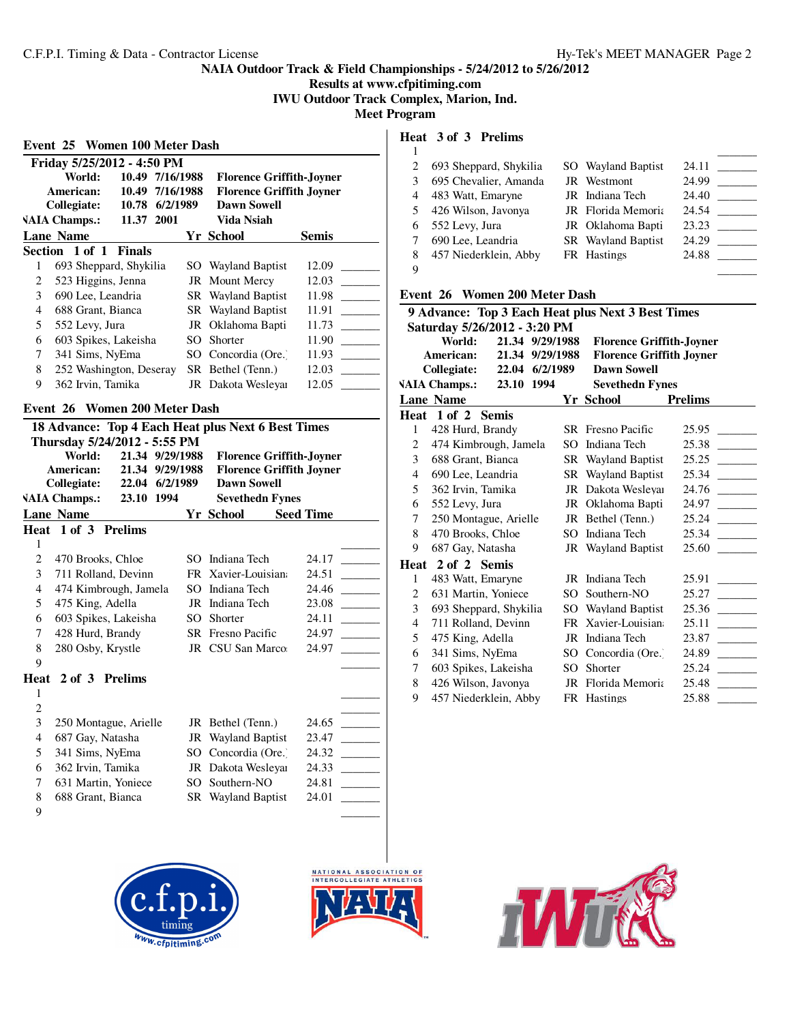# **Results at www.cfpitiming.com IWU Outdoor Track Complex, Marion, Ind.**

**Meet Program**

| Friday 5/25/2012 - 4:50 PM                                      |                         |  |       |                                 |  |                           |       |  |
|-----------------------------------------------------------------|-------------------------|--|-------|---------------------------------|--|---------------------------|-------|--|
| World:<br>10.49<br>7/16/1988<br><b>Florence Griffith-Joyner</b> |                         |  |       |                                 |  |                           |       |  |
| 10.49<br>7/16/1988<br>American:                                 |                         |  |       | <b>Florence Griffith Joyner</b> |  |                           |       |  |
|                                                                 | Collegiate:             |  | 10.78 | 6/2/1989                        |  | <b>Dawn Sowell</b>        |       |  |
| <b>VAIA Champs.:</b><br>11.37 2001                              |                         |  |       |                                 |  | Vida Nsiah                |       |  |
|                                                                 | <b>Lane Name</b>        |  |       |                                 |  | Yr School                 | Semis |  |
|                                                                 | Section 1 of 1 Finals   |  |       |                                 |  |                           |       |  |
| 1                                                               | 693 Sheppard, Shykilia  |  |       |                                 |  | SO Wayland Baptist        | 12.09 |  |
| 2                                                               | 523 Higgins, Jenna      |  |       |                                 |  | JR Mount Mercy            | 12.03 |  |
| 3                                                               | 690 Lee, Leandria       |  |       |                                 |  | <b>SR</b> Wayland Baptist | 11.98 |  |
| 4                                                               | 688 Grant, Bianca       |  |       |                                 |  | <b>SR</b> Wayland Baptist | 11.91 |  |
| 5                                                               | 552 Levy, Jura          |  |       |                                 |  | JR Oklahoma Bapti         | 11.73 |  |
| 6                                                               | 603 Spikes, Lakeisha    |  |       |                                 |  | SO Shorter                | 11.90 |  |
| 7                                                               | 341 Sims, NyEma         |  |       |                                 |  | SO Concordia (Ore.)       | 11.93 |  |
| 8                                                               | 252 Washington, Deseray |  |       |                                 |  | SR Bethel (Tenn.)         | 12.03 |  |
| 9                                                               | 362 Irvin, Tamika       |  |       |                                 |  | JR Dakota Wesleyar        | 12.05 |  |

#### **Event 26 Women 200 Meter Dash**

| 18 Advance: Top 4 Each Heat plus Next 6 Best Times              |                              |       |           |     |                                 |                  |       |  |
|-----------------------------------------------------------------|------------------------------|-------|-----------|-----|---------------------------------|------------------|-------|--|
|                                                                 | Thursday 5/24/2012 - 5:55 PM |       |           |     |                                 |                  |       |  |
| World:<br>21.34<br>9/29/1988<br><b>Florence Griffith-Joyner</b> |                              |       |           |     |                                 |                  |       |  |
|                                                                 | American:                    | 21.34 | 9/29/1988 |     | <b>Florence Griffith Joyner</b> |                  |       |  |
|                                                                 | <b>Collegiate:</b>           | 22.04 | 6/2/1989  |     | <b>Dawn Sowell</b>              |                  |       |  |
|                                                                 | <b>VAIA Champs.:</b>         | 23.10 | 1994      |     | <b>Sevethedn Fynes</b>          |                  |       |  |
|                                                                 | <b>Lane Name</b>             |       |           |     | Yr School                       | <b>Seed Time</b> |       |  |
|                                                                 | Heat 1 of 3 Prelims          |       |           |     |                                 |                  |       |  |
| 1                                                               |                              |       |           |     |                                 |                  |       |  |
| $\overline{c}$                                                  | 470 Brooks, Chloe            |       |           | SO. | Indiana Tech                    |                  | 24.17 |  |
| 3                                                               | 711 Rolland, Devinn          |       |           |     | FR Xavier-Louisian              |                  | 24.51 |  |
| $\overline{4}$                                                  | 474 Kimbrough, Jamela        |       |           | SO. | Indiana Tech                    |                  | 24.46 |  |
| 5                                                               | 475 King, Adella             |       |           | JR  | Indiana Tech                    |                  | 23.08 |  |
| 6                                                               | 603 Spikes, Lakeisha         |       |           | SO. | Shorter                         |                  | 24.11 |  |
| 7                                                               | 428 Hurd, Brandy             |       |           |     | <b>SR</b> Fresno Pacific        |                  | 24.97 |  |
| 8                                                               | 280 Osby, Krystle            |       |           |     | JR CSU San Marco:               |                  | 24.97 |  |
| 9                                                               |                              |       |           |     |                                 |                  |       |  |
|                                                                 | Heat 2 of 3 Prelims          |       |           |     |                                 |                  |       |  |
| 1                                                               |                              |       |           |     |                                 |                  |       |  |
| 2                                                               |                              |       |           |     |                                 |                  |       |  |
| 3                                                               | 250 Montague, Arielle        |       |           |     | JR Bethel (Tenn.)               |                  | 24.65 |  |
| 4                                                               | 687 Gay, Natasha             |       |           |     | JR Wayland Baptist              |                  | 23.47 |  |
| 5                                                               | 341 Sims, NyEma              |       |           | SO  | Concordia (Ore.)                |                  | 24.32 |  |
| 6                                                               | 362 Irvin, Tamika            |       |           |     | JR Dakota Weslevar              |                  | 24.33 |  |
| 7                                                               | 631 Martin, Yoniece          |       |           | SО  | Southern-NO                     |                  | 24.81 |  |

- 8 688 Grant, Bianca SR Wayland Baptist 24.01
- $\qquad \qquad \qquad$







# **Heat 3 of 3 Prelims**

|   | 693 Sheppard, Shykilia | SO Wayland Baptist        | 24.11 |
|---|------------------------|---------------------------|-------|
| 3 | 695 Chevalier, Amanda  | JR Westmont               | 24.99 |
| 4 | 483 Watt, Emaryne      | JR Indiana Tech           | 24.40 |
| 5 | 426 Wilson, Javonya    | JR Florida Memoria        | 24.54 |
| 6 | 552 Levy, Jura         | JR Oklahoma Bapti         | 23.23 |
|   | 690 Lee, Leandria      | <b>SR</b> Wayland Baptist | 24.29 |
| 8 | 457 Niederklein, Abby  | FR Hastings               | 24.88 |
| 9 |                        |                           |       |

#### **Event 26 Women 200 Meter Dash**

|      | 9 Advance: Top 3 Each Heat plus Next 3 Best Times            |                |           |                   |                                 |                |  |  |  |  |
|------|--------------------------------------------------------------|----------------|-----------|-------------------|---------------------------------|----------------|--|--|--|--|
|      | Saturday 5/26/2012 - 3:20 PM                                 |                |           |                   |                                 |                |  |  |  |  |
|      | 21.34 9/29/1988<br>World:<br><b>Florence Griffith-Joyner</b> |                |           |                   |                                 |                |  |  |  |  |
|      | American:                                                    | 21.34          | 9/29/1988 |                   | <b>Florence Griffith Joyner</b> |                |  |  |  |  |
|      | Collegiate:                                                  | 22.04 6/2/1989 |           |                   | <b>Dawn Sowell</b>              |                |  |  |  |  |
|      | <b>VAIA Champs.:</b>                                         | 23.10          | - 1994    |                   | <b>Sevethedn Fynes</b>          |                |  |  |  |  |
|      | <b>Lane Name</b>                                             |                |           |                   | Yr School                       | <b>Prelims</b> |  |  |  |  |
| Heat | $1$ of $2$                                                   | <b>Semis</b>   |           |                   |                                 |                |  |  |  |  |
| 1    | 428 Hurd, Brandy                                             |                |           |                   | <b>SR</b> Fresno Pacific        | 25.95          |  |  |  |  |
| 2    | 474 Kimbrough, Jamela                                        |                |           | SO                | Indiana Tech                    | 25.38          |  |  |  |  |
| 3    | 688 Grant, Bianca                                            |                |           |                   | <b>SR</b> Wayland Baptist       | 25.25          |  |  |  |  |
| 4    | 690 Lee, Leandria                                            |                |           |                   | <b>SR</b> Wayland Baptist       | 25.34          |  |  |  |  |
| 5    | 362 Irvin, Tamika                                            |                |           |                   | JR Dakota Wesleyar              | 24.76          |  |  |  |  |
| 6    | 552 Levy, Jura                                               |                |           | JR Oklahoma Bapti | 24.97                           |                |  |  |  |  |
| 7    | 250 Montague, Arielle                                        |                |           |                   | JR Bethel (Tenn.)               | 25.24          |  |  |  |  |
| 8    | 470 Brooks, Chloe                                            |                |           | SO                | Indiana Tech                    | 25.34          |  |  |  |  |
| 9    | 687 Gay, Natasha                                             |                |           |                   | <b>JR</b> Wayland Baptist       | 25.60          |  |  |  |  |
| Heat | 2 of 2 Semis                                                 |                |           |                   |                                 |                |  |  |  |  |
| 1    | 483 Watt, Emaryne                                            |                |           |                   | JR Indiana Tech                 | 25.91          |  |  |  |  |
| 2    | 631 Martin, Yoniece                                          |                |           | SO.               | Southern-NO                     | 25.27          |  |  |  |  |
| 3    | 693 Sheppard, Shykilia                                       |                |           | SO.               | <b>Wayland Baptist</b>          | 25.36          |  |  |  |  |
| 4    | 711 Rolland, Devinn                                          |                |           | FR.               | Xavier-Louisian                 | 25.11          |  |  |  |  |
| 5    | 475 King, Adella                                             |                |           | JR                | Indiana Tech                    | 23.87          |  |  |  |  |
| 6    | 341 Sims, NyEma                                              |                |           | SO                | Concordia (Ore.)                | 24.89          |  |  |  |  |
| 7    | 603 Spikes, Lakeisha                                         |                |           | SO                | Shorter                         | 25.24          |  |  |  |  |
| 8    | 426 Wilson, Javonya                                          |                |           | JR                | Florida Memoria                 | 25.48          |  |  |  |  |
| 9    | 457 Niederklein, Abby                                        |                |           |                   | FR Hastings                     | 25.88          |  |  |  |  |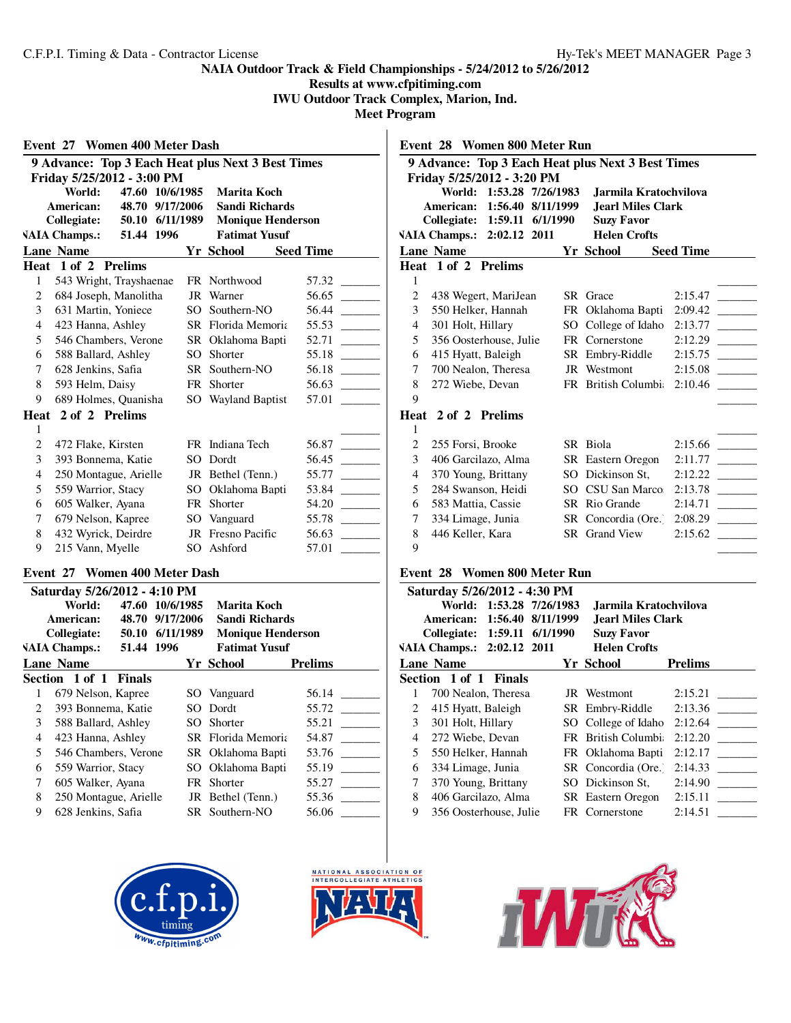**Results at www.cfpitiming.com**

**IWU Outdoor Track Complex, Marion, Ind.**

**Meet Program**

| <b>Women 400 Meter Dash</b><br>Event 27                    |                                                   |            |  |     |                      |  |                  |  |  |
|------------------------------------------------------------|---------------------------------------------------|------------|--|-----|----------------------|--|------------------|--|--|
|                                                            | 9 Advance: Top 3 Each Heat plus Next 3 Best Times |            |  |     |                      |  |                  |  |  |
| Friday 5/25/2012 - 3:00 PM                                 |                                                   |            |  |     |                      |  |                  |  |  |
| 47.60 10/6/1985<br>World:<br>Marita Koch                   |                                                   |            |  |     |                      |  |                  |  |  |
| American:<br>9/17/2006<br><b>Sandi Richards</b><br>48.70   |                                                   |            |  |     |                      |  |                  |  |  |
| Collegiate:<br>50.10 6/11/1989<br><b>Monique Henderson</b> |                                                   |            |  |     |                      |  |                  |  |  |
|                                                            | <b>VAIA Champs.:</b>                              | 51.44 1996 |  |     | <b>Fatimat Yusuf</b> |  |                  |  |  |
|                                                            | <b>Lane Name</b>                                  |            |  |     | Yr School            |  | <b>Seed Time</b> |  |  |
|                                                            | Heat 1 of 2 Prelims                               |            |  |     |                      |  |                  |  |  |
| 1                                                          | 543 Wright, Trayshaenae                           |            |  |     | FR Northwood         |  | 57.32            |  |  |
| 2                                                          | 684 Joseph, Manolitha                             |            |  | JR  | Warner               |  | 56.65            |  |  |
| 3                                                          | 631 Martin, Yoniece                               |            |  | SO  | Southern-NO          |  | 56.44            |  |  |
| $\overline{\mathcal{L}}$                                   | 423 Hanna, Ashley                                 |            |  |     | SR Florida Memoria   |  | 55.53            |  |  |
| 5                                                          | 546 Chambers, Verone                              |            |  |     | SR Oklahoma Bapti    |  | 52.71            |  |  |
| 6                                                          | 588 Ballard, Ashley                               |            |  | SO. | Shorter              |  | 55.18            |  |  |
| 7                                                          | 628 Jenkins, Safia                                |            |  | SR. | Southern-NO          |  | 56.18            |  |  |
| 8                                                          | 593 Helm, Daisy                                   |            |  |     | FR Shorter           |  | 56.63            |  |  |
| 9                                                          | 689 Holmes, Quanisha                              |            |  |     | SO Wayland Baptist   |  | 57.01            |  |  |
|                                                            | Heat 2 of 2 Prelims                               |            |  |     |                      |  |                  |  |  |
| 1                                                          |                                                   |            |  |     |                      |  |                  |  |  |
| 2                                                          | 472 Flake, Kirsten                                |            |  |     | FR Indiana Tech      |  | 56.87            |  |  |
| 3                                                          | 393 Bonnema, Katie                                |            |  | SO. | Dordt                |  | 56.45            |  |  |
| 4                                                          | 250 Montague, Arielle                             |            |  |     | JR Bethel (Tenn.)    |  | 55.77            |  |  |
| 5                                                          | 559 Warrior, Stacy                                |            |  |     | SO Oklahoma Bapti    |  | 53.84            |  |  |
| 6                                                          | 605 Walker, Ayana                                 |            |  | FR  | Shorter              |  | 54.20            |  |  |
| 7                                                          | 679 Nelson, Kapree                                |            |  | SO  | Vanguard             |  | 55.78            |  |  |
| 8                                                          | 432 Wyrick, Deirdre                               |            |  |     | JR Fresno Pacific    |  | 56.63            |  |  |
| 9                                                          | 215 Vann, Myelle                                  |            |  | SO  | Ashford              |  | 57.01            |  |  |

#### **Event 27 Women 400 Meter Dash**

|                 | Saturday 5/26/2012 - 4:10 PM |               |             |                           |                |
|-----------------|------------------------------|---------------|-------------|---------------------------|----------------|
| World:<br>47.60 |                              | 10/6/1985     | Marita Koch |                           |                |
|                 | American:                    | 48.70         | 9/17/2006   | <b>Sandi Richards</b>     |                |
|                 | Collegiate:                  | 50.10         | 6/11/1989   | <b>Monique Henderson</b>  |                |
|                 | <b>VAIA Champs.:</b>         | 51.44 1996    |             | <b>Fatimat Yusuf</b>      |                |
|                 | <b>Lane Name</b>             |               |             | Yr School                 | <b>Prelims</b> |
|                 | Section 1 of 1               | <b>Finals</b> |             |                           |                |
| 1               | 679 Nelson, Kapree           |               |             | SO Vanguard               | 56.14          |
| $\mathfrak{D}$  | 393 Bonnema, Katie           |               |             | SO Dordt                  | 55.72          |
| 3               | 588 Ballard, Ashley          |               |             | SO Shorter                | 55.21          |
| 4               | 423 Hanna, Ashley            |               |             | <b>SR</b> Florida Memoria | 54.87          |
| 5               | 546 Chambers, Verone         |               |             | SR Oklahoma Bapti         | 53.76          |
| 6               | 559 Warrior, Stacy           |               |             | SO Oklahoma Bapti         | 55.19          |
| 7               | 605 Walker, Ayana            |               |             | FR Shorter                | 55.27          |
| 8               | 250 Montague, Arielle        |               |             | JR Bethel (Tenn.)         | 55.36          |
| 9               | 628 Jenkins, Safia           |               |             | SR Southern-NO            | 56.06          |
|                 |                              |               |             |                           |                |



#### **Event 28 Women 800 Meter Run**

|    | Saturday 5/26/2012 - 4:30 PM |                   |           |                          |                |
|----|------------------------------|-------------------|-----------|--------------------------|----------------|
|    | World:                       | 1:53.28 7/26/1983 |           | Jarmila Kratochvilova    |                |
|    | American:                    | 1:56.40           | 8/11/1999 | <b>Jearl Miles Clark</b> |                |
|    | Collegiate: 1:59.11 6/1/1990 |                   |           | <b>Suzy Favor</b>        |                |
|    | VAIA Champs.: 2:02.12 2011   |                   |           | <b>Helen Crofts</b>      |                |
|    | <b>Lane Name</b>             |                   |           | Yr School                | <b>Prelims</b> |
|    | Section 1 of 1 Finals        |                   |           |                          |                |
| 1  | 700 Nealon, Theresa          |                   |           | JR Westmont              | 2:15.21        |
| 2  | 415 Hyatt, Baleigh           |                   |           | SR Embry-Riddle          | 2:13.36        |
| 3  | 301 Holt, Hillary            |                   |           | SO College of Idaho      | 2:12.64        |
| 4  | 272 Wiebe, Devan             |                   |           | FR British Columbi.      | 2:12.20        |
| 5. | 550 Helker, Hannah           |                   |           | FR Oklahoma Bapti        | 2:12.17        |
| 6  | 334 Limage, Junia            |                   |           | SR Concordia (Ore.       | 2:14.33        |
| 7  | 370 Young, Brittany          |                   |           | SO Dickinson St.         | 2:14.90        |
| 8  | 406 Garcilazo, Alma          |                   |           | SR Eastern Oregon        | 2:15.11        |
| 9  | 356 Oosterhouse, Julie       |                   |           | FR Cornerstone           | 2:14.51        |





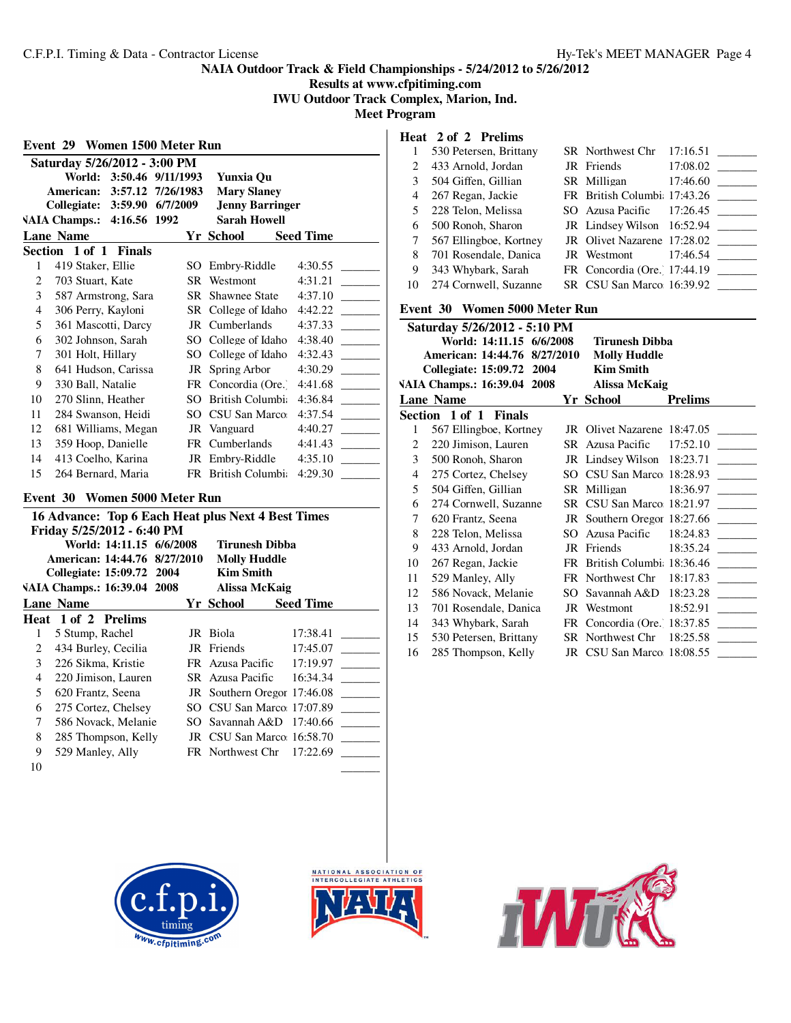**Results at www.cfpitiming.com IWU Outdoor Track Complex, Marion, Ind.**

**Meet Program**

| Event 29 Women 1500 Meter Run                               |                                                    |  |                             |                  |  |  |  |  |
|-------------------------------------------------------------|----------------------------------------------------|--|-----------------------------|------------------|--|--|--|--|
|                                                             | Saturday 5/26/2012 - 3:00 PM                       |  |                             |                  |  |  |  |  |
| World:<br>3:50.46 9/11/1993<br>Yunxia Ou                    |                                                    |  |                             |                  |  |  |  |  |
| <b>American:</b><br>3:57.12 7/26/1983<br><b>Mary Slaney</b> |                                                    |  |                             |                  |  |  |  |  |
| 3:59.90 6/7/2009<br><b>Jenny Barringer</b><br>Collegiate:   |                                                    |  |                             |                  |  |  |  |  |
|                                                             | <b>VAIA Champs.:</b><br>4:16.56 1992               |  | <b>Sarah Howell</b>         |                  |  |  |  |  |
|                                                             | <b>Lane Name</b>                                   |  | <b>Yr School</b>            | <b>Seed Time</b> |  |  |  |  |
|                                                             | Section 1 of 1<br><b>Finals</b>                    |  |                             |                  |  |  |  |  |
| 1                                                           | 419 Staker, Ellie                                  |  | SO Embry-Riddle             | 4:30.55          |  |  |  |  |
| 2                                                           | 703 Stuart, Kate                                   |  | SR Westmont                 | 4:31.21          |  |  |  |  |
| 3                                                           | 587 Armstrong, Sara                                |  | <b>SR</b> Shawnee State     | 4:37.10          |  |  |  |  |
| 4                                                           | 306 Perry, Kayloni                                 |  | SR College of Idaho         | 4:42.22          |  |  |  |  |
| 5                                                           | 361 Mascotti, Darcy                                |  | JR Cumberlands              | 4:37.33          |  |  |  |  |
| 6                                                           | 302 Johnson, Sarah                                 |  | SO College of Idaho         | 4:38.40          |  |  |  |  |
| 7                                                           | 301 Holt, Hillary                                  |  | SO College of Idaho         | 4:32.43          |  |  |  |  |
| 8                                                           | 641 Hudson, Carissa                                |  | JR Spring Arbor             | 4:30.29          |  |  |  |  |
| 9                                                           | 330 Ball, Natalie                                  |  | FR Concordia (Ore.)         | 4:41.68          |  |  |  |  |
| 10                                                          | 270 Slinn, Heather                                 |  | SO British Columbi          | 4:36.84          |  |  |  |  |
| 11                                                          | 284 Swanson, Heidi                                 |  | SO CSU San Marco            | 4:37.54          |  |  |  |  |
| 12                                                          | 681 Williams, Megan                                |  | JR Vanguard                 | 4:40.27          |  |  |  |  |
| 13                                                          | 359 Hoop, Danielle                                 |  | FR Cumberlands              | 4:41.43          |  |  |  |  |
| 14                                                          | 413 Coelho, Karina                                 |  | JR Embry-Riddle             | 4:35.10          |  |  |  |  |
| 15                                                          | 264 Bernard, Maria                                 |  | FR British Columbia         | 4:29.30          |  |  |  |  |
|                                                             |                                                    |  |                             |                  |  |  |  |  |
| Event 30                                                    | Women 5000 Meter Run                               |  |                             |                  |  |  |  |  |
|                                                             | 16 Advance: Top 6 Each Heat plus Next 4 Best Times |  |                             |                  |  |  |  |  |
|                                                             | Friday 5/25/2012 - 6:40 PM                         |  |                             |                  |  |  |  |  |
|                                                             | World: 14:11.15 6/6/2008                           |  | <b>Tirunesh Dibba</b>       |                  |  |  |  |  |
|                                                             | American: 14:44.76 8/27/2010                       |  | <b>Molly Huddle</b>         |                  |  |  |  |  |
|                                                             | Collegiate: 15:09.72 2004                          |  | <b>Kim Smith</b>            |                  |  |  |  |  |
|                                                             | VAIA Champs.: 16:39.04 2008                        |  | <b>Alissa McKaig</b>        |                  |  |  |  |  |
|                                                             | <b>Lane Name</b>                                   |  | Yr School                   | <b>Seed Time</b> |  |  |  |  |
|                                                             | Heat 1 of 2 Prelims                                |  |                             |                  |  |  |  |  |
| 1                                                           | 5 Stump, Rachel                                    |  | JR Biola                    | 17:38.41         |  |  |  |  |
| 2                                                           | 434 Burley, Cecilia                                |  | JR Friends                  | 17:45.07         |  |  |  |  |
| 3                                                           | 226 Sikma, Kristie                                 |  | FR Azusa Pacific            | 17:19.97         |  |  |  |  |
| $\overline{\mathcal{L}}$                                    | 220 Jimison, Lauren                                |  | SR Azusa Pacific            | 16:34.34         |  |  |  |  |
| 5                                                           | 620 Frantz, Seena                                  |  | JR Southern Oregor 17:46.08 |                  |  |  |  |  |
| 6                                                           | 275 Cortez, Chelsey                                |  | SO CSU San Marco: 17:07.89  |                  |  |  |  |  |
| 7                                                           | 586 Novack, Melanie                                |  | SO Savannah A&D 17:40.66    |                  |  |  |  |  |
| 8                                                           | 285 Thompson, Kelly                                |  | JR CSU San Marco 16:58.70   |                  |  |  |  |  |

**Heat 2 of 2 Prelims**

|    | 530 Petersen, Brittany | SR Northwest Chr 17:16.51  |                              |
|----|------------------------|----------------------------|------------------------------|
|    | 433 Arnold, Jordan     | JR Friends                 | 17:08.02                     |
| 3  | 504 Giffen, Gillian    | SR Milligan                | 17:46.60                     |
| 4  | 267 Regan, Jackie      |                            | FR British Columbi: 17:43.26 |
| 5. | 228 Telon, Melissa     |                            | SO Azusa Pacific 17:26.45    |
| 6  | 500 Ronoh, Sharon      | JR Lindsey Wilson 16:52.94 |                              |
| 7  | 567 Ellingboe, Kortney |                            | JR Olivet Nazarene 17:28.02  |
| 8  | 701 Rosendale, Danica  |                            | JR Westmont $17:46.54$       |
| 9  | 343 Whybark, Sarah     |                            | FR Concordia (Ore. 17:44.19  |
| 10 | 274 Cornwell, Suzanne  | SR CSU San Marco 16:39.92  |                              |

## **Event 30 Women 5000 Meter Run**

|    | Saturday 5/26/2012 - 5:10 PM |                             |                |
|----|------------------------------|-----------------------------|----------------|
|    | World: 14:11.15 6/6/2008     | Tirunesh Dibba              |                |
|    | American: 14:44.76 8/27/2010 | <b>Molly Huddle</b>         |                |
|    | Collegiate: 15:09.72 2004    | <b>Kim Smith</b>            |                |
|    | VAIA Champs.: 16:39.04 2008  | <b>Alissa McKaig</b>        |                |
|    | <b>Lane Name</b>             | Yr School                   | <b>Prelims</b> |
|    | Section 1 of 1 Finals        |                             |                |
| 1  | 567 Ellingboe, Kortney       | JR Olivet Nazarene 18:47.05 |                |
| 2  | 220 Jimison, Lauren          | SR Azusa Pacific            | 17:52.10       |
| 3  | 500 Ronoh, Sharon            | JR Lindsey Wilson 18:23.71  |                |
| 4  | 275 Cortez, Chelsey          | SO CSU San Marco 18:28.93   |                |
| 5  | 504 Giffen, Gillian          | SR Milligan                 | 18:36.97       |
| 6  | 274 Cornwell, Suzanne        | SR CSU San Marco 18:21.97   |                |
| 7  | 620 Frantz, Seena            | JR Southern Oregor 18:27.66 |                |
| 8  | 228 Telon, Melissa           | SO Azusa Pacific            | 18:24.83       |
| 9  | 433 Arnold, Jordan           | JR Friends                  | 18:35.24       |
| 10 | 267 Regan, Jackie            | FR British Columbi 18:36.46 |                |
| 11 | 529 Manley, Ally             | FR Northwest Chr            | 18:17.83       |
| 12 | 586 Novack, Melanie          | SO Savannah A&D 18:23.28    |                |
| 13 | 701 Rosendale, Danica        | JR Westmont                 | 18:52.91       |
| 14 | 343 Whybark, Sarah           | FR Concordia (Ore. 18:37.85 |                |
| 15 | 530 Petersen, Brittany       | SR Northwest Chr            | 18:25.58       |
| 16 | 285 Thompson, Kelly          | JR CSU San Marco 18:08.55   |                |



9 529 Manley, Ally FR Northwest Chr 17:22.69 \_

 $\qquad \qquad \qquad$ 



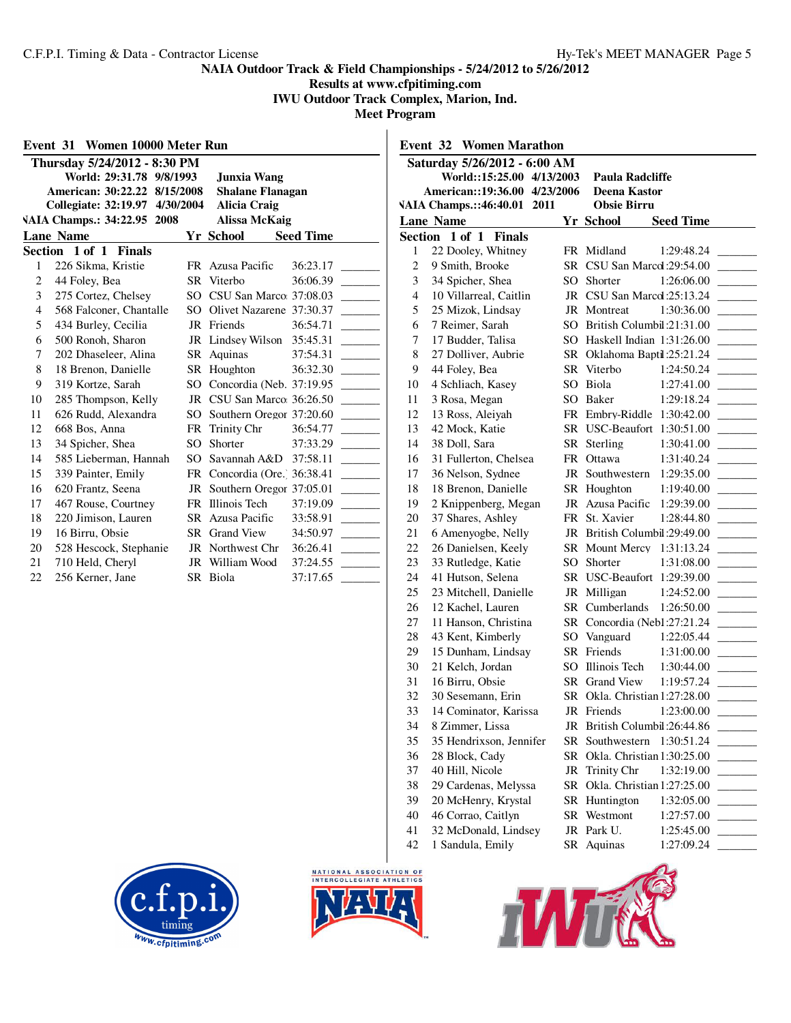**Results at www.cfpitiming.com IWU Outdoor Track Complex, Marion, Ind.**

|                                                       | Event 31 Women 10000 Meter Run |     |                              |                  |  |  |
|-------------------------------------------------------|--------------------------------|-----|------------------------------|------------------|--|--|
|                                                       | Thursday 5/24/2012 - 8:30 PM   |     |                              |                  |  |  |
| World: 29:31.78 9/8/1993<br><b>Junxia Wang</b>        |                                |     |                              |                  |  |  |
|                                                       | American: 30:22.22 8/15/2008   |     | <b>Shalane Flanagan</b>      |                  |  |  |
| Collegiate: 32:19.97 4/30/2004<br><b>Alicia Craig</b> |                                |     |                              |                  |  |  |
| VAIA Champs.: 34:22.95 2008<br>Alissa McKaig          |                                |     |                              |                  |  |  |
|                                                       | <b>Lane Name</b>               |     | Yr School                    | <b>Seed Time</b> |  |  |
|                                                       | Section 1 of 1 Finals          |     |                              |                  |  |  |
| 1                                                     | 226 Sikma, Kristie             |     | FR Azusa Pacific             | 36:23.17         |  |  |
| 2                                                     | 44 Foley, Bea                  |     | SR Viterbo                   | 36:06.39         |  |  |
| 3                                                     | 275 Cortez, Chelsey            |     | SO CSU San Marco: 37:08.03   |                  |  |  |
| $\overline{4}$                                        | 568 Falconer, Chantalle        |     | SO Olivet Nazarene 37:30.37  |                  |  |  |
| 5                                                     | 434 Burley, Cecilia            |     | JR Friends                   | 36:54.71         |  |  |
| 6                                                     | 500 Ronoh, Sharon              |     | JR Lindsey Wilson 35:45.31   |                  |  |  |
| 7                                                     | 202 Dhaseleer, Alina           |     | SR Aquinas                   | 37:54.31         |  |  |
| 8                                                     | 18 Brenon, Danielle            |     | SR Houghton                  | 36:32.30         |  |  |
| 9                                                     | 319 Kortze, Sarah              |     | SO Concordia (Neb. 37:19.95  |                  |  |  |
| 10                                                    | 285 Thompson, Kelly            |     | JR CSU San Marco: 36:26.50   |                  |  |  |
| 11                                                    | 626 Rudd, Alexandra            |     | SO Southern Oregor 37:20.60  |                  |  |  |
| 12                                                    | 668 Bos, Anna                  |     | FR Trinity Chr               | 36:54.77         |  |  |
| 13                                                    | 34 Spicher, Shea               | SO. | Shorter                      | 37:33.29         |  |  |
| 14                                                    | 585 Lieberman, Hannah          |     | SO Savannah A&D 37:58.11     |                  |  |  |
| 15                                                    | 339 Painter, Emily             |     | FR Concordia (Ore.) 36:38.41 |                  |  |  |
| 16                                                    | 620 Frantz, Seena              |     | JR Southern Oregor 37:05.01  |                  |  |  |
| 17                                                    | 467 Rouse, Courtney            |     | FR Illinois Tech             | 37:19.09         |  |  |
| 18                                                    | 220 Jimison, Lauren            |     | SR Azusa Pacific             | 33:58.91         |  |  |
| 19                                                    | 16 Birru, Obsie                |     | SR Grand View                | 34:50.97         |  |  |
| 20                                                    | 528 Hescock, Stephanie         |     | JR Northwest Chr             | 36:26.41         |  |  |
| 21                                                    | 710 Held, Cheryl               |     | JR William Wood              | 37:24.55         |  |  |
| 22                                                    | 256 Kerner, Jane               |     | SR Biola                     | 37:17.65         |  |  |

| <b>Event 32 Women Marathon</b> |                                                     |           |                               |                          |  |  |  |  |
|--------------------------------|-----------------------------------------------------|-----------|-------------------------------|--------------------------|--|--|--|--|
|                                | Saturday 5/26/2012 - 6:00 AM                        |           |                               |                          |  |  |  |  |
|                                | World::15:25.00 4/13/2003<br><b>Paula Radcliffe</b> |           |                               |                          |  |  |  |  |
|                                | American::19:36.00 4/23/2006                        |           | Deena Kastor                  |                          |  |  |  |  |
|                                | VAIA Champs.::46:40.01 2011                         |           | <b>Obsie Birru</b>            |                          |  |  |  |  |
|                                | <b>Lane Name</b>                                    |           | Yr School                     | <b>Seed Time</b>         |  |  |  |  |
|                                | Section 1 of 1 Finals                               |           |                               |                          |  |  |  |  |
| 1                              | 22 Dooley, Whitney                                  |           | FR Midland                    | 1:29:48.24               |  |  |  |  |
| $\overline{2}$                 | 9 Smith, Brooke                                     |           | SR CSU San Marcd: 29:54.00    |                          |  |  |  |  |
| 3                              | 34 Spicher, Shea                                    |           | SO Shorter                    | 1:26:06.00               |  |  |  |  |
| $\overline{4}$                 | 10 Villarreal, Caitlin                              |           | JR CSU San Marcd: 25:13.24    |                          |  |  |  |  |
| 5                              | 25 Mizok, Lindsay                                   |           | JR Montreat                   | 1:30:36.00               |  |  |  |  |
| 6                              | 7 Reimer, Sarah                                     | SO.       | British Columbil: 21:31.00    |                          |  |  |  |  |
| 7                              | 17 Budder, Talisa                                   |           | SO Haskell Indian 1:31:26.00  |                          |  |  |  |  |
| 8                              | 27 Dolliver, Aubrie                                 |           | SR Oklahoma Baptil:25:21.24   |                          |  |  |  |  |
| 9                              | 44 Foley, Bea                                       |           | SR Viterbo                    | 1:24:50.24               |  |  |  |  |
| 10                             | 4 Schliach, Kasey                                   |           | SO Biola                      | 1:27:41.00               |  |  |  |  |
| 11                             | 3 Rosa, Megan                                       |           | SO Baker                      | 1:29:18.24               |  |  |  |  |
| 12                             | 13 Ross, Aleiyah                                    |           | FR Embry-Riddle 1:30:42.00    |                          |  |  |  |  |
| 13                             | 42 Mock, Katie                                      |           | SR USC-Beaufort 1:30:51.00    |                          |  |  |  |  |
| 14                             | 38 Doll, Sara                                       |           | SR Sterling                   | 1:30:41.00               |  |  |  |  |
| 16                             | 31 Fullerton, Chelsea                               |           | FR Ottawa                     | 1:31:40.24               |  |  |  |  |
| 17                             | 36 Nelson, Sydnee                                   | JR        | Southwestern                  | 1:29:35.00               |  |  |  |  |
| 18                             | 18 Brenon, Danielle                                 |           | SR Houghton                   | 1:19:40.00               |  |  |  |  |
| 19                             | 2 Knippenberg, Megan                                |           | JR Azusa Pacific              | 1:29:39.00               |  |  |  |  |
| 20                             | 37 Shares, Ashley                                   |           | FR St. Xavier                 | 1:28:44.80               |  |  |  |  |
| 21                             | 6 Amenyogbe, Nelly                                  | JR        | British Columbil: 29:49.00    |                          |  |  |  |  |
| 22                             | 26 Danielsen, Keely                                 | SR        | <b>Mount Mercy</b>            | 1:31:13.24               |  |  |  |  |
| 23                             | 33 Rutledge, Katie                                  | $SO_{-}$  | Shorter                       | 1:31:08.00               |  |  |  |  |
| 24                             | 41 Hutson, Selena                                   |           | SR USC-Beaufort 1:29:39.00    |                          |  |  |  |  |
| 25                             | 23 Mitchell, Danielle                               |           | JR Milligan                   | 1:24:52.00               |  |  |  |  |
| 26                             | 12 Kachel, Lauren                                   |           | SR Cumberlands                | 1:26:50.00               |  |  |  |  |
| 27                             | 11 Hanson, Christina                                |           | SR Concordia (Neb1:27:21.24   |                          |  |  |  |  |
| 28                             | 43 Kent, Kimberly                                   |           | SO Vanguard<br>SR Friends     | 1:22:05.44               |  |  |  |  |
| 29<br>30                       | 15 Dunham, Lindsay<br>21 Kelch, Jordan              |           | SO Illinois Tech              | 1:31:00.00<br>1:30:44.00 |  |  |  |  |
| 31                             | 16 Birru, Obsie                                     |           | SR Grand View                 | 1:19:57.24               |  |  |  |  |
| 32                             | 30 Sesemann, Erin                                   |           | SR Okla. Christian 1:27:28.00 |                          |  |  |  |  |
| 33                             | 14 Cominator, Karissa                               |           | JR Friends                    | 1:23:00.00               |  |  |  |  |
| 34                             | 8 Zimmer, Lissa                                     |           | JR British Columbil: 26:44.86 |                          |  |  |  |  |
| 35                             | 35 Hendrixson, Jennifer                             | <b>SR</b> | Southwestern                  | 1:30:51.24               |  |  |  |  |
| 36                             | 28 Block, Cady                                      | <b>SR</b> | Okla. Christian 1:30:25.00    |                          |  |  |  |  |
| 37                             | 40 Hill, Nicole                                     | JR        | Trinity Chr                   | 1:32:19.00               |  |  |  |  |
| 38                             | 29 Cardenas, Melyssa                                | SR        | Okla. Christian 1:27:25.00    |                          |  |  |  |  |
| 39                             | 20 McHenry, Krystal                                 |           | SR Huntington                 | 1:32:05.00               |  |  |  |  |
| 40                             | 46 Corrao, Caitlyn                                  | SR        | Westmont                      | 1:27:57.00               |  |  |  |  |
| 41                             | 32 McDonald, Lindsey                                |           | JR Park U.                    | 1:25:45.00               |  |  |  |  |
| 42                             | 1 Sandula, Emily                                    | SR        | Aquinas                       | 1:27:09.24               |  |  |  |  |
|                                |                                                     |           |                               |                          |  |  |  |  |





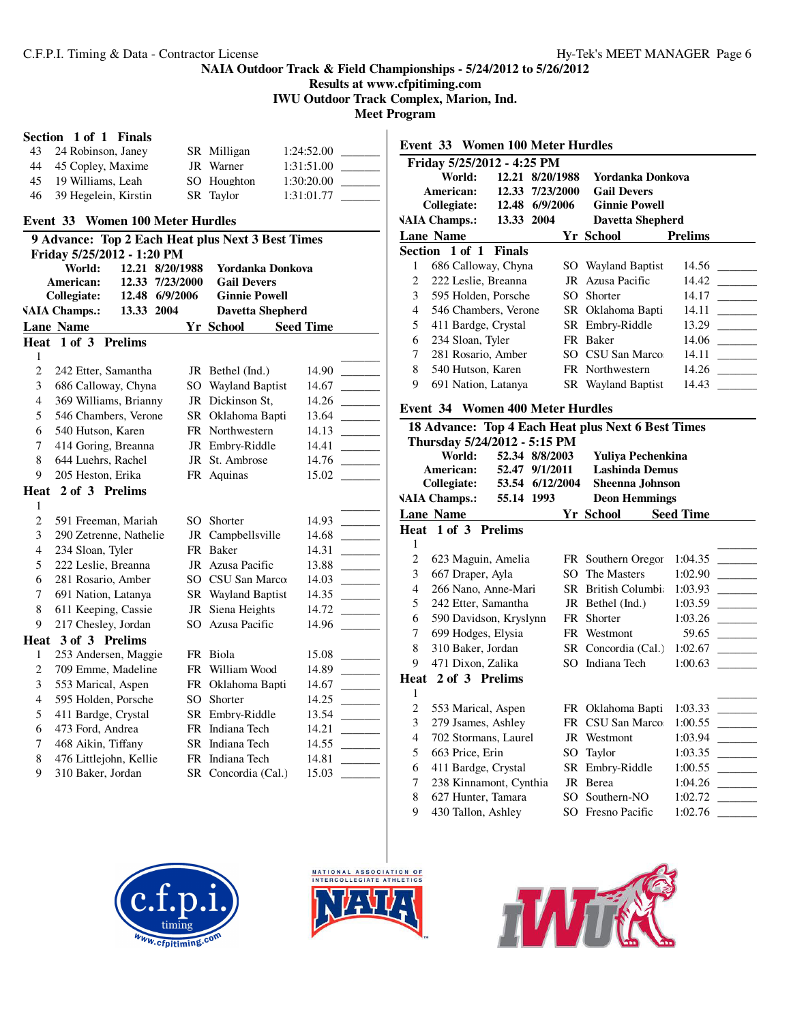**Results at www.cfpitiming.com**

**IWU Outdoor Track Complex, Marion, Ind.**

**Meet Program**

| Section 1 of 1 Finals |  |  |
|-----------------------|--|--|
|                       |  |  |

| 43 | 24 Robinson, Janey      | SR Milligan | 1:24:52.00 |
|----|-------------------------|-------------|------------|
|    | 44 45 Copley, Maxime    | JR Warner   | 1:31:51.00 |
|    | 45 19 Williams, Leah    | SO Houghton | 1:30:20.00 |
|    | 46 39 Hegelein, Kirstin | SR Taylor   | 1:31:01.77 |

# **Event 33 Women 100 Meter Hurdles**

|                | 9 Advance: Top 2 Each Heat plus Next 3 Best Times |                |                 |    |                           |                  |  |
|----------------|---------------------------------------------------|----------------|-----------------|----|---------------------------|------------------|--|
|                | Friday 5/25/2012 - 1:20 PM                        |                |                 |    |                           |                  |  |
|                | World:                                            |                | 12.21 8/20/1988 |    | <b>Yordanka Donkova</b>   |                  |  |
|                | American:                                         | 12.33          | 7/23/2000       |    | <b>Gail Devers</b>        |                  |  |
|                | Collegiate:                                       |                | 12.48 6/9/2006  |    | <b>Ginnie Powell</b>      |                  |  |
|                | <b>VAIA Champs.:</b>                              | 13.33 2004     |                 |    | <b>Davetta Shepherd</b>   |                  |  |
|                | <b>Lane Name</b>                                  |                |                 |    | <b>Yr School</b>          | <b>Seed Time</b> |  |
| Heat           | $1$ of $3$                                        | <b>Prelims</b> |                 |    |                           |                  |  |
| 1              |                                                   |                |                 |    |                           |                  |  |
| $\overline{c}$ | 242 Etter, Samantha                               |                |                 |    | JR Bethel (Ind.)          | 14.90            |  |
| 3              | 686 Calloway, Chyna                               |                |                 | SO | <b>Wayland Baptist</b>    | 14.67            |  |
| $\overline{4}$ | 369 Williams, Brianny                             |                |                 | JR | Dickinson St,             | 14.26            |  |
| 5              | 546 Chambers, Verone                              |                |                 | SR | Oklahoma Bapti            | 13.64            |  |
| 6              | 540 Hutson, Karen                                 |                |                 |    | FR Northwestern           | 14.13            |  |
| 7              | 414 Goring, Breanna                               |                |                 |    | JR Embry-Riddle           | 14.41            |  |
| 8              | 644 Luehrs, Rachel                                |                |                 |    | JR St. Ambrose            | 14.76            |  |
| 9              | 205 Heston, Erika                                 |                |                 |    | FR Aquinas                | 15.02            |  |
| Heat           | 2 of 3 Prelims                                    |                |                 |    |                           |                  |  |
| 1              |                                                   |                |                 |    |                           |                  |  |
| $\overline{2}$ | 591 Freeman, Mariah                               |                |                 | SO | Shorter                   | 14.93            |  |
| 3              | 290 Zetrenne, Nathelie                            |                |                 | JR | Campbellsville            | 14.68            |  |
| $\overline{4}$ | 234 Sloan, Tyler                                  |                |                 | FR | Baker                     | 14.31            |  |
| 5              | 222 Leslie, Breanna                               |                |                 |    | JR Azusa Pacific          | 13.88            |  |
| 6              | 281 Rosario, Amber                                |                |                 |    | SO CSU San Marco          | 14.03            |  |
| 7              | 691 Nation, Latanya                               |                |                 |    | <b>SR</b> Wayland Baptist | 14.35            |  |
| 8              | 611 Keeping, Cassie                               |                |                 | JR | Siena Heights             | 14.72            |  |
| 9              | 217 Chesley, Jordan                               |                |                 | SO | Azusa Pacific             | 14.96            |  |
| Heat           | 3 of 3 Prelims                                    |                |                 |    |                           |                  |  |
| 1              | 253 Andersen, Maggie                              |                |                 |    | FR Biola                  | 15.08            |  |
| $\overline{c}$ | 709 Emme, Madeline                                |                |                 |    | FR William Wood           | 14.89            |  |
| 3              | 553 Marical, Aspen                                |                |                 | FR | Oklahoma Bapti            | 14.67            |  |
| $\overline{4}$ | 595 Holden, Porsche                               |                |                 | SO | Shorter                   | 14.25            |  |
| 5              | 411 Bardge, Crystal                               |                |                 |    | SR Embry-Riddle           | 13.54            |  |
| 6              | 473 Ford, Andrea                                  |                |                 |    | FR Indiana Tech           | 14.21            |  |
| 7              | 468 Aikin, Tiffany                                |                |                 |    | SR Indiana Tech           | 14.55            |  |
| 8              | 476 Littlejohn, Kellie                            |                |                 |    | FR Indiana Tech           | 14.81            |  |
| 9              | 310 Baker, Jordan                                 |                |                 |    | SR Concordia (Cal.)       | 15.03            |  |
|                |                                                   |                |                 |    |                           |                  |  |

|                                                                 |                                                             |               | Event 33 Women 100 Meter Hurdles |                                                    |                  |  |  |  |  |
|-----------------------------------------------------------------|-------------------------------------------------------------|---------------|----------------------------------|----------------------------------------------------|------------------|--|--|--|--|
|                                                                 | Friday 5/25/2012 - 4:25 PM                                  |               |                                  |                                                    |                  |  |  |  |  |
|                                                                 | World:                                                      |               | 12.21 8/20/1988                  | Yordanka Donkova                                   |                  |  |  |  |  |
|                                                                 | <b>American:</b>                                            |               | 12.33 7/23/2000                  | <b>Gail Devers</b>                                 |                  |  |  |  |  |
| Collegiate:<br>12.48 6/9/2006                                   |                                                             |               |                                  | <b>Ginnie Powell</b>                               |                  |  |  |  |  |
| <b>VAIA Champs.:</b><br>13.33 2004                              |                                                             |               |                                  | <b>Davetta Shepherd</b>                            |                  |  |  |  |  |
|                                                                 | <b>Lane Name</b>                                            |               |                                  | Yr School                                          | <b>Prelims</b>   |  |  |  |  |
|                                                                 | Section 1 of 1                                              | <b>Finals</b> |                                  |                                                    |                  |  |  |  |  |
| 1                                                               | 686 Calloway, Chyna                                         |               |                                  | SO Wayland Baptist                                 | 14.56            |  |  |  |  |
| $\overline{2}$                                                  | 222 Leslie, Breanna                                         |               |                                  | JR Azusa Pacific                                   | 14.42            |  |  |  |  |
| 3                                                               | 595 Holden, Porsche                                         |               |                                  | SO Shorter                                         | 14.17            |  |  |  |  |
| 4                                                               | 546 Chambers, Verone                                        |               |                                  | SR Oklahoma Bapti                                  | 14.11            |  |  |  |  |
| 5                                                               | 411 Bardge, Crystal                                         |               |                                  | SR Embry-Riddle                                    | 13.29            |  |  |  |  |
| 6                                                               | 234 Sloan, Tyler                                            |               |                                  | FR Baker                                           | 14.06            |  |  |  |  |
| $\tau$                                                          | 281 Rosario, Amber                                          |               |                                  | SO CSU San Marco                                   | 14.11            |  |  |  |  |
| 8                                                               | 540 Hutson, Karen                                           |               |                                  | FR Northwestern                                    | 14.26            |  |  |  |  |
| 9                                                               | 691 Nation, Latanya                                         |               |                                  | SR Wayland Baptist                                 | 14.43            |  |  |  |  |
|                                                                 |                                                             |               |                                  |                                                    |                  |  |  |  |  |
|                                                                 | <b>Event 34 Women 400 Meter Hurdles</b>                     |               |                                  |                                                    |                  |  |  |  |  |
|                                                                 |                                                             |               |                                  | 18 Advance: Top 4 Each Heat plus Next 6 Best Times |                  |  |  |  |  |
|                                                                 | Thursday 5/24/2012 - 5:15 PM                                |               |                                  |                                                    |                  |  |  |  |  |
|                                                                 | World:                                                      |               | 52.34 8/8/2003                   | Yuliya Pechenkina                                  |                  |  |  |  |  |
|                                                                 | <b>Lashinda Demus</b><br><b>American:</b><br>52.47 9/1/2011 |               |                                  |                                                    |                  |  |  |  |  |
| <b>Collegiate:</b><br>53.54 6/12/2004<br><b>Sheenna Johnson</b> |                                                             |               |                                  |                                                    |                  |  |  |  |  |
|                                                                 |                                                             |               |                                  |                                                    |                  |  |  |  |  |
|                                                                 | <b>VAIA Champs.:</b>                                        | 55.14 1993    |                                  | <b>Deon Hemmings</b>                               |                  |  |  |  |  |
|                                                                 | <b>Lane Name</b>                                            |               |                                  | Yr School                                          | <b>Seed Time</b> |  |  |  |  |
|                                                                 | Heat 1 of 3 Prelims                                         |               |                                  |                                                    |                  |  |  |  |  |
| 1                                                               |                                                             |               |                                  |                                                    |                  |  |  |  |  |
| 2                                                               | 623 Maguin, Amelia                                          |               |                                  | FR Southern Oregor                                 | 1:04.35          |  |  |  |  |
| 3                                                               | 667 Draper, Ayla                                            |               |                                  | SO The Masters                                     | 1:02.90          |  |  |  |  |
| 4                                                               | 266 Nano, Anne-Mari                                         |               |                                  | SR British Columbi                                 | 1:03.93          |  |  |  |  |
| 5                                                               | 242 Etter, Samantha                                         |               |                                  | JR Bethel (Ind.)                                   | 1:03.59          |  |  |  |  |
| 6                                                               | 590 Davidson, Kryslynn                                      |               |                                  | FR Shorter                                         | 1:03.26          |  |  |  |  |
| 7                                                               | 699 Hodges, Elysia                                          |               |                                  | FR Westmont                                        | 59.65            |  |  |  |  |
| 8                                                               | 310 Baker, Jordan                                           |               |                                  | SR Concordia (Cal.)                                | 1:02.67          |  |  |  |  |
| 9                                                               | 471 Dixon, Zalika                                           |               |                                  | SO Indiana Tech                                    | 1:00.63          |  |  |  |  |
|                                                                 | Heat 2 of 3 Prelims                                         |               |                                  |                                                    |                  |  |  |  |  |
| 1                                                               |                                                             |               |                                  |                                                    |                  |  |  |  |  |
| $\overline{c}$                                                  | 553 Marical, Aspen                                          |               |                                  | FR Oklahoma Bapti                                  | 1:03.33          |  |  |  |  |
| 3                                                               | 279 Jsames, Ashley                                          |               |                                  | FR CSU San Marco                                   | 1:00.55          |  |  |  |  |
| 4                                                               | 702 Stormans, Laurel                                        |               | JR                               | Westmont                                           | 1:03.94          |  |  |  |  |
| 5                                                               | 663 Price, Erin                                             |               | SO                               | Taylor                                             | 1:03.35          |  |  |  |  |
| 6                                                               | 411 Bardge, Crystal                                         |               | SR                               | Embry-Riddle                                       | 1:00.55          |  |  |  |  |
| 7                                                               | 238 Kinnamont, Cynthia                                      |               |                                  | JR Berea                                           | 1:04.26          |  |  |  |  |
| 8                                                               | 627 Hunter, Tamara                                          |               | SO                               | Southern-NO                                        | 1:02.72          |  |  |  |  |





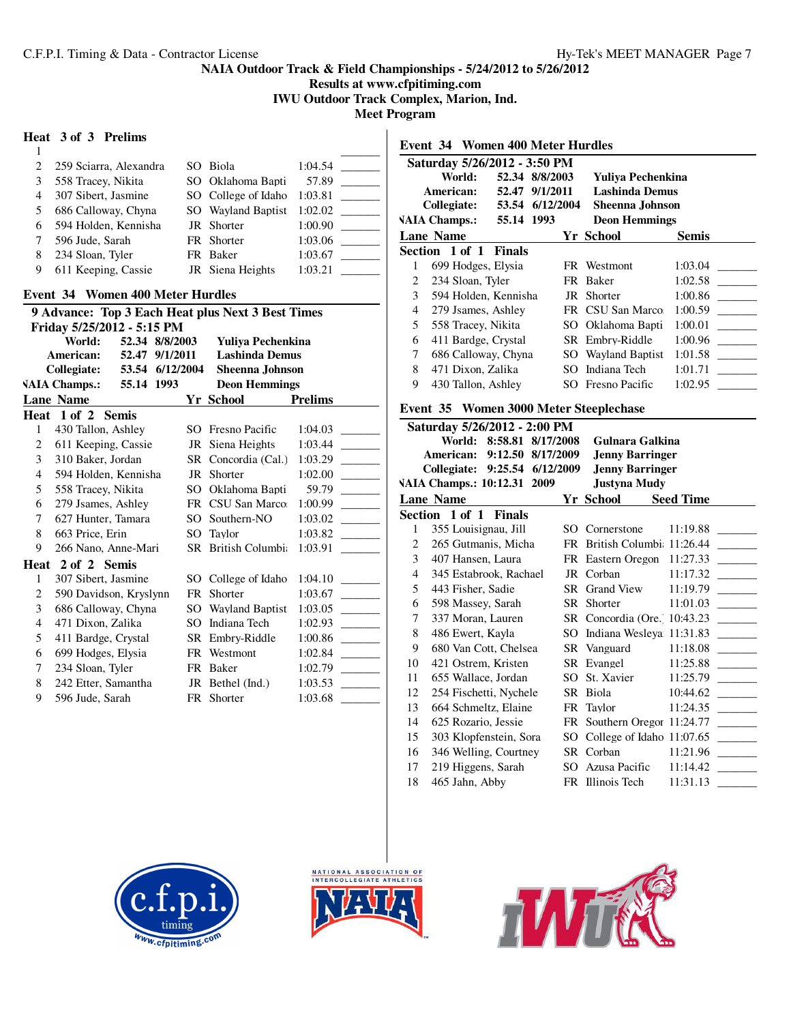**Results at www.cfpitiming.com**

**IWU Outdoor Track Complex, Marion, Ind.**

**Meet Program**

## **Heat 3 of 3 Prelims**

| $\mathcal{L}$ | 259 Sciarra, Alexandra | SO Biola            | 1:04.54 |
|---------------|------------------------|---------------------|---------|
| 3             | 558 Tracey, Nikita     | SO Oklahoma Bapti   | 57.89   |
|               | 307 Sibert, Jasmine    | SO College of Idaho | 1:03.81 |
| 5             | 686 Calloway, Chyna    | SO Wayland Baptist  | 1:02.02 |
| 6             | 594 Holden, Kennisha   | JR Shorter          | 1:00.90 |
|               | 596 Jude, Sarah        | FR Shorter          | 1:03.06 |
| 8             | 234 Sloan, Tyler       | FR Baker            | 1:03.67 |
|               | 611 Keeping, Cassie    | JR Siena Heights    | 1:03.21 |
|               |                        |                     |         |

# **Event 34 Women 400 Meter Hurdles**

| 9 Advance: Top 3 Each Heat plus Next 3 Best Times |                            |                 |          |           |                        |                |
|---------------------------------------------------|----------------------------|-----------------|----------|-----------|------------------------|----------------|
|                                                   | Friday 5/25/2012 - 5:15 PM |                 |          |           |                        |                |
|                                                   | World:                     | 52.34 8/8/2003  |          |           | Yuliya Pechenkina      |                |
|                                                   | American:                  | 52.47           | 9/1/2011 |           | <b>Lashinda Demus</b>  |                |
|                                                   | Collegiate:                | 53.54 6/12/2004 |          |           | <b>Sheenna Johnson</b> |                |
|                                                   | <b>VAIA Champs.:</b>       | 55.14 1993      |          |           | <b>Deon Hemmings</b>   |                |
|                                                   | <b>Lane Name</b>           |                 |          |           | Yr School              | <b>Prelims</b> |
|                                                   | Heat 1 of 2 Semis          |                 |          |           |                        |                |
| 1                                                 | 430 Tallon, Ashley         |                 |          |           | SO Fresno Pacific      | 1:04.03        |
| 2                                                 | 611 Keeping, Cassie        |                 |          |           | JR Siena Heights       | 1:03.44        |
| 3                                                 | 310 Baker, Jordan          |                 |          |           | SR Concordia (Cal.)    | 1:03.29        |
| 4                                                 | 594 Holden, Kennisha       |                 |          |           | JR Shorter             | 1:02.00        |
| 5                                                 | 558 Tracey, Nikita         |                 |          |           | SO Oklahoma Bapti      | 59.79          |
| 6                                                 | 279 Jsames, Ashley         |                 |          |           | FR CSU San Marco:      | 1:00.99        |
| 7                                                 | 627 Hunter, Tamara         |                 |          |           | SO Southern-NO         | 1:03.02        |
| 8                                                 | 663 Price, Erin            |                 |          |           | SO Taylor              | 1:03.82        |
| 9                                                 | 266 Nano, Anne-Mari        |                 |          |           | SR British Columbia    | 1:03.91        |
|                                                   | Heat 2 of 2 Semis          |                 |          |           |                        |                |
| 1                                                 | 307 Sibert, Jasmine        |                 |          |           | SO College of Idaho    | 1:04.10        |
| 2                                                 | 590 Davidson, Kryslynn     |                 |          | <b>FR</b> | Shorter                | 1:03.67        |
| 3                                                 | 686 Calloway, Chyna        |                 |          |           | SO Wayland Baptist     | 1:03.05        |
| $\overline{4}$                                    | 471 Dixon, Zalika          |                 |          | SO.       | Indiana Tech           | 1:02.93        |
| 5                                                 | 411 Bardge, Crystal        |                 |          |           | SR Embry-Riddle        | 1:00.86        |
| 6                                                 | 699 Hodges, Elysia         |                 |          |           | FR Westmont            | 1:02.84        |
| 7                                                 | 234 Sloan, Tyler           |                 |          |           | FR Baker               | 1:02.79        |
| 8                                                 | 242 Etter, Samantha        |                 |          |           | JR Bethel (Ind.)       | 1:03.53        |
| 9                                                 | 596 Jude, Sarah            |                 |          |           | FR Shorter             | 1:03.68        |
|                                                   |                            |                 |          |           |                        |                |

|                  | <b>Event 34 Women 400 Meter Hurdles</b> |               |                   |  |                             |                  |  |
|------------------|-----------------------------------------|---------------|-------------------|--|-----------------------------|------------------|--|
|                  | Saturday 5/26/2012 - 3:50 PM            |               |                   |  |                             |                  |  |
|                  | World:                                  |               | 52.34 8/8/2003    |  | Yuliya Pechenkina           |                  |  |
|                  | American:                               |               | 52.47 9/1/2011    |  | <b>Lashinda Demus</b>       |                  |  |
|                  | Collegiate:                             |               | 53.54 6/12/2004   |  | <b>Sheenna Johnson</b>      |                  |  |
|                  | <b>VAIA Champs.:</b>                    | 55.14 1993    |                   |  | <b>Deon Hemmings</b>        |                  |  |
| <b>Lane Name</b> |                                         |               |                   |  | <b>Yr School</b>            | <b>Semis</b>     |  |
|                  | Section 1 of 1 Finals                   |               |                   |  |                             |                  |  |
| $\mathbf{1}$     | 699 Hodges, Elysia                      |               |                   |  | FR Westmont                 | 1:03.04          |  |
| $\overline{c}$   | 234 Sloan, Tyler                        |               |                   |  | FR Baker                    | 1:02.58          |  |
| 3                | 594 Holden, Kennisha                    |               |                   |  | JR Shorter                  | 1:00.86          |  |
| 4                | 279 Jsames, Ashley                      |               |                   |  | FR CSU San Marco            | 1:00.59          |  |
| 5                | 558 Tracey, Nikita                      |               |                   |  | SO Oklahoma Bapti           | 1:00.01          |  |
| 6                | 411 Bardge, Crystal                     |               |                   |  | SR Embry-Riddle             | 1:00.96          |  |
| 7                | 686 Calloway, Chyna                     |               |                   |  | SO Wayland Baptist          | 1:01.58          |  |
| 8                | 471 Dixon, Zalika                       |               |                   |  | SO Indiana Tech             | 1:01.71          |  |
| 9                | 430 Tallon, Ashley                      |               |                   |  | SO Fresno Pacific           | 1:02.95          |  |
|                  | Event 35 Women 3000 Meter Steeplechase  |               |                   |  |                             |                  |  |
|                  | Saturday 5/26/2012 - 2:00 PM            |               |                   |  |                             |                  |  |
|                  | World:                                  |               | 8:58.81 8/17/2008 |  | Gulnara Galkina             |                  |  |
|                  | American:                               |               | 9:12.50 8/17/2009 |  | <b>Jenny Barringer</b>      |                  |  |
|                  | Collegiate:                             |               | 9:25.54 6/12/2009 |  | <b>Jenny Barringer</b>      |                  |  |
|                  | VAIA Champs.: 10:12.31 2009             |               |                   |  | <b>Justyna Mudy</b>         |                  |  |
|                  | <b>Lane Name</b>                        |               |                   |  | Yr School                   | <b>Seed Time</b> |  |
|                  | Section 1 of 1                          | <b>Finals</b> |                   |  |                             |                  |  |
| 1                | 355 Louisignau, Jill                    |               |                   |  | SO Cornerstone              | 11:19.88         |  |
| 2                | 265 Gutmanis, Micha                     |               | FR                |  | British Columbi: 11:26.44   |                  |  |
| 3                | 407 Hansen, Laura                       |               |                   |  | FR Eastern Oregon           | 11:27.33         |  |
| 4                | 345 Estabrook, Rachael                  |               |                   |  | JR Corban                   | 11:17.32         |  |
| 5                | 443 Fisher, Sadie                       |               |                   |  | SR Grand View               | 11:19.79         |  |
| 6                | 598 Massey, Sarah                       |               |                   |  | SR Shorter                  | 11:01.03         |  |
| 7                | 337 Moran, Lauren                       |               |                   |  | SR Concordia (Ore. 10:43.23 |                  |  |
| 8                | 486 Ewert, Kayla                        |               |                   |  | SO Indiana Wesleya 11:31.83 |                  |  |
| 9                | 680 Van Cott. Chelsea                   |               |                   |  | SR Vanguard                 | 11:18.08         |  |
| 10               | 421 Ostrem, Kristen                     |               |                   |  | SR Evangel                  | 11:25.88         |  |







 $SO$  College of Idaho 11:07.65  $\_\_$ 

11 655 Wallace, Jordan SO St. Xavier 11:25.79 12 254 Fischetti, Nychele SR Biola 10:44.62 \_\_\_\_\_\_\_\_\_ 13 664 Schmeltz, Elaine FR Taylor 11:24.35 \_\_\_\_\_\_\_\_\_ 14 625 Rozario, Jessie FR Southern Oregon 11:24.77 15 303 Klopfenstein, Sora SO College of Idaho 11:07.65

16 346 Welling, Courtney SR Corban 11:21.96 \_\_\_\_\_\_\_\_\_ 17 219 Higgens, Sarah SO Azusa Pacific 11:14.42 \_\_\_\_\_\_\_\_\_ 18 465 Jahn, Abby FR Illinois Tech 11:31.13 \_\_\_\_\_\_\_\_\_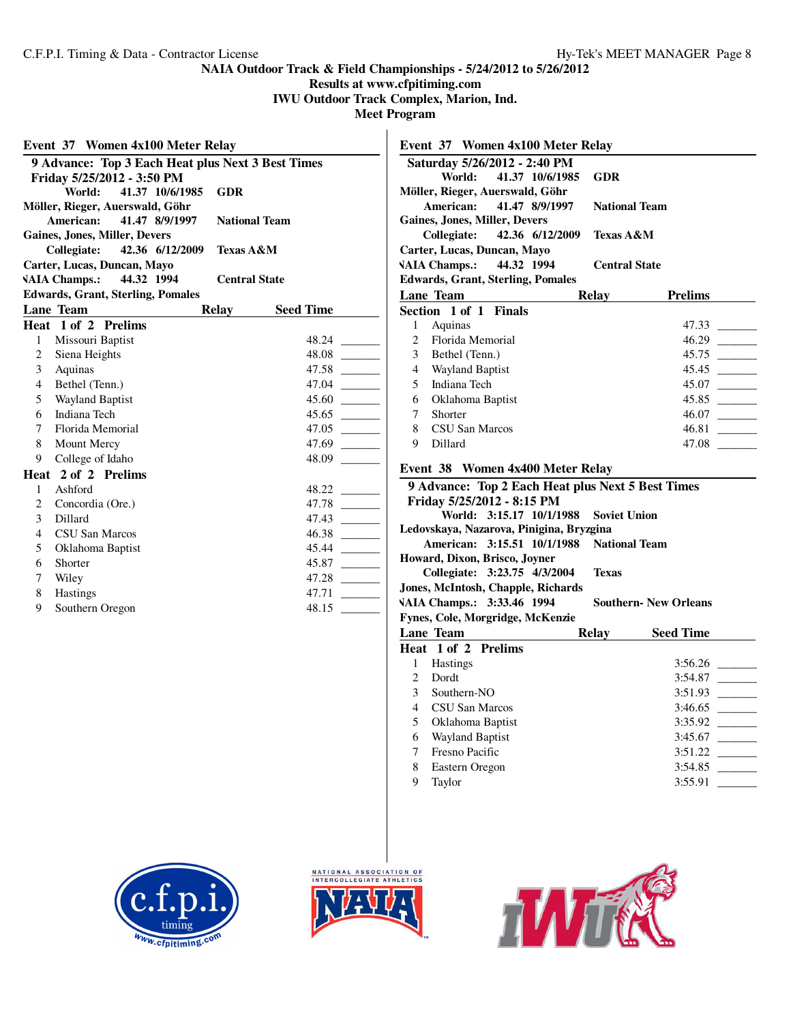**Results at www.cfpitiming.com**

**IWU Outdoor Track Complex, Marion, Ind.**

**Meet Program**

| Event 37 Women 4x100 Meter Relay                              | Event 37 Women 4x100 Meter Relay                                             |  |  |
|---------------------------------------------------------------|------------------------------------------------------------------------------|--|--|
| 9 Advance: Top 3 Each Heat plus Next 3 Best Times             | Saturday 5/26/2012 - 2:40 PM                                                 |  |  |
| Friday 5/25/2012 - 3:50 PM                                    | World:<br>41.37 10/6/1985<br><b>GDR</b>                                      |  |  |
| World:<br>41.37 10/6/1985<br><b>GDR</b>                       | Möller, Rieger, Auerswald, Göhr                                              |  |  |
| Möller, Rieger, Auerswald, Göhr                               | American:<br>41.47 8/9/1997<br><b>National Team</b>                          |  |  |
| American:<br>41.47 8/9/1997<br><b>National Team</b>           | <b>Gaines, Jones, Miller, Devers</b>                                         |  |  |
| <b>Gaines, Jones, Miller, Devers</b>                          | <b>Collegiate:</b><br>42.36 6/12/2009<br><b>Texas A&amp;M</b>                |  |  |
| <b>Collegiate:</b><br>42.36 6/12/2009<br><b>Texas A&amp;M</b> | Carter, Lucas, Duncan, Mayo                                                  |  |  |
| Carter, Lucas, Duncan, Mayo                                   | <b>VAIA Champs.:</b><br>44.32 1994<br><b>Central State</b>                   |  |  |
| <b>VAIA Champs.:</b><br>44.32 1994<br><b>Central State</b>    | <b>Edwards, Grant, Sterling, Pomales</b>                                     |  |  |
| <b>Edwards, Grant, Sterling, Pomales</b>                      | Lane Team<br>Relay<br><b>Prelims</b>                                         |  |  |
| Lane Team<br><b>Relay</b><br><b>Seed Time</b>                 | Section 1 of 1 Finals                                                        |  |  |
| Heat 1 of 2 Prelims                                           | $\mathbf{1}$<br>Aquinas                                                      |  |  |
| Missouri Baptist<br>$\mathbf{1}$                              | Florida Memorial<br>$\overline{c}$                                           |  |  |
| 2<br>Siena Heights                                            | 3<br>Bethel (Tenn.)                                                          |  |  |
| 47.58<br>3<br>Aquinas                                         | $\overline{4}$<br><b>Wayland Baptist</b>                                     |  |  |
| $\overline{4}$<br>Bethel (Tenn.)                              | Indiana Tech<br>5                                                            |  |  |
| 5<br>Wayland Baptist                                          | 6<br>Oklahoma Baptist                                                        |  |  |
| Indiana Tech<br>6                                             | $\tau$<br>Shorter                                                            |  |  |
| $\overline{7}$<br>Florida Memorial                            | 8<br>CSU San Marcos                                                          |  |  |
| 8<br>Mount Mercy                                              | 9<br>Dillard                                                                 |  |  |
| College of Idaho<br>9                                         |                                                                              |  |  |
| Heat 2 of 2 Prelims                                           | Event 38 Women 4x400 Meter Relay                                             |  |  |
| $\mathbf{1}$<br>Ashford                                       | 9 Advance: Top 2 Each Heat plus Next 5 Best Times                            |  |  |
| $\overline{2}$<br>Concordia (Ore.)                            | Friday 5/25/2012 - 8:15 PM                                                   |  |  |
| 3<br>Dillard                                                  | <b>Soviet Union</b><br>World: 3:15.17 10/1/1988                              |  |  |
| CSU San Marcos<br>4                                           | Ledovskaya, Nazarova, Pinigina, Bryzgina                                     |  |  |
| 5<br>Oklahoma Baptist                                         | American: 3:15.51 10/1/1988<br><b>National Team</b>                          |  |  |
| Shorter<br>6                                                  | Howard, Dixon, Brisco, Joyner                                                |  |  |
| 7<br>Wiley                                                    | Collegiate: 3:23.75 4/3/2004<br><b>Texas</b>                                 |  |  |
| Hastings<br>8                                                 | Jones, McIntosh, Chapple, Richards                                           |  |  |
| Southern Oregon<br>9                                          | VAIA Champs.: 3:33.46 1994<br><b>Southern- New Orleans</b>                   |  |  |
|                                                               | Fynes, Cole, Morgridge, McKenzie                                             |  |  |
|                                                               | Lane Team<br>Relay<br><b>Seed Time</b>                                       |  |  |
|                                                               | Heat 1 of 2 Prelims                                                          |  |  |
|                                                               | Hastings<br>1                                                                |  |  |
|                                                               | Dordt<br>2                                                                   |  |  |
|                                                               | 3<br>Southern-NO                                                             |  |  |
|                                                               | CSU San Marcos<br>4                                                          |  |  |
|                                                               | Oklahoma Baptist<br>5                                                        |  |  |
|                                                               | Wayland Baptist<br>6                                                         |  |  |
|                                                               | 7<br>Fresno Pacific<br>3:51.22<br><b>Contract Contract Contract Contract</b> |  |  |







8 Eastern Oregon 3:54.85 \_\_\_\_\_\_\_\_\_ 9 Taylor 3:55.91 \_\_\_\_\_\_\_\_\_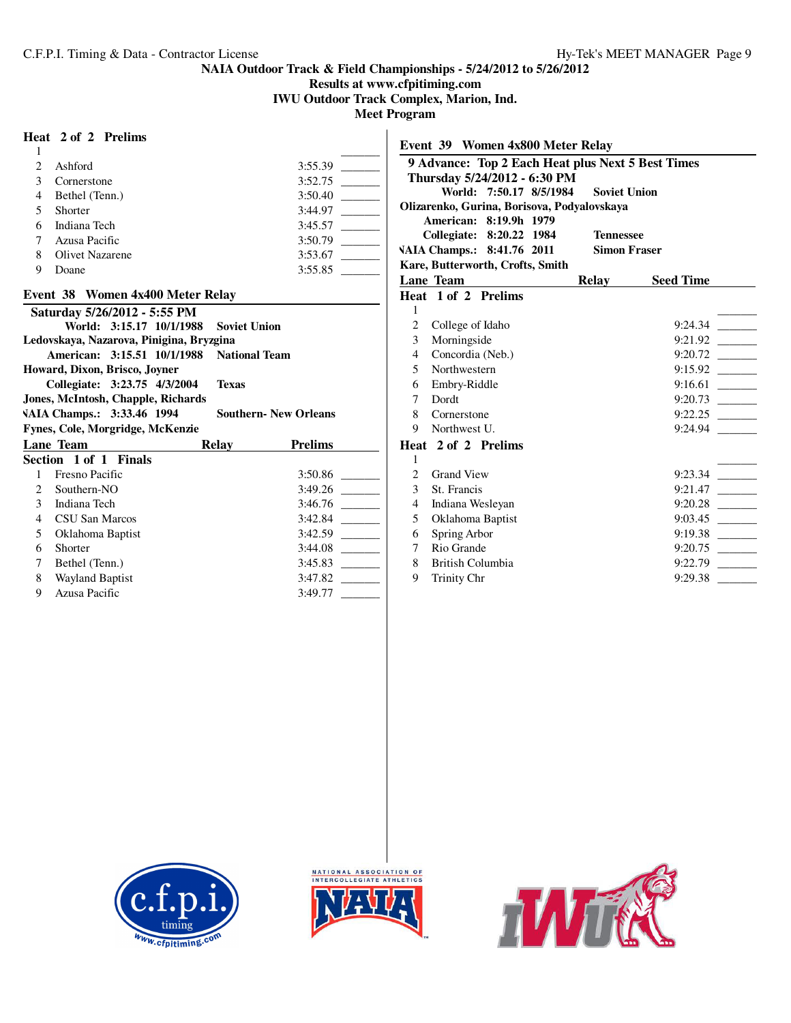**Results at www.cfpitiming.com**

**IWU Outdoor Track Complex, Marion, Ind.**

**Meet Program**

# **Heat 2 of 2 Prelims**

| Heat 2 of 2 Prelims                       |                             | Event 39 Women 4x800 Meter Relay                                      |                                                   |
|-------------------------------------------|-----------------------------|-----------------------------------------------------------------------|---------------------------------------------------|
|                                           |                             |                                                                       |                                                   |
| Ashford<br>$\overline{c}$                 |                             |                                                                       | 9 Advance: Top 2 Each Heat plus Next 5 Best Times |
| 3<br>Cornerstone                          | 3:52.75                     | Thursday 5/24/2012 - 6:30 PM<br>World: 7:50.17 8/5/1984               | <b>Soviet Union</b>                               |
| Bethel (Tenn.)<br>4                       | 3:50.40                     |                                                                       |                                                   |
| 5<br>Shorter                              |                             | Olizarenko, Gurina, Borisova, Podyalovskaya<br>American: 8:19.9h 1979 |                                                   |
| Indiana Tech<br>6                         | 3:45.57                     |                                                                       | <b>Tennessee</b>                                  |
| Azusa Pacific                             |                             | Collegiate: 8:20.22 1984                                              | <b>Simon Fraser</b>                               |
| 8<br><b>Olivet Nazarene</b>               | 3:53.67                     | VAIA Champs.: 8:41.76 2011                                            |                                                   |
| 9<br>Doane                                | 3:55.85                     | Kare, Butterworth, Crofts, Smith                                      |                                                   |
|                                           |                             | Lane Team                                                             | Relay<br><b>Seed Time</b>                         |
| Event 38 Women 4x400 Meter Relay          |                             | Heat 1 of 2 Prelims                                                   |                                                   |
| Saturday 5/26/2012 - 5:55 PM              |                             |                                                                       |                                                   |
| World: 3:15.17 10/1/1988                  | <b>Soviet Union</b>         | College of Idaho                                                      |                                                   |
| Ledovskaya, Nazarova, Pinigina, Bryzgina  |                             | Morningside<br>3                                                      |                                                   |
| American: 3:15.51 10/1/1988 National Team |                             | Concordia (Neb.)<br>4                                                 |                                                   |
| Howard, Dixon, Brisco, Joyner             |                             | Northwestern<br>5                                                     |                                                   |
| Collegiate: 3:23.75 4/3/2004              | <b>Texas</b>                | Embry-Riddle<br>6                                                     |                                                   |
| Jones, McIntosh, Chapple, Richards        |                             | Dordt<br>7                                                            |                                                   |
| VAIA Champs.: 3:33.46 1994                | <b>Southern-New Orleans</b> | 8<br>Cornerstone                                                      |                                                   |
| Fynes, Cole, Morgridge, McKenzie          |                             | Northwest U.<br>9                                                     | 9:24.94                                           |
| Lane Team<br>Relay                        | <b>Prelims</b>              | Heat 2 of 2 Prelims                                                   |                                                   |
| Section 1 of 1 Finals                     |                             | $\mathbf{1}$                                                          |                                                   |
| Fresno Pacific                            |                             | $\overline{c}$<br><b>Grand View</b>                                   |                                                   |
| Southern-NO                               |                             | 3<br>St. Francis                                                      |                                                   |
| 3<br>Indiana Tech                         | 3:46.76                     | Indiana Wesleyan<br>4                                                 |                                                   |
| CSU San Marcos<br>$\overline{4}$          |                             | Oklahoma Baptist<br>5                                                 |                                                   |
| Oklahoma Baptist<br>5                     |                             | Spring Arbor<br>6                                                     |                                                   |
| Shorter<br>6                              |                             | Rio Grande<br>7                                                       |                                                   |
| Bethel (Tenn.)                            |                             | <b>British Columbia</b><br>8                                          |                                                   |
| Wayland Baptist<br>8                      |                             | 9<br>Trinity Chr                                                      | 9:29.38                                           |
| 9<br>Azusa Pacific                        | 3:49.77                     |                                                                       |                                                   |





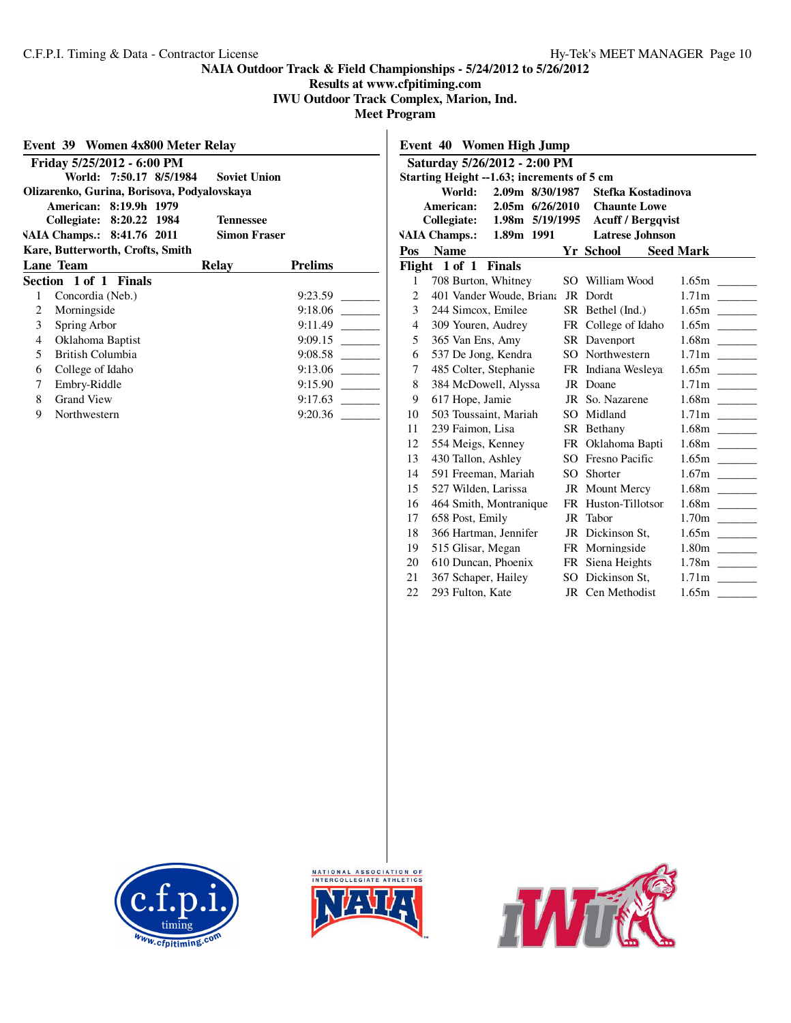# **Results at www.cfpitiming.com**

**IWU Outdoor Track Complex, Marion, Ind.**

| Event 39 Women 4x800 Meter Relay             |                                                |                     |                |  |  |  |  |  |
|----------------------------------------------|------------------------------------------------|---------------------|----------------|--|--|--|--|--|
| Friday 5/25/2012 - 6:00 PM                   |                                                |                     |                |  |  |  |  |  |
|                                              | World: 7:50.17 8/5/1984<br><b>Soviet Union</b> |                     |                |  |  |  |  |  |
|                                              | Olizarenko, Gurina, Borisova, Podyalovskaya    |                     |                |  |  |  |  |  |
| American: 8:19.9h 1979                       |                                                |                     |                |  |  |  |  |  |
| Collegiate: 8:20.22 1984<br><b>Tennessee</b> |                                                |                     |                |  |  |  |  |  |
|                                              | VAIA Champs.: 8:41.76 2011                     | <b>Simon Fraser</b> |                |  |  |  |  |  |
|                                              | Kare, Butterworth, Crofts, Smith               |                     |                |  |  |  |  |  |
|                                              | Lane Team                                      | Relay               | <b>Prelims</b> |  |  |  |  |  |
|                                              | Section 1 of 1 Finals                          |                     |                |  |  |  |  |  |
| 1                                            | Concordia (Neb.)                               |                     | 9:23.59        |  |  |  |  |  |
| $\overline{2}$                               | Morningside                                    |                     | 9:18.06        |  |  |  |  |  |
| 3                                            | Spring Arbor                                   |                     | 9:11.49        |  |  |  |  |  |
| $\overline{4}$                               | Oklahoma Baptist                               |                     | 9:09.15        |  |  |  |  |  |
| 5.                                           | British Columbia                               |                     | 9:08.58        |  |  |  |  |  |
| 6                                            | College of Idaho                               |                     | 9:13.06        |  |  |  |  |  |
| 7                                            | Embry-Riddle                                   |                     | 9:15.90        |  |  |  |  |  |
| 8                                            | <b>Grand View</b>                              |                     | 9:17.63        |  |  |  |  |  |
| 9                                            | Northwestern                                   |                     | 9:20.36        |  |  |  |  |  |
|                                              |                                                |                     |                |  |  |  |  |  |

|                | Event 40<br>Women High Jump                                  |     |                          |                  |  |  |
|----------------|--------------------------------------------------------------|-----|--------------------------|------------------|--|--|
|                | Saturday 5/26/2012 - 2:00 PM                                 |     |                          |                  |  |  |
|                | Starting Height --1.63; increments of 5 cm                   |     |                          |                  |  |  |
|                | 2.09m 8/30/1987<br>World:                                    |     | Stefka Kostadinova       |                  |  |  |
|                | American:<br>2.05m 6/26/2010                                 |     | <b>Chaunte Lowe</b>      |                  |  |  |
|                | 1.98m 5/19/1995<br>Collegiate:                               |     | <b>Acuff / Bergqvist</b> |                  |  |  |
|                | <b>VAIA Champs.:</b><br><b>Latrese</b> Johnson<br>1.89m 1991 |     |                          |                  |  |  |
| Pos            | <b>Name</b>                                                  |     | Yr School                | <b>Seed Mark</b> |  |  |
|                | Flight 1 of 1<br><b>Finals</b>                               |     |                          |                  |  |  |
| 1              | 708 Burton, Whitney                                          | SO. | William Wood             |                  |  |  |
| $\overline{c}$ | 401 Vander Woude, Briana                                     |     | JR Dordt                 |                  |  |  |
| 3              | 244 Simcox, Emilee                                           |     | SR Bethel (Ind.)         |                  |  |  |
| $\overline{4}$ | 309 Youren, Audrey                                           |     | FR College of Idaho      |                  |  |  |
| 5              | 365 Van Ens, Amy                                             |     | SR Davenport             |                  |  |  |
| 6              | 537 De Jong, Kendra                                          |     | SO Northwestern          |                  |  |  |
| 7              | 485 Colter, Stephanie                                        |     | FR Indiana Wesleya       |                  |  |  |
| 8              | 384 McDowell, Alyssa                                         |     | JR Doane                 |                  |  |  |
| 9              | 617 Hope, Jamie                                              |     | JR So. Nazarene          |                  |  |  |
| 10             | 503 Toussaint, Mariah                                        |     | SO Midland               |                  |  |  |
| 11             | 239 Faimon, Lisa                                             |     | SR Bethany               |                  |  |  |
| 12             | 554 Meigs, Kenney                                            |     | FR Oklahoma Bapti        |                  |  |  |
| 13             | 430 Tallon, Ashley                                           |     | SO Fresno Pacific        |                  |  |  |
| 14             | 591 Freeman, Mariah                                          | SO. | Shorter                  |                  |  |  |
| 15             | 527 Wilden, Larissa                                          |     | <b>JR</b> Mount Mercy    |                  |  |  |
| 16             | 464 Smith, Montranique                                       | FR  | Huston-Tillotson         |                  |  |  |
| 17             | 658 Post, Emily                                              | JR  | Tabor                    |                  |  |  |
| 18             | 366 Hartman, Jennifer                                        |     | JR Dickinson St,         |                  |  |  |
| 19             | 515 Glisar, Megan                                            |     | FR Morningside           |                  |  |  |
| 20             | 610 Duncan, Phoenix                                          |     | FR Siena Heights         |                  |  |  |
| 21             | 367 Schaper, Hailey                                          |     | SO Dickinson St,         |                  |  |  |
| 22             | 293 Fulton, Kate                                             |     | JR Cen Methodist         |                  |  |  |
|                |                                                              |     |                          |                  |  |  |





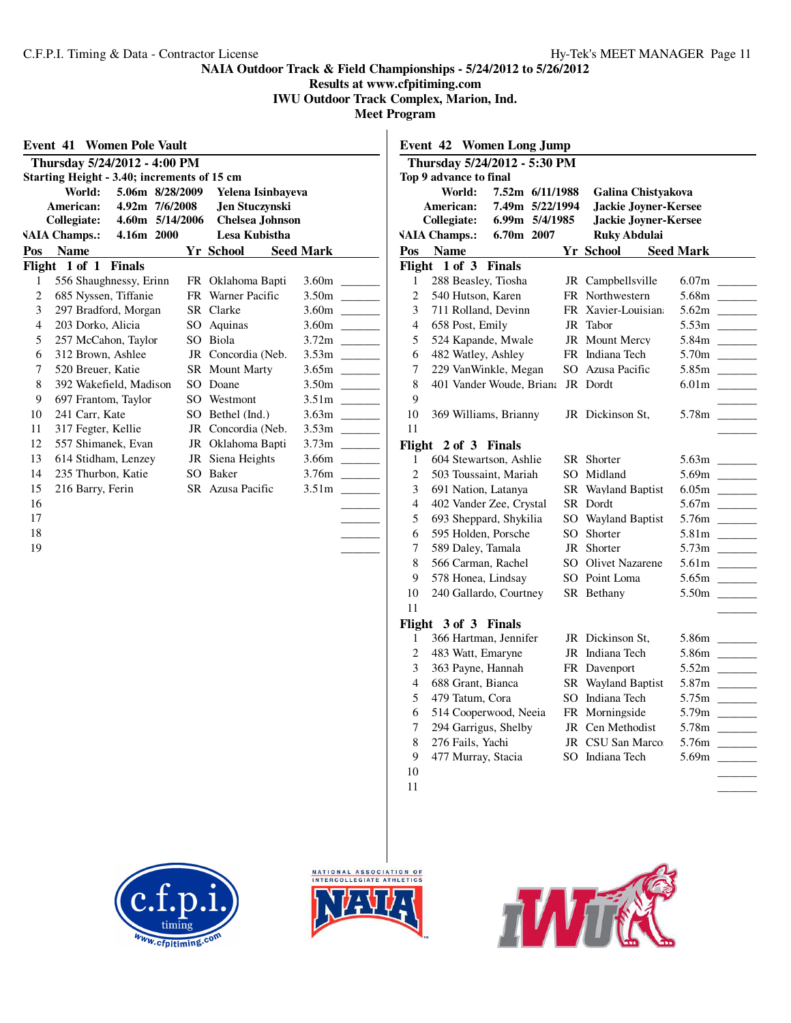**Results at www.cfpitiming.com**

**IWU Outdoor Track Complex, Marion, Ind.**

**Meet Program**

|                |                                             | Thursday 5/24/2012 - 4:00 PM |  |                    |                        |                   |  |
|----------------|---------------------------------------------|------------------------------|--|--------------------|------------------------|-------------------|--|
|                | Starting Height - 3.40; increments of 15 cm |                              |  |                    |                        |                   |  |
|                | World:                                      | 5.06m 8/28/2009              |  |                    | Yelena Isinbayeva      |                   |  |
|                | American: 4.92m 7/6/2008                    |                              |  | Jen Stuczynski     |                        |                   |  |
|                | Collegiate:                                 | 4.60m 5/14/2006              |  |                    | <b>Chelsea Johnson</b> |                   |  |
|                | <b>VAIA Champs.:</b>                        | 4.16m 2000                   |  | Lesa Kubistha      |                        |                   |  |
| Pos            | <b>Name</b>                                 |                              |  | Yr School          |                        | <b>Seed Mark</b>  |  |
| Flight         | 1 of 1                                      | <b>Finals</b>                |  |                    |                        |                   |  |
| 1              | 556 Shaughnessy, Erinn                      |                              |  | FR Oklahoma Bapti  |                        | 3.60m             |  |
| 2              | 685 Nyssen, Tiffanie                        |                              |  | FR Warner Pacific  |                        | 3.50 <sub>m</sub> |  |
| 3              | 297 Bradford, Morgan                        |                              |  | SR Clarke          |                        | 3.60m             |  |
| $\overline{4}$ | 203 Dorko, Alicia                           |                              |  | SO Aquinas         |                        | 3.60 <sub>m</sub> |  |
| 5              | 257 McCahon, Taylor                         |                              |  | SO Biola           |                        | 3.72 <sub>m</sub> |  |
| 6              | 312 Brown, Ashlee                           |                              |  | JR Concordia (Neb. |                        | 3.53 <sub>m</sub> |  |
| 7              | 520 Breuer, Katie                           |                              |  | SR Mount Marty     |                        | 3.65m             |  |
| 8              | 392 Wakefield, Madison                      |                              |  | SO Doane           |                        |                   |  |
| 9              | 697 Frantom, Taylor                         |                              |  | SO Westmont        |                        | 3.51 <sub>m</sub> |  |
| 10             | 241 Carr, Kate                              |                              |  | SO Bethel (Ind.)   |                        | 3.63m             |  |
| 11             | 317 Fegter, Kellie                          |                              |  | JR Concordia (Neb. |                        | 3.53 <sub>m</sub> |  |
| 12             | 557 Shimanek, Evan                          |                              |  | JR Oklahoma Bapti  |                        | 3.73 <sub>m</sub> |  |
| 13             | 614 Stidham, Lenzey                         |                              |  | JR Siena Heights   |                        | 3.66m             |  |
| 14             | 235 Thurbon, Katie                          |                              |  | SO Baker           |                        | 3.76m             |  |
| 15             | 216 Barry, Ferin                            |                              |  | SR Azusa Pacific   |                        | 3.51 <sub>m</sub> |  |
| 16             |                                             |                              |  |                    |                        |                   |  |
| 17<br>18       |                                             |                              |  |                    |                        |                   |  |
| 19             |                                             |                              |  |                    |                        |                   |  |
|                |                                             |                              |  |                    |                        |                   |  |
|                |                                             |                              |  |                    |                        |                   |  |
|                |                                             |                              |  |                    |                        |                   |  |
|                |                                             |                              |  |                    |                        |                   |  |
|                |                                             |                              |  |                    |                        |                   |  |
|                |                                             |                              |  |                    |                        |                   |  |
|                |                                             |                              |  |                    |                        |                   |  |
|                |                                             |                              |  |                    |                        |                   |  |
|                |                                             |                              |  |                    |                        |                   |  |
|                |                                             |                              |  |                    |                        |                   |  |
|                |                                             |                              |  |                    |                        |                   |  |
|                |                                             |                              |  |                    |                        |                   |  |
|                |                                             |                              |  |                    |                        |                   |  |
|                |                                             |                              |  |                    |                        |                   |  |
|                |                                             |                              |  |                    |                        |                   |  |
|                |                                             |                              |  |                    |                        |                   |  |
|                |                                             |                              |  |                    |                        |                   |  |
|                |                                             |                              |  |                    |                        |                   |  |
|                |                                             |                              |  |                    |                        |                   |  |
|                |                                             |                              |  |                    |                        |                   |  |

|                | <b>Event 42 Women Long Jump</b>      |     |                             |                   |
|----------------|--------------------------------------|-----|-----------------------------|-------------------|
|                | Thursday 5/24/2012 - 5:30 PM         |     |                             |                   |
|                | Top 9 advance to final               |     |                             |                   |
|                | World:<br>7.52m 6/11/1988            |     | Galina Chistyakova          |                   |
|                | 7.49m 5/22/1994<br>American:         |     | <b>Jackie Joyner-Kersee</b> |                   |
|                | <b>Collegiate:</b><br>6.99m 5/4/1985 |     | <b>Jackie Joyner-Kersee</b> |                   |
|                | <b>VAIA Champs.:</b><br>6.70m 2007   |     | <b>Ruky Abdulai</b>         |                   |
| Pos            | <b>Name</b>                          |     | Yr School                   | <b>Seed Mark</b>  |
| Flight         | 1 of 3<br><b>Finals</b>              |     |                             |                   |
| 1              | 288 Beasley, Tiosha                  |     | JR Campbellsville           |                   |
| $\overline{c}$ | 540 Hutson, Karen                    |     | FR Northwestern             |                   |
| 3              | 711 Rolland, Devinn                  |     | FR Xavier-Louisian          |                   |
| $\overline{4}$ | 658 Post, Emily                      | JR  | Tabor                       |                   |
| 5              | 524 Kapande, Mwale                   |     | <b>JR</b> Mount Mercy       |                   |
| 6              | 482 Watley, Ashley                   |     | FR Indiana Tech             | 5.70m             |
| 7              | 229 VanWinkle, Megan                 |     | SO Azusa Pacific            |                   |
| 8              | 401 Vander Woude, Briana             | JR  | Dordt                       | 6.01 <sub>m</sub> |
| 9              |                                      |     |                             |                   |
| 10             | 369 Williams, Brianny                |     | JR Dickinson St.            |                   |
| 11             |                                      |     |                             |                   |
|                | Flight 2 of 3 Finals                 |     |                             |                   |
| 1              | 604 Stewartson, Ashlie               |     | SR Shorter                  | 5.63m             |
| $\overline{c}$ | 503 Toussaint, Mariah                | SO. | Midland                     | 5.69m             |
| 3              | 691 Nation, Latanya                  |     | <b>SR</b> Wayland Baptist   |                   |
| $\overline{4}$ | 402 Vander Zee, Crystal              |     | SR Dordt                    |                   |
| 5              | 693 Sheppard, Shykilia               |     | SO Wayland Baptist          | 5.76m             |
| 6              | 595 Holden, Porsche                  |     | SO Shorter                  |                   |
| 7              | 589 Daley, Tamala                    | JR  | Shorter                     |                   |
| 8              | 566 Carman, Rachel                   |     | SO Olivet Nazarene          |                   |
| 9              | 578 Honea, Lindsay                   |     | SO Point Loma               |                   |
| 10             | 240 Gallardo, Courtney               |     | SR Bethany                  | 5.50m             |
| 11             |                                      |     |                             |                   |
|                | Flight 3 of 3 Finals                 |     |                             |                   |
| 1              | 366 Hartman, Jennifer                | JR  | Dickinson St.               |                   |
| 2              | 483 Watt, Emaryne                    |     | JR Indiana Tech             |                   |
| 3              | 363 Payne, Hannah                    |     | FR Davenport                |                   |
| $\overline{4}$ | 688 Grant, Bianca                    |     | SR Wayland Baptist          | 5.87m             |
| 5              | 479 Tatum, Cora                      |     | SO Indiana Tech             |                   |
| 6              | 514 Cooperwood, Neeia                |     | FR Morningside              |                   |
| 7              | 294 Garrigus, Shelby                 |     | JR Cen Methodist            |                   |
| 8              | 276 Fails, Yachi                     | JR  | CSU San Marco               |                   |
| 9              | 477 Murray, Stacia                   |     | SO Indiana Tech             |                   |
| 10             |                                      |     |                             |                   |

 $\overline{\phantom{a}}$   $\overline{\phantom{a}}$   $\overline{\phantom{a}}$   $\overline{\phantom{a}}$   $\overline{\phantom{a}}$   $\overline{\phantom{a}}$   $\overline{\phantom{a}}$   $\overline{\phantom{a}}$   $\overline{\phantom{a}}$   $\overline{\phantom{a}}$   $\overline{\phantom{a}}$   $\overline{\phantom{a}}$   $\overline{\phantom{a}}$   $\overline{\phantom{a}}$   $\overline{\phantom{a}}$   $\overline{\phantom{a}}$   $\overline{\phantom{a}}$   $\overline{\phantom{a}}$ 





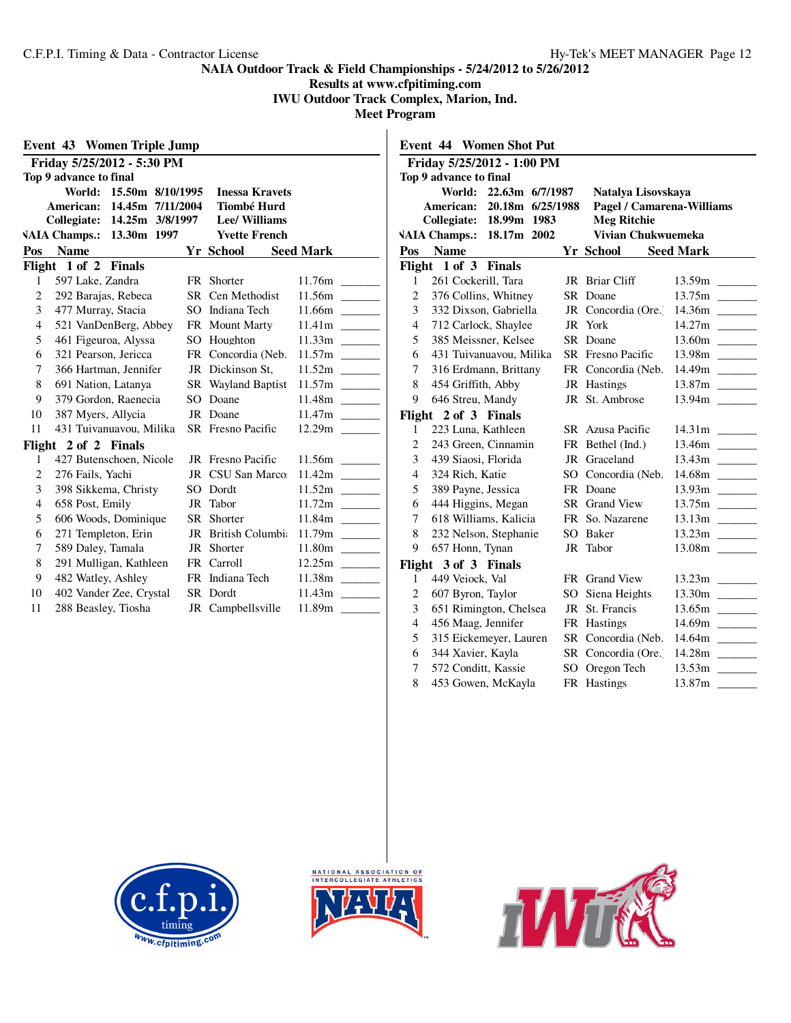**Results at www.cfpitiming.com**

**IWU Outdoor Track Complex, Marion, Ind.**

|                | <b>Event 43 Women Triple Jump</b> |                         |      |                          |                  |
|----------------|-----------------------------------|-------------------------|------|--------------------------|------------------|
|                | Friday 5/25/2012 - 5:30 PM        |                         |      |                          |                  |
|                | Top 9 advance to final            |                         |      |                          |                  |
|                |                                   | World: 15.50m 8/10/1995 |      | <b>Inessa Kravets</b>    |                  |
|                | American:                         | 14.45m 7/11/2004        |      | <b>Tiombé Hurd</b>       |                  |
|                | Collegiate:                       | 14.25m 3/8/1997         |      | <b>Lee/Williams</b>      |                  |
|                | <b>VAIA Champs.:</b>              | 13.30m 1997             |      | <b>Yvette French</b>     |                  |
| Pos            | <b>Name</b>                       |                         |      | Yr School                | <b>Seed Mark</b> |
|                | Flight $1$ of $2$                 | <b>Finals</b>           |      |                          |                  |
| 1              | 597 Lake, Zandra                  |                         |      | FR Shorter               | 11.76m           |
| $\overline{c}$ | 292 Barajas, Rebeca               |                         |      | SR Cen Methodist         |                  |
| 3              | 477 Murray, Stacia                |                         |      | SO Indiana Tech          |                  |
| $\overline{4}$ | 521 VanDenBerg, Abbey             |                         |      | FR Mount Marty           |                  |
| 5              | 461 Figeuroa, Alyssa              |                         |      | SO Houghton              |                  |
| 6              | 321 Pearson, Jericca              |                         |      | FR Concordia (Neb.       |                  |
| 7              | 366 Hartman, Jennifer             |                         |      | JR Dickinson St.         | 11.52m           |
| 8              | 691 Nation, Latanya               |                         |      | SR Wayland Baptist       |                  |
| 9              | 379 Gordon, Raenecia              |                         |      | SO Doane                 |                  |
| 10             | 387 Myers, Allycia                |                         |      | JR Doane                 |                  |
| 11             | 431 Tuivanuavou, Milika           |                         |      | <b>SR</b> Fresno Pacific |                  |
|                | Flight 2 of 2 Finals              |                         |      |                          |                  |
| 1              | 427 Butenschoen, Nicole           |                         |      | JR Fresno Pacific        |                  |
| $\overline{c}$ | 276 Fails, Yachi                  |                         | JR   | CSU San Marco:           |                  |
| 3              | 398 Sikkema, Christy              |                         | SO.  | Dordt                    |                  |
| 4              | 658 Post, Emily                   |                         | JR   | Tabor                    |                  |
| 5              | 606 Woods, Dominique              |                         |      | SR Shorter               |                  |
| 6              | 271 Templeton, Erin               |                         | JR   | <b>British Columbia</b>  |                  |
| 7              | 589 Daley, Tamala                 |                         | JR   | Shorter                  |                  |
| 8              | 291 Mulligan, Kathleen            |                         |      | FR Carroll               |                  |
| 9              | 482 Watley, Ashley                |                         |      | FR Indiana Tech          |                  |
| 10             | 402 Vander Zee, Crystal           |                         | SR - | Dordt                    |                  |
| 11             | 288 Beasley, Tiosha               |                         |      | JR Campbellsville        | 11.89m           |

|                                                                                                | <b>Event 44 Women Shot Put</b>             |    |                               |        |  |  |
|------------------------------------------------------------------------------------------------|--------------------------------------------|----|-------------------------------|--------|--|--|
|                                                                                                | Friday 5/25/2012 - 1:00 PM                 |    |                               |        |  |  |
|                                                                                                | Top 9 advance to final                     |    |                               |        |  |  |
|                                                                                                | World:<br>22.63m 6/7/1987                  |    | Natalya Lisovskaya            |        |  |  |
|                                                                                                | American:<br>20.18m 6/25/1988              |    | Pagel / Camarena-Williams     |        |  |  |
| Collegiate:<br><b>Meg Ritchie</b><br>18.99m 1983<br>Vivian Chukwuemeka<br><b>VAIA Champs.:</b> |                                            |    |                               |        |  |  |
|                                                                                                | 18.17m 2002                                |    |                               |        |  |  |
|                                                                                                | Pos Name                                   |    | Yr School Seed Mark           |        |  |  |
|                                                                                                | Flight 1 of 3<br><b>Finals</b>             |    |                               |        |  |  |
| 1                                                                                              | 261 Cockerill, Tara                        |    | JR Briar Cliff                |        |  |  |
| $\overline{2}$                                                                                 | 376 Collins, Whitney                       |    | SR Doane                      |        |  |  |
| 3                                                                                              | 332 Dixson, Gabriella                      |    | JR Concordia (Ore.)           | 14.36m |  |  |
| $\overline{4}$                                                                                 | 712 Carlock, Shaylee                       | JR | York                          |        |  |  |
| 5<br>6                                                                                         | 385 Meissner, Kelsee                       |    | SR Doane                      |        |  |  |
| 7                                                                                              | 431 Tuivanuavou, Milika                    |    | <b>SR</b> Fresno Pacific      |        |  |  |
| 8                                                                                              | 316 Erdmann, Brittany                      |    | FR Concordia (Neb.            | 14.49m |  |  |
| 9                                                                                              | 454 Griffith, Abby                         |    | JR Hastings<br>JR St. Ambrose |        |  |  |
|                                                                                                | 646 Streu, Mandy                           |    |                               |        |  |  |
| 1                                                                                              | Flight 2 of 3 Finals<br>223 Luna, Kathleen |    | SR Azusa Pacific              |        |  |  |
| $\overline{2}$                                                                                 | 243 Green, Cinnamin                        |    | FR Bethel (Ind.)              |        |  |  |
| 3                                                                                              | 439 Siaosi, Florida                        |    | JR Graceland                  |        |  |  |
| $\overline{4}$                                                                                 | 324 Rich, Katie                            |    | SO Concordia (Neb.            |        |  |  |
| 5                                                                                              | 389 Payne, Jessica                         |    | FR Doane                      |        |  |  |
| 6                                                                                              | 444 Higgins, Megan                         |    | SR Grand View                 |        |  |  |
| 7                                                                                              | 618 Williams, Kalicia                      |    | FR So. Nazarene               |        |  |  |
| 8                                                                                              | 232 Nelson, Stephanie                      |    | SO Baker                      |        |  |  |
| 9                                                                                              | 657 Honn, Tynan                            | JR | Tabor                         |        |  |  |
|                                                                                                | Flight 3 of 3 Finals                       |    |                               |        |  |  |
| 1                                                                                              | 449 Veiock, Val                            |    | FR Grand View                 |        |  |  |
| $\overline{2}$                                                                                 | 607 Byron, Taylor                          |    | SO Siena Heights              |        |  |  |
| 3                                                                                              | 651 Rimington, Chelsea                     |    | JR St. Francis                |        |  |  |
| $\overline{4}$                                                                                 | 456 Maag, Jennifer                         |    | FR Hastings                   |        |  |  |
| 5                                                                                              | 315 Eickemeyer, Lauren                     |    | SR Concordia (Neb.            |        |  |  |
| 6                                                                                              | 344 Xavier, Kayla                          |    | SR Concordia (Ore.)           |        |  |  |
| 7                                                                                              | 572 Conditt, Kassie                        |    | SO Oregon Tech                | 13.53m |  |  |
| 8                                                                                              | 453 Gowen, McKayla                         |    | FR Hastings                   | 13.87m |  |  |





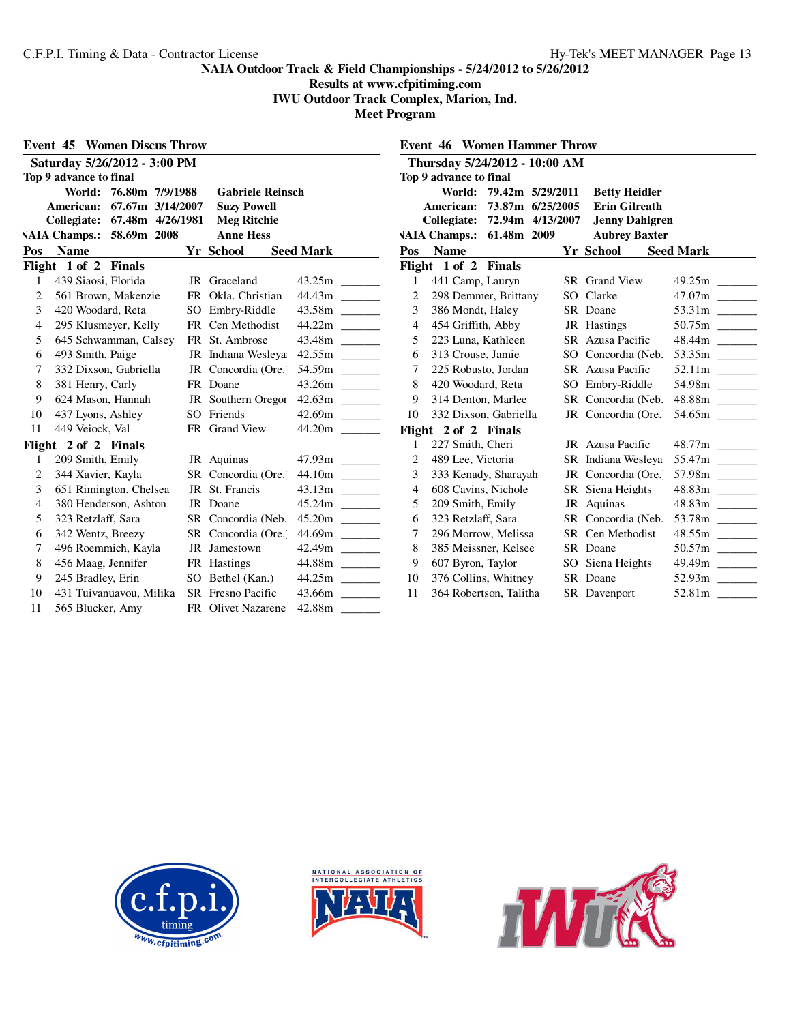**Results at www.cfpitiming.com**

**IWU Outdoor Track Complex, Marion, Ind.**

|                        | <b>Event 45 Women Discus Throw</b>  |    |                          |                                                                                                       |  |  |
|------------------------|-------------------------------------|----|--------------------------|-------------------------------------------------------------------------------------------------------|--|--|
|                        | Saturday 5/26/2012 - 3:00 PM        |    |                          |                                                                                                       |  |  |
| Top 9 advance to final |                                     |    |                          |                                                                                                       |  |  |
|                        | World: 76.80m 7/9/1988              |    | <b>Gabriele Reinsch</b>  |                                                                                                       |  |  |
|                        | American:<br>67.67m 3/14/2007       |    | <b>Suzy Powell</b>       |                                                                                                       |  |  |
|                        | Collegiate:<br>67.48m 4/26/1981     |    | <b>Meg Ritchie</b>       |                                                                                                       |  |  |
|                        | 58.69m 2008<br><b>VAIA Champs.:</b> |    | <b>Anne Hess</b>         |                                                                                                       |  |  |
| Pos                    | <b>Name</b>                         |    | <b>Yr School</b>         | <b>Seed Mark</b>                                                                                      |  |  |
|                        | Flight $1$ of $2$<br><b>Finals</b>  |    |                          |                                                                                                       |  |  |
| 1                      | 439 Siaosi, Florida                 |    | JR Graceland             | 43.25m                                                                                                |  |  |
| 2                      | 561 Brown, Makenzie                 |    | FR Okla, Christian       | 44.43m                                                                                                |  |  |
| 3                      | 420 Woodard, Reta                   |    | SO Embry-Riddle          | 43.58m<br><b>Contract</b>                                                                             |  |  |
| $\overline{4}$         | 295 Klusmeyer, Kelly                |    | FR Cen Methodist         | 44.22m                                                                                                |  |  |
| 5                      | 645 Schwamman, Calsey               |    | FR St. Ambrose           | 43.48m                                                                                                |  |  |
| 6                      | 493 Smith, Paige                    |    | JR Indiana Wesleya       |                                                                                                       |  |  |
| 7                      | 332 Dixson, Gabriella               |    | JR Concordia (Ore.)      | 54.59m                                                                                                |  |  |
| 8                      | 381 Henry, Carly                    |    | FR Doane                 |                                                                                                       |  |  |
| 9                      | 624 Mason, Hannah                   |    | JR Southern Oregor       |                                                                                                       |  |  |
| 10                     | 437 Lyons, Ashley                   |    | SO Friends               | 42.69m<br><b>Contract Contract</b>                                                                    |  |  |
| 11                     | 449 Veiock, Val                     |    | FR Grand View            | 44.20m                                                                                                |  |  |
|                        | Flight 2 of 2 Finals                |    |                          |                                                                                                       |  |  |
| 1                      | 209 Smith, Emily                    |    | JR Aquinas               |                                                                                                       |  |  |
| $\overline{c}$         | 344 Xavier, Kayla                   |    | SR Concordia (Ore.)      |                                                                                                       |  |  |
| 3                      | 651 Rimington, Chelsea              | JR | St. Francis              |                                                                                                       |  |  |
| $\overline{4}$         | 380 Henderson, Ashton               | JR | Doane                    |                                                                                                       |  |  |
| 5                      | 323 Retzlaff, Sara                  |    | SR Concordia (Neb.       |                                                                                                       |  |  |
| 6                      | 342 Wentz, Breezy                   |    | SR Concordia (Ore.)      | 44.69m                                                                                                |  |  |
| 7                      | 496 Roemmich, Kayla                 | JR | Jamestown                | 42.49m<br>$\mathcal{L}^{\mathcal{L}}$ and $\mathcal{L}^{\mathcal{L}}$ and $\mathcal{L}^{\mathcal{L}}$ |  |  |
| 8                      | 456 Maag, Jennifer                  |    | FR Hastings              | 44.88m                                                                                                |  |  |
| 9                      | 245 Bradley, Erin                   |    | SO Bethel (Kan.)         | 44.25m                                                                                                |  |  |
| 10                     | 431 Tuivanuavou, Milika             |    | <b>SR</b> Fresno Pacific | 43.66m                                                                                                |  |  |
| 11                     | 565 Blucker, Amy                    |    | FR Olivet Nazarene       | 42.88m                                                                                                |  |  |

|                | <b>Event 46 Women Hammer Throw</b>  |                  |                       |                                          |
|----------------|-------------------------------------|------------------|-----------------------|------------------------------------------|
|                | Thursday 5/24/2012 - 10:00 AM       |                  |                       |                                          |
|                | Top 9 advance to final              |                  |                       |                                          |
|                | World:                              | 79.42m 5/29/2011 | <b>Betty Heidler</b>  |                                          |
|                | American: 73.87m 6/25/2005          |                  | <b>Erin Gilreath</b>  |                                          |
|                | Collegiate:                         | 72.94m 4/13/2007 | <b>Jenny Dahlgren</b> |                                          |
|                | <b>VAIA Champs.:</b><br>61.48m 2009 |                  | <b>Aubrey Baxter</b>  |                                          |
| Pos            | <b>Name</b>                         |                  | Yr School             | <b>Seed Mark</b>                         |
|                | Flight 1 of 2 Finals                |                  |                       |                                          |
| 1              | 441 Camp, Lauryn                    |                  | SR Grand View         | 49.25m                                   |
| $\overline{c}$ | 298 Demmer, Brittany                | SO.              | Clarke                |                                          |
| 3              | 386 Mondt, Haley                    |                  | SR Doane              |                                          |
| $\overline{4}$ | 454 Griffith, Abby                  |                  | JR Hastings           |                                          |
| 5              | 223 Luna, Kathleen                  |                  | SR Azusa Pacific      | 48.44m                                   |
| 6              | 313 Crouse, Jamie                   | $SO_{-}$         | Concordia (Neb.       | 53.35m $\frac{1}{\sqrt{1-\frac{1}{2}}}\$ |
| 7              | 225 Robusto, Jordan                 |                  | SR Azusa Pacific      |                                          |
| 8              | 420 Woodard, Reta                   |                  | SO Embry-Riddle       | 54.98m                                   |
| 9              | 314 Denton, Marlee                  |                  | SR Concordia (Neb.    |                                          |
| 10             | 332 Dixson, Gabriella               |                  | JR Concordia (Ore.)   | 54.65m                                   |
|                | Flight 2 of 2 Finals                |                  |                       |                                          |
| 1              | 227 Smith, Cheri                    |                  | JR Azusa Pacific      |                                          |
| 2              | 489 Lee, Victoria                   |                  | SR Indiana Wesleva    |                                          |
| 3              | 333 Kenady, Sharayah                | JR               | Concordia (Ore.)      | 57.98m                                   |
| $\overline{4}$ | 608 Cavins, Nichole                 |                  | SR Siena Heights      | 48.83m                                   |
| 5              | 209 Smith, Emily                    |                  | JR Aquinas            |                                          |
| 6              | 323 Retzlaff, Sara                  |                  | SR Concordia (Neb.    | 53.78m                                   |
| 7              | 296 Morrow, Melissa                 |                  | SR Cen Methodist      | 48.55m                                   |
| 8              | 385 Meissner, Kelsee                |                  | SR Doane              |                                          |
| 9              | 607 Byron, Taylor                   | SO               | Siena Heights         |                                          |
| 10             | 376 Collins, Whitney                |                  | SR Doane              |                                          |
| 11             | 364 Robertson, Talitha              |                  | SR Davenport          | 52.81m                                   |





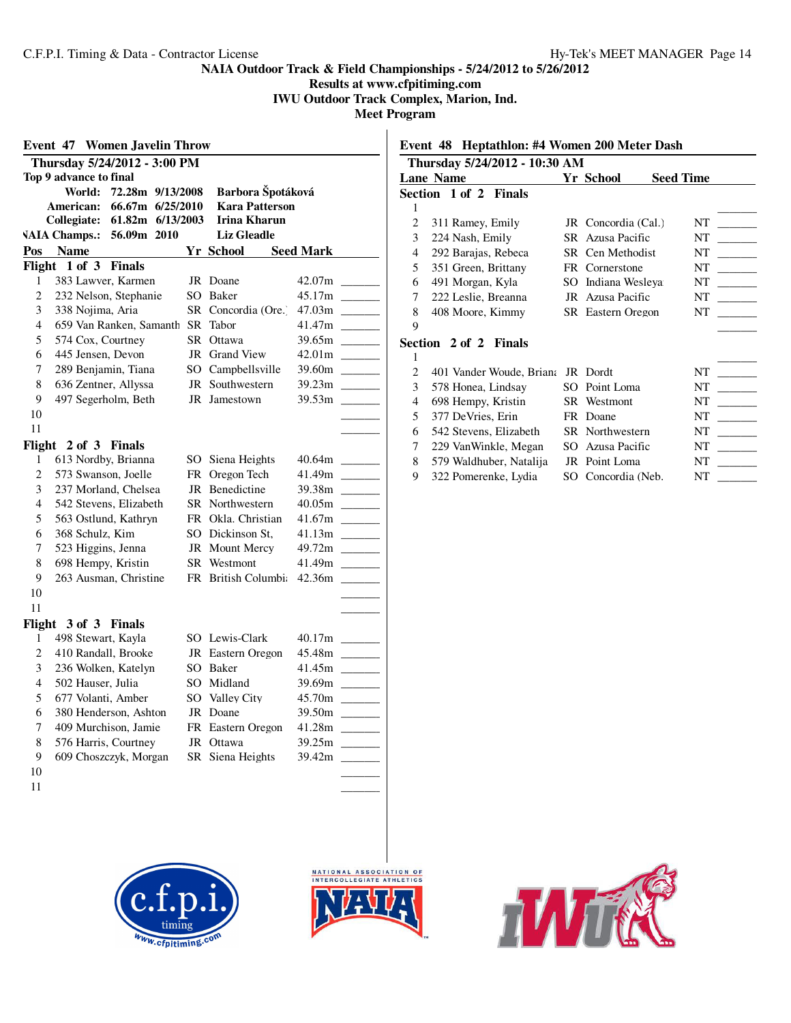**Results at www.cfpitiming.com IWU Outdoor Track Complex, Marion, Ind.**

**Meet Program**

 $\overline{\phantom{a}}$ 

| <b>Women Javelin Throw</b><br>Event 47 |                                     |           |                       |                                                                                                                                                                                                                                                                                                                                                                                                                                                                                      |  |  |  |
|----------------------------------------|-------------------------------------|-----------|-----------------------|--------------------------------------------------------------------------------------------------------------------------------------------------------------------------------------------------------------------------------------------------------------------------------------------------------------------------------------------------------------------------------------------------------------------------------------------------------------------------------------|--|--|--|
|                                        | Thursday 5/24/2012 - 3:00 PM        |           |                       |                                                                                                                                                                                                                                                                                                                                                                                                                                                                                      |  |  |  |
|                                        | Top 9 advance to final              |           |                       |                                                                                                                                                                                                                                                                                                                                                                                                                                                                                      |  |  |  |
|                                        | World:<br>72.28m 9/13/2008          |           | Barbora Špotáková     |                                                                                                                                                                                                                                                                                                                                                                                                                                                                                      |  |  |  |
|                                        | 66.67m 6/25/2010<br>American:       |           | <b>Kara Patterson</b> |                                                                                                                                                                                                                                                                                                                                                                                                                                                                                      |  |  |  |
|                                        | Collegiate:<br>61.82m 6/13/2003     |           | Irina Kharun          |                                                                                                                                                                                                                                                                                                                                                                                                                                                                                      |  |  |  |
|                                        | <b>VAIA Champs.:</b><br>56.09m 2010 |           | <b>Liz Gleadle</b>    |                                                                                                                                                                                                                                                                                                                                                                                                                                                                                      |  |  |  |
| Pos                                    | <b>Name</b>                         |           | Yr School             | <b>Seed Mark</b>                                                                                                                                                                                                                                                                                                                                                                                                                                                                     |  |  |  |
| Flight                                 | 1 of 3<br><b>Finals</b>             |           |                       |                                                                                                                                                                                                                                                                                                                                                                                                                                                                                      |  |  |  |
| 1                                      | 383 Lawver, Karmen                  |           | JR Doane              | 42.07m                                                                                                                                                                                                                                                                                                                                                                                                                                                                               |  |  |  |
| $\overline{c}$                         | 232 Nelson, Stephanie               | SO        | Baker                 |                                                                                                                                                                                                                                                                                                                                                                                                                                                                                      |  |  |  |
| 3                                      | 338 Nojima, Aria                    | SR        | Concordia (Ore.)      | 47.03m<br>$\sim 10^{11}$ m $^{-1}$                                                                                                                                                                                                                                                                                                                                                                                                                                                   |  |  |  |
| $\overline{4}$                         | 659 Van Ranken, Samanth             | <b>SR</b> | Tabor                 | 41.47m                                                                                                                                                                                                                                                                                                                                                                                                                                                                               |  |  |  |
| 5                                      | 574 Cox, Courtney                   | SR.       | Ottawa                | 39.65m                                                                                                                                                                                                                                                                                                                                                                                                                                                                               |  |  |  |
| 6                                      | 445 Jensen, Devon                   | JR        | Grand View            | 42.01m<br>$\sim 10^{11}$ m $^{-1}$                                                                                                                                                                                                                                                                                                                                                                                                                                                   |  |  |  |
| 7                                      | 289 Benjamin, Tiana                 |           | SO Campbellsville     |                                                                                                                                                                                                                                                                                                                                                                                                                                                                                      |  |  |  |
| 8                                      | 636 Zentner, Allyssa                |           | JR Southwestern       |                                                                                                                                                                                                                                                                                                                                                                                                                                                                                      |  |  |  |
| 9                                      | 497 Segerholm, Beth                 | JR        | Jamestown             | 39.53m                                                                                                                                                                                                                                                                                                                                                                                                                                                                               |  |  |  |
| 10                                     |                                     |           |                       |                                                                                                                                                                                                                                                                                                                                                                                                                                                                                      |  |  |  |
| 11                                     |                                     |           |                       |                                                                                                                                                                                                                                                                                                                                                                                                                                                                                      |  |  |  |
|                                        | Flight $2$ of $3$<br><b>Finals</b>  |           |                       |                                                                                                                                                                                                                                                                                                                                                                                                                                                                                      |  |  |  |
| 1                                      | 613 Nordby, Brianna                 |           | SO Siena Heights      | 40.64m                                                                                                                                                                                                                                                                                                                                                                                                                                                                               |  |  |  |
| $\overline{c}$                         | 573 Swanson, Joelle                 |           | FR Oregon Tech        | 41.49m<br>$\frac{1}{2} \left( \frac{1}{2} \right) \left( \frac{1}{2} \right) \left( \frac{1}{2} \right) \left( \frac{1}{2} \right) \left( \frac{1}{2} \right) \left( \frac{1}{2} \right) \left( \frac{1}{2} \right) \left( \frac{1}{2} \right) \left( \frac{1}{2} \right) \left( \frac{1}{2} \right) \left( \frac{1}{2} \right) \left( \frac{1}{2} \right) \left( \frac{1}{2} \right) \left( \frac{1}{2} \right) \left( \frac{1}{2} \right) \left( \frac{1}{2} \right) \left( \frac$ |  |  |  |
| 3                                      | 237 Morland, Chelsea                |           | JR Benedictine        | 39.38m                                                                                                                                                                                                                                                                                                                                                                                                                                                                               |  |  |  |
| 4                                      | 542 Stevens, Elizabeth              | SR -      | Northwestern          | 40.05m                                                                                                                                                                                                                                                                                                                                                                                                                                                                               |  |  |  |
| 5                                      | 563 Ostlund, Kathryn                |           | FR Okla. Christian    | 41.67m                                                                                                                                                                                                                                                                                                                                                                                                                                                                               |  |  |  |
| 6                                      | 368 Schulz, Kim                     |           | SO Dickinson St.      |                                                                                                                                                                                                                                                                                                                                                                                                                                                                                      |  |  |  |
| 7                                      | 523 Higgins, Jenna                  |           | JR Mount Mercy        |                                                                                                                                                                                                                                                                                                                                                                                                                                                                                      |  |  |  |
| 8                                      | 698 Hempy, Kristin                  |           | SR Westmont           | 41.49m                                                                                                                                                                                                                                                                                                                                                                                                                                                                               |  |  |  |
| 9                                      | 263 Ausman, Christine               |           | FR British Columbia   | 42.36m                                                                                                                                                                                                                                                                                                                                                                                                                                                                               |  |  |  |
| 10                                     |                                     |           |                       |                                                                                                                                                                                                                                                                                                                                                                                                                                                                                      |  |  |  |
| 11                                     |                                     |           |                       |                                                                                                                                                                                                                                                                                                                                                                                                                                                                                      |  |  |  |
|                                        | Flight 3 of 3 Finals                |           |                       |                                                                                                                                                                                                                                                                                                                                                                                                                                                                                      |  |  |  |
| 1                                      | 498 Stewart, Kayla                  |           | SO Lewis-Clark        | 40.17m                                                                                                                                                                                                                                                                                                                                                                                                                                                                               |  |  |  |
| $\overline{c}$                         | 410 Randall, Brooke                 |           | JR Eastern Oregon     | 45.48m<br>$\sim 10^{11}$ m $^{-1}$                                                                                                                                                                                                                                                                                                                                                                                                                                                   |  |  |  |
| 3                                      | 236 Wolken, Katelyn                 |           | SO Baker              | 41.45m                                                                                                                                                                                                                                                                                                                                                                                                                                                                               |  |  |  |
| 4                                      | 502 Hauser, Julia                   | SO.       | Midland               | 39.69m                                                                                                                                                                                                                                                                                                                                                                                                                                                                               |  |  |  |
| 5                                      | 677 Volanti, Amber                  |           | SO Valley City        | 45.70m<br>$\sim 10^{-10}$                                                                                                                                                                                                                                                                                                                                                                                                                                                            |  |  |  |
| 6                                      | 380 Henderson, Ashton               |           | JR Doane              |                                                                                                                                                                                                                                                                                                                                                                                                                                                                                      |  |  |  |
| 7                                      | 409 Murchison, Jamie                |           | FR Eastern Oregon     | 41.28m                                                                                                                                                                                                                                                                                                                                                                                                                                                                               |  |  |  |
| 8                                      | 576 Harris, Courtney                | JR        | Ottawa                | 39.25m                                                                                                                                                                                                                                                                                                                                                                                                                                                                               |  |  |  |
| 9                                      | 609 Choszczyk, Morgan               |           | SR Siena Heights      | 39.42m                                                                                                                                                                                                                                                                                                                                                                                                                                                                               |  |  |  |
| 10                                     |                                     |           |                       |                                                                                                                                                                                                                                                                                                                                                                                                                                                                                      |  |  |  |
| 11                                     |                                     |           |                       |                                                                                                                                                                                                                                                                                                                                                                                                                                                                                      |  |  |  |
|                                        |                                     |           |                       |                                                                                                                                                                                                                                                                                                                                                                                                                                                                                      |  |  |  |

# **Event 48 Heptathlon: #4 Women 200 Meter Dash**

| Thursday 5/24/2012 - 10:30 AM |                          |     |                     |                  |  |  |
|-------------------------------|--------------------------|-----|---------------------|------------------|--|--|
|                               | <b>Lane Name</b>         |     | Yr School           | <b>Seed Time</b> |  |  |
|                               | Section 1 of 2 Finals    |     |                     |                  |  |  |
| 1                             |                          |     |                     |                  |  |  |
| $\overline{c}$                | 311 Ramey, Emily         |     | JR Concordia (Cal.) | NT               |  |  |
| 3                             | 224 Nash, Emily          |     | SR Azusa Pacific    | NT               |  |  |
| 4                             | 292 Barajas, Rebeca      |     | SR Cen Methodist    | NT               |  |  |
| 5                             | 351 Green, Brittany      |     | FR Cornerstone      | NT               |  |  |
| 6                             | 491 Morgan, Kyla         | SO. | Indiana Wesleya     | NT               |  |  |
| 7                             | 222 Leslie, Breanna      |     | JR Azusa Pacific    | NT               |  |  |
| 8                             | 408 Moore, Kimmy         |     | SR Eastern Oregon   | NT               |  |  |
| 9                             |                          |     |                     |                  |  |  |
|                               | Section 2 of 2 Finals    |     |                     |                  |  |  |
| 1                             |                          |     |                     |                  |  |  |
| 2                             | 401 Vander Woude, Briana |     | JR Dordt            | NT               |  |  |
| 3                             | 578 Honea, Lindsay       | SO  | Point Loma          | NT               |  |  |
| 4                             | 698 Hempy, Kristin       |     | SR Westmont         | NT               |  |  |
| 5                             | 377 DeVries, Erin        |     | FR Doane            | NT               |  |  |
| 6                             | 542 Stevens, Elizabeth   |     | SR Northwestern     | NT               |  |  |
| 7                             | 229 VanWinkle, Megan     | SO  | Azusa Pacific       | NT               |  |  |
| 8                             | 579 Waldhuber, Natalija  |     | JR Point Loma       | NT               |  |  |
| 9                             | 322 Pomerenke, Lydia     |     | SO Concordia (Neb.  | NT               |  |  |





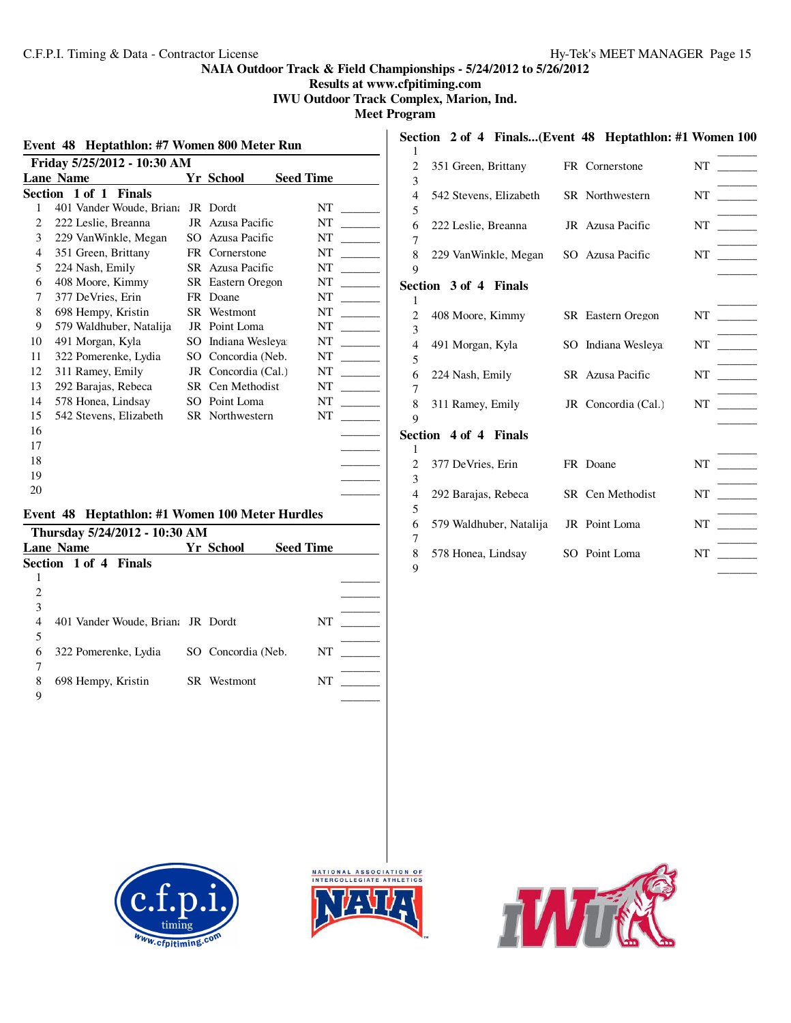**Results at www.cfpitiming.com**

**IWU Outdoor Track Complex, Marion, Ind.**

**Meet Program**

|                  | Event 48 Heptathlon: #7 Women 800 Meter Run |     |                          |                  |
|------------------|---------------------------------------------|-----|--------------------------|------------------|
|                  | Friday 5/25/2012 - 10:30 AM                 |     |                          |                  |
| <b>Lane Name</b> |                                             |     | Yr School                | <b>Seed Time</b> |
|                  | Section 1 of 1<br><b>Finals</b>             |     |                          |                  |
| 1                | 401 Vander Woude, Briana                    |     | JR Dordt                 | NT               |
| 2                | 222 Leslie, Breanna                         | JR  | Azusa Pacific            | NT               |
| 3                | 229 VanWinkle, Megan                        | SO. | Azusa Pacific            | NT               |
| 4                | 351 Green, Brittany                         |     | FR Cornerstone           | NT               |
| 5                | 224 Nash, Emily                             |     | SR Azusa Pacific         | NT               |
| 6                | 408 Moore, Kimmy                            |     | <b>SR</b> Eastern Oregon | NT               |
| 7                | 377 DeVries, Erin                           |     | FR Doane                 | NT               |
| 8                | 698 Hempy, Kristin                          |     | SR Westmont              | NT               |
| 9                | 579 Waldhuber, Natalija                     |     | JR Point Loma            | NT               |
| 10               | 491 Morgan, Kyla                            | SO. | Indiana Wesleya          | NT               |
| 11               | 322 Pomerenke, Lydia                        | SO  | Concordia (Neb.          | NT               |
| 12               | 311 Ramey, Emily                            |     | JR Concordia (Cal.)      | NT               |
| 13               | 292 Barajas, Rebeca                         |     | SR Cen Methodist         | NT               |
| 14               | 578 Honea, Lindsay                          |     | SO Point Loma            | NT               |
| 15               | 542 Stevens, Elizabeth                      |     | SR Northwestern          | NT               |
| 16               |                                             |     |                          |                  |
| 17               |                                             |     |                          |                  |
| 18               |                                             |     |                          |                  |
| 19               |                                             |     |                          |                  |
| 20               |                                             |     |                          |                  |

# **Event 48 Heptathlon: #1 Women 100 Meter Hurdles**

| Thursday 5/24/2012 - 10:30 AM                     |  |                    |    |  |  |  |
|---------------------------------------------------|--|--------------------|----|--|--|--|
| <b>Seed Time</b><br><b>Lane Name</b><br>Yr School |  |                    |    |  |  |  |
| Section 1 of 4 Finals                             |  |                    |    |  |  |  |
|                                                   |  |                    |    |  |  |  |
|                                                   |  |                    |    |  |  |  |
| 3                                                 |  |                    |    |  |  |  |
| 401 Vander Woude, Brian: JR Dordt<br>4            |  |                    | NT |  |  |  |
| 5                                                 |  |                    |    |  |  |  |
| 322 Pomerenke, Lydia<br>6                         |  | SO Concordia (Neb. | NT |  |  |  |
|                                                   |  |                    |    |  |  |  |
| 8<br>698 Hempy, Kristin                           |  | SR Westmont        | NT |  |  |  |
| 9                                                 |  |                    |    |  |  |  |

|                | Section 2 of 4 Finals(Event 48 Heptathlon: #1 Women 100 |                     |                   |
|----------------|---------------------------------------------------------|---------------------|-------------------|
| 1              |                                                         |                     |                   |
| $\overline{c}$ | 351 Green, Brittany                                     | FR Cornerstone      | NT                |
| 3              |                                                         |                     |                   |
| $\overline{4}$ | 542 Stevens, Elizabeth                                  | SR Northwestern     | NT                |
| 5              |                                                         |                     |                   |
| 6              | 222 Leslie, Breanna                                     | JR Azusa Pacific    | NT                |
| 7              |                                                         |                     |                   |
| 8<br>9         | 229 VanWinkle, Megan                                    | SO Azusa Pacific    | NT                |
|                | Section 3 of 4 Finals                                   |                     |                   |
| 1              |                                                         |                     |                   |
| $\overline{c}$ | 408 Moore, Kimmy                                        | SR Eastern Oregon   | NT                |
| 3              |                                                         |                     |                   |
| 4              | 491 Morgan, Kyla                                        | SO Indiana Wesleya  | NT                |
| 5              |                                                         |                     |                   |
| 6              | 224 Nash, Emily                                         | SR Azusa Pacific    | NT                |
| 7              |                                                         |                     |                   |
| 8              | 311 Ramey, Emily                                        | JR Concordia (Cal.) | NT                |
| 9              |                                                         |                     |                   |
|                | Section 4 of 4 Finals                                   |                     |                   |
| 1              |                                                         |                     |                   |
| 2              | 377 DeVries, Erin                                       | FR Doane            | NT FOR THE STREET |
| 3              |                                                         |                     |                   |
| 4<br>5         | 292 Barajas, Rebeca                                     | SR Cen Methodist    | NT                |
| 6              | 579 Waldhuber, Natalija                                 | JR Point Loma       | NT                |
| 7              |                                                         |                     |                   |
| 8              | 578 Honea, Lindsay                                      | SO Point Loma       | NT                |
| 9              |                                                         |                     |                   |





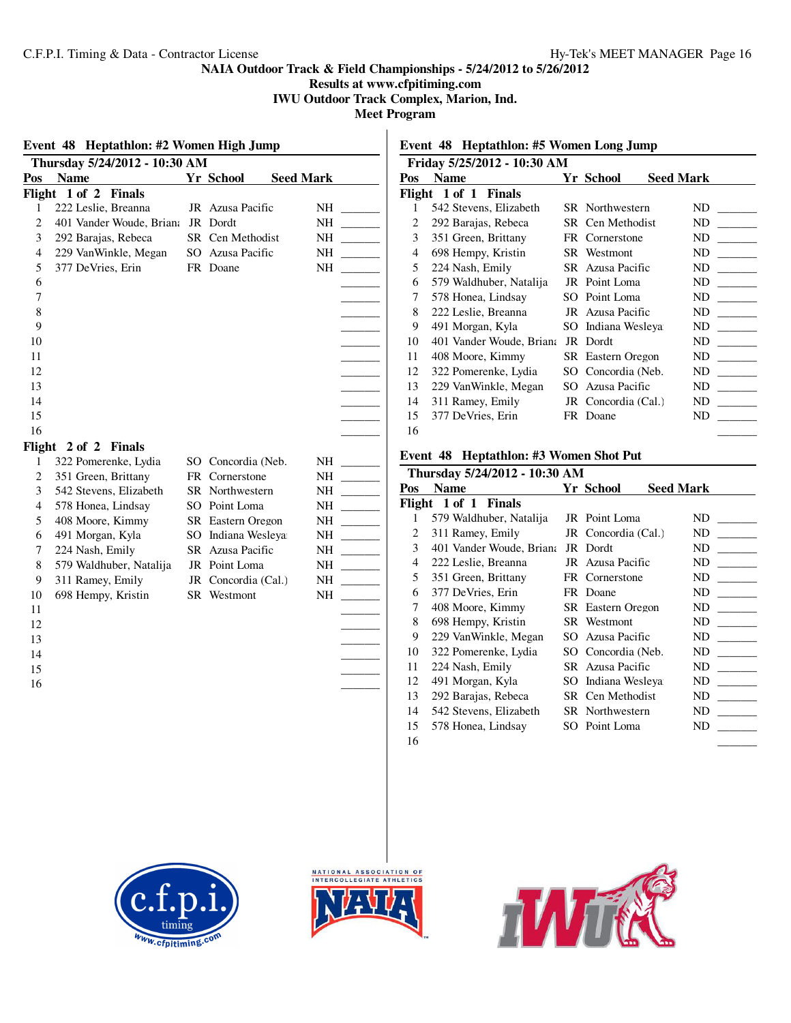**Results at www.cfpitiming.com**

**IWU Outdoor Track Complex, Marion, Ind.**

**Meet Program**

|                         | Event 48 Heptathlon: #2 Women High Jump |                     |                                                                                                                                                                                                                                                                                                                                                                                                                             |                | Event 48 He         |
|-------------------------|-----------------------------------------|---------------------|-----------------------------------------------------------------------------------------------------------------------------------------------------------------------------------------------------------------------------------------------------------------------------------------------------------------------------------------------------------------------------------------------------------------------------|----------------|---------------------|
|                         | Thursday 5/24/2012 - 10:30 AM           |                     |                                                                                                                                                                                                                                                                                                                                                                                                                             |                | <b>Friday 5/25/</b> |
| Pos                     | <b>Name</b>                             | Yr School           | <b>Seed Mark</b>                                                                                                                                                                                                                                                                                                                                                                                                            |                | Pos Name            |
|                         | Flight 1 of 2 Finals                    |                     |                                                                                                                                                                                                                                                                                                                                                                                                                             |                | Flight 1 of 1       |
| 1                       | 222 Leslie, Breanna                     | JR Azusa Pacific    | NH                                                                                                                                                                                                                                                                                                                                                                                                                          | 1              | 542 Steve           |
| $\overline{c}$          | 401 Vander Woude, Brian: JR Dordt       |                     | NH<br><b>Contract Contract</b>                                                                                                                                                                                                                                                                                                                                                                                              | $\overline{c}$ | 292 Bara            |
| $\overline{\mathbf{3}}$ | 292 Barajas, Rebeca                     | SR Cen Methodist    |                                                                                                                                                                                                                                                                                                                                                                                                                             | $\mathfrak 3$  | 351 Gree            |
| $\overline{4}$          | 229 VanWinkle, Megan                    | SO Azusa Pacific    | NH<br>$\frac{1}{1-\frac{1}{1-\frac{1}{1-\frac{1}{1-\frac{1}{1-\frac{1}{1-\frac{1}{1-\frac{1}{1-\frac{1}{1-\frac{1}{1-\frac{1}{1-\frac{1}{1-\frac{1}{1-\frac{1}{1-\frac{1}{1-\frac{1}{1-\frac{1}{1-\frac{1}{1-\frac{1}{1-\frac{1}{1-\frac{1}{1-\frac{1}{1-\frac{1}{1-\frac{1}{1-\frac{1}{1-\frac{1}{1-\frac{1}{1-\frac{1}{1-\frac{1}{1-\frac{1}{1-\frac{1}{1-\frac{1}{1-\frac{1}{1-\frac{1}{1-\frac{1}{1-\frac{1}{1-\frac{1$ | $\overline{4}$ | 698 Hem             |
| 5                       | 377 DeVries, Erin                       | FR Doane            | NH<br>$\sim$ 100 $\mu$                                                                                                                                                                                                                                                                                                                                                                                                      | $\sqrt{5}$     | 224 Nash            |
| 6                       |                                         |                     |                                                                                                                                                                                                                                                                                                                                                                                                                             | 6              | 579 Wald            |
| $\boldsymbol{7}$        |                                         |                     |                                                                                                                                                                                                                                                                                                                                                                                                                             | 7              | 578 Hone            |
| $\,8\,$                 |                                         |                     |                                                                                                                                                                                                                                                                                                                                                                                                                             | $\,8\,$        | 222 Lesli           |
| 9                       |                                         |                     |                                                                                                                                                                                                                                                                                                                                                                                                                             | 9              | 491 Morg            |
| $10\,$                  |                                         |                     |                                                                                                                                                                                                                                                                                                                                                                                                                             | 10             | 401 Vand            |
| 11                      |                                         |                     |                                                                                                                                                                                                                                                                                                                                                                                                                             | 11             | 408 Moor            |
| 12                      |                                         |                     |                                                                                                                                                                                                                                                                                                                                                                                                                             | 12             | 322 Pome            |
| 13                      |                                         |                     |                                                                                                                                                                                                                                                                                                                                                                                                                             | 13             | 229 VanV            |
| 14                      |                                         |                     |                                                                                                                                                                                                                                                                                                                                                                                                                             | 14             | 311 Ramo            |
| 15                      |                                         |                     |                                                                                                                                                                                                                                                                                                                                                                                                                             | 15             | 377 DeVi            |
| 16                      |                                         |                     |                                                                                                                                                                                                                                                                                                                                                                                                                             | 16             |                     |
|                         | Flight 2 of 2 Finals                    |                     |                                                                                                                                                                                                                                                                                                                                                                                                                             |                |                     |
| 1                       | 322 Pomerenke, Lydia                    | SO Concordia (Neb.  | NH<br>$\sim$ 100 $\mu$                                                                                                                                                                                                                                                                                                                                                                                                      |                | Event 48 He         |
| $\overline{c}$          | 351 Green, Brittany                     | FR Cornerstone      | NH                                                                                                                                                                                                                                                                                                                                                                                                                          |                | Thursday 5/2        |
| 3                       | 542 Stevens, Elizabeth                  | SR Northwestern     | $\mathcal{L}^{\text{max}}$<br>NH                                                                                                                                                                                                                                                                                                                                                                                            | Pos            | <b>Name</b>         |
| 4                       | 578 Honea, Lindsay                      | SO Point Loma       | NH<br>$\frac{1}{1}$                                                                                                                                                                                                                                                                                                                                                                                                         |                | Flight 1 of 1       |
| 5                       | 408 Moore, Kimmy                        | SR Eastern Oregon   | NH<br>$\sim 10^{11}$ m $^{-1}$                                                                                                                                                                                                                                                                                                                                                                                              | $\mathbf{1}$   | 579 Wald            |
| 6                       | 491 Morgan, Kyla                        | SO Indiana Wesleya  | NH<br>$\mathcal{L}^{\text{max}}$ . The set of $\mathcal{L}^{\text{max}}$                                                                                                                                                                                                                                                                                                                                                    | $\overline{c}$ | 311 Ramo            |
| $\boldsymbol{7}$        | 224 Nash, Emily                         | SR Azusa Pacific    |                                                                                                                                                                                                                                                                                                                                                                                                                             | $\mathfrak{Z}$ | 401 Vand            |
| 8                       | 579 Waldhuber, Natalija                 | JR Point Loma       | NH<br>$\mathcal{L}^{\text{max}}$ and $\mathcal{L}^{\text{max}}$                                                                                                                                                                                                                                                                                                                                                             | $\overline{4}$ | 222 Lesli           |
| 9                       | 311 Ramey, Emily                        | JR Concordia (Cal.) | NH<br>$\mathcal{L}^{\text{max}}(\mathcal{L}^{\text{max}})$                                                                                                                                                                                                                                                                                                                                                                  | 5              | 351 Gree            |
| 10                      | 698 Hempy, Kristin                      | SR Westmont         | NH                                                                                                                                                                                                                                                                                                                                                                                                                          | 6              | 377 DeVi            |
| 11                      |                                         |                     |                                                                                                                                                                                                                                                                                                                                                                                                                             | 7              | 408 Moor            |
| 12                      |                                         |                     |                                                                                                                                                                                                                                                                                                                                                                                                                             | 8              | 698 Hem             |
| 13                      |                                         |                     |                                                                                                                                                                                                                                                                                                                                                                                                                             | 9              | 229 VanV            |
| 14                      |                                         |                     |                                                                                                                                                                                                                                                                                                                                                                                                                             | 10             | 322 Pome            |
| 15                      |                                         |                     |                                                                                                                                                                                                                                                                                                                                                                                                                             | 11             | 224 Nash            |
| 16                      |                                         |                     |                                                                                                                                                                                                                                                                                                                                                                                                                             | 12             | 491 Morg            |
|                         |                                         |                     |                                                                                                                                                                                                                                                                                                                                                                                                                             | 13             | 292 Bara            |
|                         |                                         |                     |                                                                                                                                                                                                                                                                                                                                                                                                                             | 14             | 542 Steve           |
|                         |                                         |                     |                                                                                                                                                                                                                                                                                                                                                                                                                             | 15             | 578 Hone            |
|                         |                                         |                     |                                                                                                                                                                                                                                                                                                                                                                                                                             | 16             |                     |
|                         |                                         |                     |                                                                                                                                                                                                                                                                                                                                                                                                                             |                |                     |
|                         |                                         |                     |                                                                                                                                                                                                                                                                                                                                                                                                                             |                |                     |
|                         |                                         |                     |                                                                                                                                                                                                                                                                                                                                                                                                                             |                |                     |

# **Event 48 Heptathlon: #5 Women Long Jump**

|     | Friday 5/25/2012 - 10:30 AM            |    |                        |                                |
|-----|----------------------------------------|----|------------------------|--------------------------------|
| Pos | <b>Name</b>                            |    | Yr School              | <b>Seed Mark</b>               |
|     | Flight 1 of 1 Finals                   |    |                        |                                |
| 1   | 542 Stevens, Elizabeth                 |    | <b>SR</b> Northwestern | ND                             |
| 2   | 292 Barajas, Rebeca                    |    | SR Cen Methodist       | ND                             |
| 3   | 351 Green, Brittany                    |    | FR Cornerstone         | ND                             |
| 4   | 698 Hempy, Kristin                     |    | SR Westmont            | ND                             |
| 5   | 224 Nash, Emily                        |    | SR Azusa Pacific       | ND                             |
| 6   | 579 Waldhuber, Natalija                |    | JR Point Loma          | ND                             |
| 7   | 578 Honea, Lindsay                     |    | SO Point Loma          | ND<br><b>Contract Contract</b> |
| 8   | 222 Leslie, Breanna                    |    | JR Azusa Pacific       | ND                             |
| 9   | 491 Morgan, Kyla                       |    | SO Indiana Wesleya     | ND                             |
| 10  | 401 Vander Woude, Briana               |    | JR Dordt               | ND                             |
| 11  | 408 Moore, Kimmy                       |    | SR Eastern Oregon      | ND                             |
| 12  | 322 Pomerenke, Lydia                   | SO | Concordia (Neb.        | ND                             |
| 13  | 229 VanWinkle, Megan                   |    | SO Azusa Pacific       | ND                             |
| 14  | 311 Ramey, Emily                       |    | JR Concordia (Cal.)    | ND                             |
| 15  | 377 DeVries, Erin                      |    | FR Doane               | ND                             |
| 16  |                                        |    |                        |                                |
|     | Event 48 Heptathlon: #3 Women Shot Put |    |                        |                                |

|     | Thursday 5/24/2012 - 10:30 AM |     |                          |                  |
|-----|-------------------------------|-----|--------------------------|------------------|
| Pos | <b>Name</b>                   |     | Yr School                | <b>Seed Mark</b> |
|     | Flight 1 of 1 Finals          |     |                          |                  |
| 1   | 579 Waldhuber, Natalija       |     | JR Point Loma            | ND               |
| 2   | 311 Ramey, Emily              |     | JR Concordia (Cal.)      | ND.              |
| 3   | 401 Vander Woude, Briana      |     | JR Dordt                 | ND               |
| 4   | 222 Leslie, Breanna           |     | JR Azusa Pacific         | ND               |
| 5   | 351 Green, Brittany           |     | FR Cornerstone           | ND               |
| 6   | 377 DeVries, Erin             |     | FR Doane                 | ND               |
| 7   | 408 Moore, Kimmy              |     | <b>SR</b> Eastern Oregon | ND               |
| 8   | 698 Hempy, Kristin            |     | SR Westmont              | ND               |
| 9   | 229 VanWinkle, Megan          | SO. | Azusa Pacific            | ND               |
| 10  | 322 Pomerenke, Lydia          |     | SO Concordia (Neb.       | ND               |
| 11  | 224 Nash, Emily               |     | SR Azusa Pacific         | ND               |
| 12  | 491 Morgan, Kyla              |     | SO Indiana Wesleya       | ND               |
| 13  | 292 Barajas, Rebeca           |     | SR Cen Methodist         | ND               |
| 14  | 542 Stevens, Elizabeth        |     | SR Northwestern          | ND               |
| 15  | 578 Honea, Lindsay            |     | SO Point Loma            | ND               |
| 16  |                               |     |                          |                  |





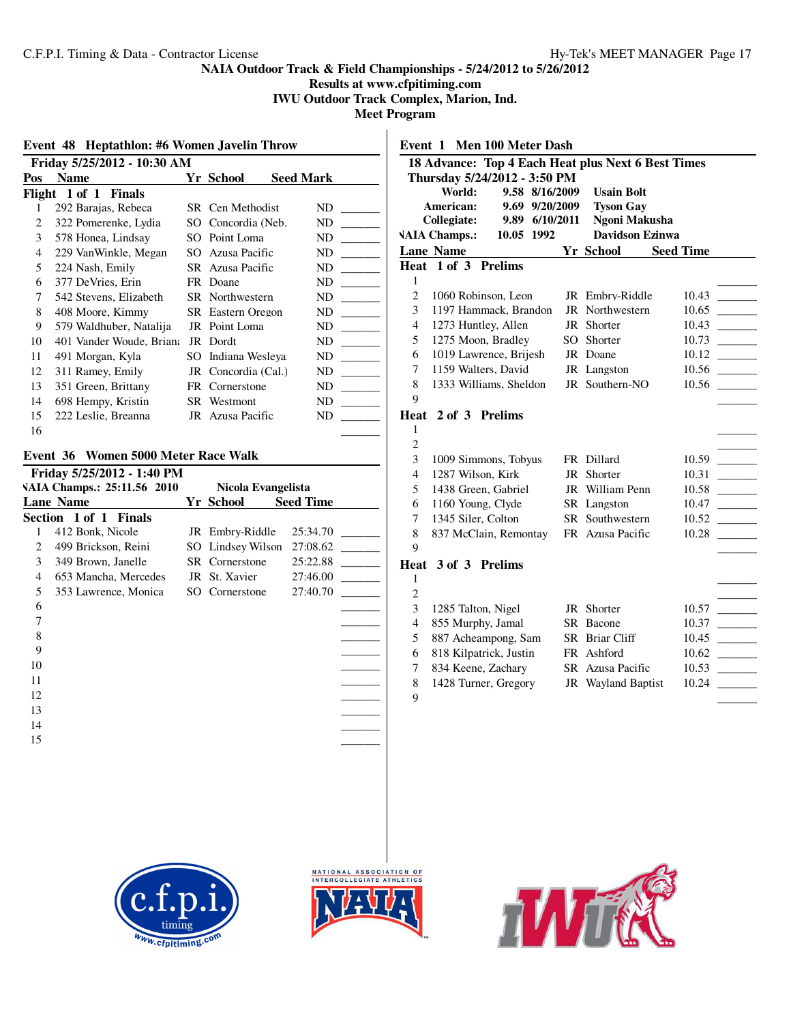**Results at www.cfpitiming.com IWU Outdoor Track Complex, Marion, Ind.**

**Meet Program**

|     | Event 48 Heptathlon: #6 Women Javelin Throw |     |                          |                  |  |  |  |  |
|-----|---------------------------------------------|-----|--------------------------|------------------|--|--|--|--|
|     | Friday 5/25/2012 - 10:30 AM                 |     |                          |                  |  |  |  |  |
| Pos | <b>Name</b>                                 |     | Yr School                | <b>Seed Mark</b> |  |  |  |  |
|     | Flight 1 of 1 Finals                        |     |                          |                  |  |  |  |  |
| 1   | 292 Barajas, Rebeca                         |     | SR Cen Methodist         | ND               |  |  |  |  |
| 2   | 322 Pomerenke, Lydia                        |     | SO Concordia (Neb.       | ND               |  |  |  |  |
| 3   | 578 Honea, Lindsay                          | SO  | Point Loma               | ND               |  |  |  |  |
| 4   | 229 VanWinkle, Megan                        | SO. | Azusa Pacific            | ND               |  |  |  |  |
| 5   | 224 Nash, Emily                             |     | SR Azusa Pacific         | ND               |  |  |  |  |
| 6   | 377 DeVries, Erin                           |     | FR Doane                 | ND               |  |  |  |  |
| 7   | 542 Stevens, Elizabeth                      |     | <b>SR</b> Northwestern   | ND               |  |  |  |  |
| 8   | 408 Moore, Kimmy                            |     | <b>SR</b> Eastern Oregon | ND               |  |  |  |  |
| 9   | 579 Waldhuber, Natalija                     |     | JR Point Loma            | ND               |  |  |  |  |
| 10  | 401 Vander Woude, Briana                    |     | JR Dordt                 | ND               |  |  |  |  |
| 11  | 491 Morgan, Kyla                            | SO. | Indiana Wesleya          | ND               |  |  |  |  |
| 12  | 311 Ramey, Emily                            |     | JR Concordia (Cal.)      | ND               |  |  |  |  |
| 13  | 351 Green, Brittany                         |     | FR Cornerstone           | ND               |  |  |  |  |
| 14  | 698 Hempy, Kristin                          |     | SR Westmont              | ND               |  |  |  |  |
| 15  | 222 Leslie, Breanna                         |     | JR Azusa Pacific         | ND               |  |  |  |  |
| 16  |                                             |     |                          |                  |  |  |  |  |

# **Event 36 Women 5000 Meter Race Walk**

|    | Friday 5/25/2012 - 1:40 PM  |                       |                  |  |
|----|-----------------------------|-----------------------|------------------|--|
|    | VAIA Champs.: 25:11.56 2010 | Nicola Evangelista    |                  |  |
|    | <b>Lane Name</b>            | Yr School             | <b>Seed Time</b> |  |
|    | Section 1 of 1 Finals       |                       |                  |  |
| 1  | 412 Bonk, Nicole            | JR Embry-Riddle       | 25:34.70         |  |
| 2  | 499 Brickson, Reini         | SO Lindsey Wilson     | 27:08.62         |  |
| 3  | 349 Brown, Janelle          | <b>SR</b> Cornerstone | 25:22.88         |  |
| 4  | 653 Mancha, Mercedes        | JR St. Xavier         | 27:46.00         |  |
| 5  | 353 Lawrence, Monica        | SO Cornerstone        | 27:40.70         |  |
| 6  |                             |                       |                  |  |
| 7  |                             |                       |                  |  |
| 8  |                             |                       |                  |  |
| 9  |                             |                       |                  |  |
| 10 |                             |                       |                  |  |
| 11 |                             |                       |                  |  |
| 12 |                             |                       |                  |  |
| 13 |                             |                       |                  |  |
| 14 |                             |                       |                  |  |
| 15 |                             |                       |                  |  |
|    |                             |                       |                  |  |
|    |                             |                       |                  |  |

| Event 1                 | <b>Men 100 Meter Dash</b>                          |                |                |    |                           |                  |                          |
|-------------------------|----------------------------------------------------|----------------|----------------|----|---------------------------|------------------|--------------------------|
|                         | 18 Advance: Top 4 Each Heat plus Next 6 Best Times |                |                |    |                           |                  |                          |
|                         | Thursday 5/24/2012 - 3:50 PM                       |                |                |    |                           |                  |                          |
|                         | World:                                             |                | 9.58 8/16/2009 |    | <b>Usain Bolt</b>         |                  |                          |
|                         | American:                                          |                | 9.69 9/20/2009 |    | <b>Tyson Gay</b>          |                  |                          |
|                         | Collegiate:                                        |                | 9.89 6/10/2011 |    | Ngoni Makusha             |                  |                          |
|                         | <b>VAIA Champs.:</b>                               | 10.05 1992     |                |    | Davidson Ezinwa           |                  |                          |
|                         | <b>Lane Name</b>                                   |                |                |    | Yr School                 | <b>Seed Time</b> |                          |
|                         | Heat 1 of 3 Prelims                                |                |                |    |                           |                  |                          |
| 1                       |                                                    |                |                |    |                           |                  |                          |
| $\overline{c}$          | 1060 Robinson, Leon                                |                |                |    | JR Embry-Riddle           | 10.43            |                          |
| 3                       | 1197 Hammack, Brandon                              |                |                |    | JR Northwestern           | 10.65            |                          |
| 4                       | 1273 Huntley, Allen                                |                |                |    | JR Shorter                | 10.43            |                          |
| 5                       | 1275 Moon, Bradley                                 |                |                | SO | Shorter                   | 10.73            |                          |
| 6                       | 1019 Lawrence, Brijesh                             |                |                |    | JR Doane                  | 10.12            | $\overline{\phantom{a}}$ |
| $\overline{7}$          | 1159 Walters, David                                |                |                |    | JR Langston               | 10.56            |                          |
| 8                       | 1333 Williams, Sheldon                             |                |                |    | JR Southern-NO            | 10.56            |                          |
| 9                       |                                                    |                |                |    |                           |                  |                          |
|                         | Heat $2$ of $3$                                    | <b>Prelims</b> |                |    |                           |                  |                          |
| 1                       |                                                    |                |                |    |                           |                  |                          |
| $\overline{c}$          |                                                    |                |                |    |                           |                  |                          |
| 3                       | 1009 Simmons, Tobyus                               |                |                |    | FR Dillard                | 10.59            |                          |
| $\overline{4}$          | 1287 Wilson, Kirk                                  |                |                | JR | Shorter                   | 10.31            |                          |
| 5                       | 1438 Green, Gabriel                                |                |                |    | JR William Penn           | 10.58            |                          |
| 6                       | 1160 Young, Clyde                                  |                |                |    | SR Langston               | 10.47            |                          |
| 7                       | 1345 Siler, Colton                                 |                |                |    | SR Southwestern           | 10.52            |                          |
| 8                       | 837 McClain, Remontay                              |                |                |    | FR Azusa Pacific          | 10.28            |                          |
| 9                       |                                                    |                |                |    |                           |                  |                          |
|                         | Heat 3 of 3 Prelims                                |                |                |    |                           |                  |                          |
| 1                       |                                                    |                |                |    |                           |                  |                          |
| $\overline{c}$          |                                                    |                |                |    |                           |                  |                          |
| 3                       | 1285 Talton, Nigel                                 |                |                |    | JR Shorter                | 10.57            |                          |
| $\overline{\mathbf{4}}$ | 855 Murphy, Jamal                                  |                |                |    | SR Bacone                 | 10.37            |                          |
| 5                       | 887 Acheampong, Sam                                |                |                |    | SR Briar Cliff            | 10.45            |                          |
| 6                       | 818 Kilpatrick, Justin                             |                |                |    | FR Ashford                | 10.62            |                          |
| 7                       | 834 Keene, Zachary                                 |                |                |    | SR Azusa Pacific          | 10.53            |                          |
| 8                       | 1428 Turner, Gregory                               |                |                |    | <b>JR</b> Wayland Baptist | 10.24            |                          |
| 9                       |                                                    |                |                |    |                           |                  |                          |





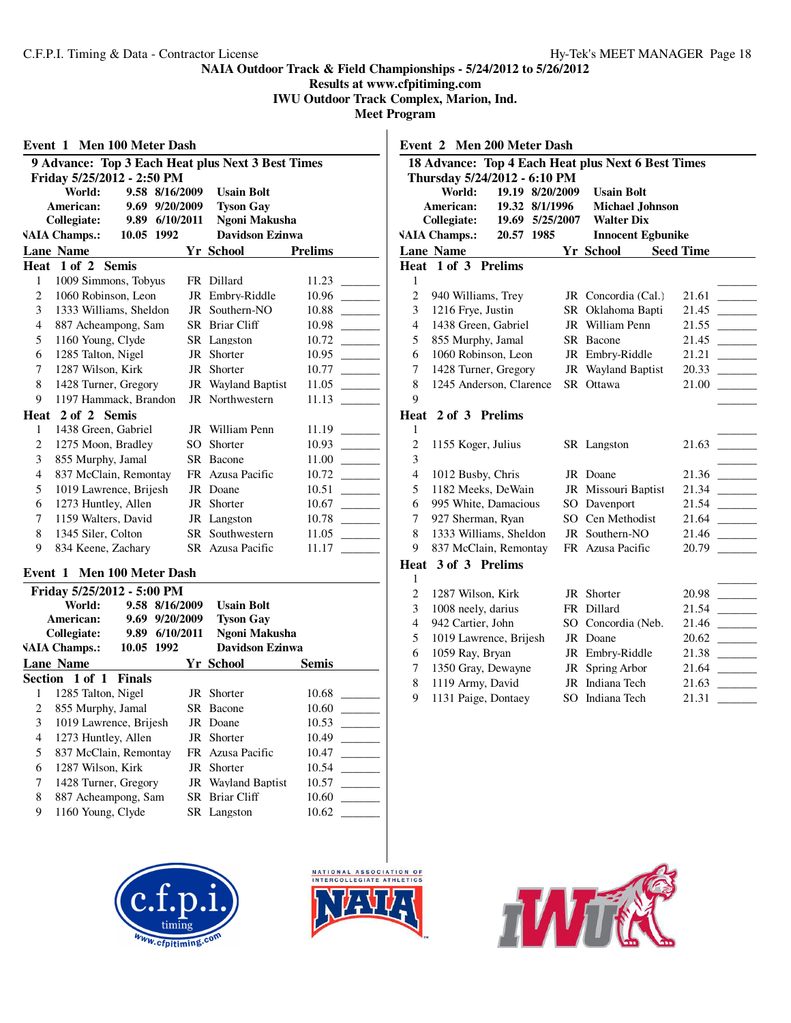**Results at www.cfpitiming.com**

**IWU Outdoor Track Complex, Marion, Ind.**

**Meet Program**

| Event 1        | Men 100 Meter Dash                                                   |                |                |                                                   |                |
|----------------|----------------------------------------------------------------------|----------------|----------------|---------------------------------------------------|----------------|
|                |                                                                      |                |                | 9 Advance: Top 3 Each Heat plus Next 3 Best Times |                |
|                | Friday 5/25/2012 - 2:50 PM                                           |                |                |                                                   |                |
|                | World:                                                               |                | 9.58 8/16/2009 | <b>Usain Bolt</b>                                 |                |
|                | American:                                                            |                | 9.69 9/20/2009 | <b>Tyson Gay</b>                                  |                |
|                | <b>Collegiate:</b>                                                   |                | 9.89 6/10/2011 | Ngoni Makusha                                     |                |
|                | <b>VAIA Champs.:</b>                                                 | 10.05 1992     |                | <b>Davidson Ezinwa</b>                            |                |
|                | <b>Lane Name</b>                                                     |                |                | <b>Yr School</b>                                  | <b>Prelims</b> |
|                | Heat 1 of 2 Semis                                                    |                |                |                                                   |                |
| $\mathbf{1}$   | 1009 Simmons, Tobyus                                                 |                |                | FR Dillard                                        | 11.23          |
| $\overline{c}$ | 1060 Robinson, Leon                                                  |                |                | JR Embry-Riddle                                   | 10.96          |
| 3              | 1333 Williams, Sheldon                                               |                |                | JR Southern-NO                                    | 10.88          |
| 4              | 887 Acheampong, Sam                                                  |                |                | SR Briar Cliff                                    | 10.98          |
| 5              | 1160 Young, Clyde                                                    |                |                | SR Langston                                       | 10.72          |
| 6              | 1285 Talton, Nigel                                                   |                |                | JR Shorter                                        | 10.95          |
| 7              | 1287 Wilson, Kirk                                                    |                |                | JR Shorter                                        | 10.77          |
| 8              | 1428 Turner, Gregory                                                 |                |                | JR Wayland Baptist                                | 11.05          |
| 9              | 1197 Hammack, Brandon                                                |                |                | JR Northwestern                                   | 11.13          |
|                | Heat 2 of 2 Semis                                                    |                |                |                                                   |                |
| $\mathbf{1}$   | 1438 Green, Gabriel                                                  |                |                | JR William Penn                                   | 11.19          |
| $\overline{c}$ | 1275 Moon, Bradley                                                   |                |                | SO Shorter                                        | 10.93          |
| 3              | 855 Murphy, Jamal                                                    |                |                | SR Bacone                                         | 11.00          |
| 4              | 837 McClain, Remontay                                                |                |                | FR Azusa Pacific                                  | 10.72          |
| 5              | 1019 Lawrence, Brijesh                                               |                |                | JR Doane                                          | 10.51          |
| 6              | 1273 Huntley, Allen                                                  |                |                | JR Shorter                                        | 10.67          |
| 7              | 1159 Walters, David                                                  |                |                | JR Langston                                       | 10.78          |
| 8              | 1345 Siler, Colton                                                   |                |                | SR Southwestern                                   | 11.05          |
| 9              | 834 Keene, Zachary                                                   |                |                | SR Azusa Pacific                                  | 11.17          |
|                | Event 1 Men 100 Meter Dash                                           |                |                |                                                   |                |
|                | Friday 5/25/2012 - 5:00 PM                                           |                |                |                                                   |                |
|                | World:                                                               |                | 9.58 8/16/2009 | <b>Usain Bolt</b>                                 |                |
|                | American:                                                            |                | 9.69 9/20/2009 | <b>Tyson Gay</b>                                  |                |
|                | Collegiate:                                                          |                | 9.89 6/10/2011 | Ngoni Makusha                                     |                |
|                | $\mathbf{H} \mathbf{H} \mathbf{H}$ and $\mathbf{H}$ and $\mathbf{H}$ | $10.05$ $1002$ |                | $D_1$ , $D_2$ , $D_3$ , $D_4$ , $D_5$             |                |

|   | 10.05 1992<br><b>Davidson Ezinwa</b><br><b>VAIA Champs.:</b> |  |                           |              |  |
|---|--------------------------------------------------------------|--|---------------------------|--------------|--|
|   | <b>Lane Name</b>                                             |  | Yr School                 | <b>Semis</b> |  |
|   | Section 1 of 1 Finals                                        |  |                           |              |  |
|   | 1285 Talton, Nigel                                           |  | JR Shorter                | 10.68        |  |
| 2 | 855 Murphy, Jamal                                            |  | SR Bacone                 | 10.60        |  |
| 3 | 1019 Lawrence, Brijesh                                       |  | JR Doane                  | 10.53        |  |
| 4 | 1273 Huntley, Allen                                          |  | JR Shorter                | 10.49        |  |
| 5 | 837 McClain, Remontay                                        |  | FR Azusa Pacific          | 10.47        |  |
| 6 | 1287 Wilson, Kirk                                            |  | JR Shorter                | 10.54        |  |
| 7 | 1428 Turner, Gregory                                         |  | <b>JR</b> Wayland Baptist | 10.57        |  |
| 8 | 887 Acheampong, Sam                                          |  | SR Briar Cliff            | 10.60        |  |
| 9 | 1160 Young, Clyde                                            |  | SR Langston               | 10.62        |  |





|                | Event 2 Men 200 Meter Dash                         |          |                          |                                                                                                      |
|----------------|----------------------------------------------------|----------|--------------------------|------------------------------------------------------------------------------------------------------|
|                | 18 Advance: Top 4 Each Heat plus Next 6 Best Times |          |                          |                                                                                                      |
|                | Thursday 5/24/2012 - 6:10 PM                       |          |                          |                                                                                                      |
|                | World:<br>19.19 8/20/2009                          |          | <b>Usain Bolt</b>        |                                                                                                      |
|                | American:<br>19.32                                 | 8/1/1996 | <b>Michael Johnson</b>   |                                                                                                      |
|                | Collegiate:<br>19.69 5/25/2007                     |          | <b>Walter Dix</b>        |                                                                                                      |
|                | <b>VAIA Champs.:</b><br>20.57 1985                 |          | <b>Innocent Egbunike</b> |                                                                                                      |
|                | <b>Lane Name</b>                                   |          | Yr School Seed Time      |                                                                                                      |
| Heat           | 1 of 3 Prelims                                     |          |                          |                                                                                                      |
| 1              |                                                    |          |                          |                                                                                                      |
| $\mathfrak{2}$ | 940 Williams, Trey                                 |          | JR Concordia (Cal.)      | 21.61                                                                                                |
| 3              | 1216 Frye, Justin                                  | SR       | Oklahoma Bapti           | 21.45                                                                                                |
| $\overline{4}$ | 1438 Green, Gabriel                                | JR       | William Penn             | 21.55                                                                                                |
| 5              | 855 Murphy, Jamal                                  | SR       | Bacone                   | 21.45                                                                                                |
| 6              | 1060 Robinson, Leon                                |          | JR Embry-Riddle          | 21.21                                                                                                |
| 7              | 1428 Turner, Gregory                               | JR       | <b>Wayland Baptist</b>   | 20.33                                                                                                |
| 8              | 1245 Anderson, Clarence                            |          | SR Ottawa                | 21.00                                                                                                |
| 9              |                                                    |          |                          |                                                                                                      |
| Heat           | 2 of 3 Prelims                                     |          |                          |                                                                                                      |
| 1              |                                                    |          |                          |                                                                                                      |
| $\overline{c}$ | 1155 Koger, Julius                                 |          | SR Langston              | 21.63                                                                                                |
| 3              |                                                    |          |                          |                                                                                                      |
| $\overline{4}$ | 1012 Busby, Chris                                  |          | JR Doane                 | 21.36                                                                                                |
| 5              | 1182 Meeks, DeWain                                 |          | JR Missouri Baptist      | 21.34                                                                                                |
| 6              | 995 White, Damacious                               |          | SO Davenport             | 21.54                                                                                                |
| 7              | 927 Sherman, Ryan                                  | $SO^-$   | Cen Methodist            | 21.64                                                                                                |
| 8              | 1333 Williams, Sheldon                             | JR       | Southern-NO              | 21.46                                                                                                |
| 9              | 837 McClain, Remontay                              |          | FR Azusa Pacific         | 20.79                                                                                                |
| Heat           | 3 of 3 Prelims                                     |          |                          |                                                                                                      |
| 1              |                                                    |          |                          |                                                                                                      |
| $\overline{c}$ | 1287 Wilson, Kirk                                  |          | JR Shorter               | 20.98                                                                                                |
| 3              | 1008 neely, darius                                 | FR       | Dillard                  | 21.54<br>$\mathcal{L}^{\mathcal{L}}$ and $\mathcal{L}^{\mathcal{L}}$ and $\mathcal{L}^{\mathcal{L}}$ |
| $\overline{4}$ | 942 Cartier, John                                  | SO       | Concordia (Neb.          | 21.46                                                                                                |
| 5              | 1019 Lawrence, Brijesh                             |          | JR Doane                 | 20.62                                                                                                |
| 6              | 1059 Ray, Bryan                                    |          | JR Embry-Riddle          | 21.38<br>$\mathcal{L}^{\text{max}}_{\text{max}}$ , and $\mathcal{L}^{\text{max}}_{\text{max}}$       |
| 7              | 1350 Gray, Dewayne                                 | JR       | Spring Arbor             | 21.64                                                                                                |
| 8              | 1119 Army, David                                   |          | JR Indiana Tech          | 21.63                                                                                                |

9 1131 Paige, Dontaey SO Indiana Tech 21.31

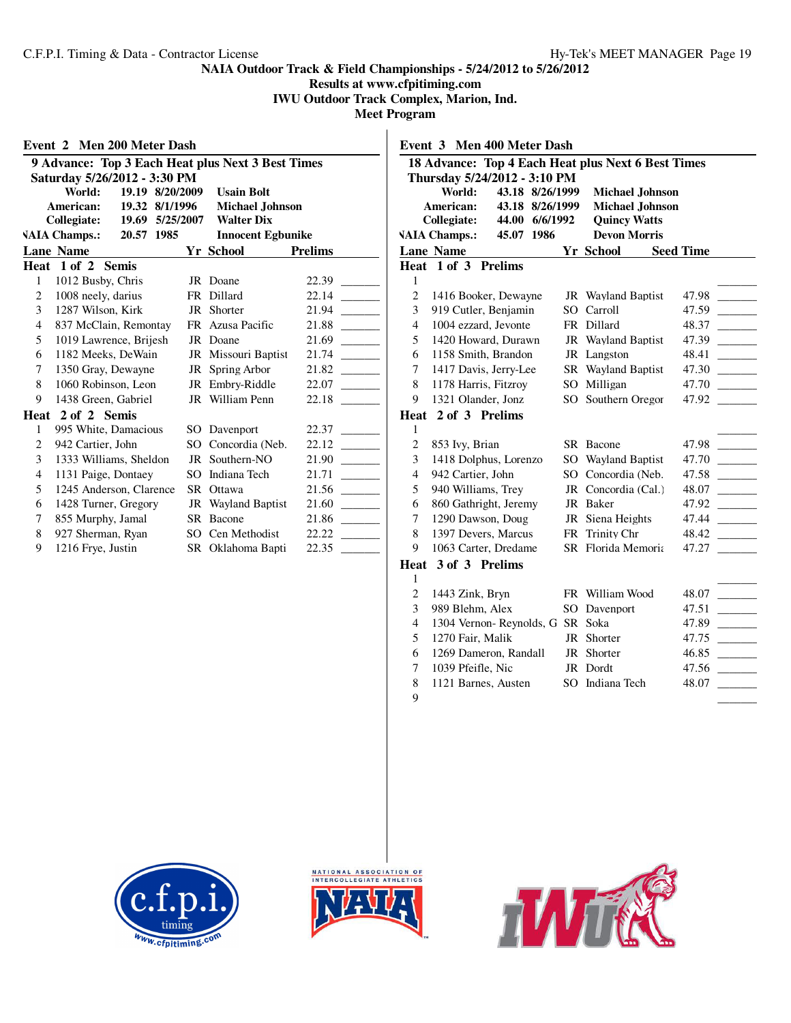**Results at www.cfpitiming.com IWU Outdoor Track Complex, Marion, Ind.**

**Meet Program**

|   | Event 2 Men 200 Meter Dash                        |                 |                          |                |
|---|---------------------------------------------------|-----------------|--------------------------|----------------|
|   | 9 Advance: Top 3 Each Heat plus Next 3 Best Times |                 |                          |                |
|   | Saturday 5/26/2012 - 3:30 PM                      |                 |                          |                |
|   | World:                                            | 19.19 8/20/2009 | <b>Usain Bolt</b>        |                |
|   | American:                                         | 19.32 8/1/1996  | <b>Michael Johnson</b>   |                |
|   | Collegiate:                                       | 19.69 5/25/2007 | <b>Walter Dix</b>        |                |
|   | <b>VAIA Champs.:</b><br>20.57 1985                |                 | <b>Innocent Egbunike</b> |                |
|   | <b>Lane Name</b>                                  |                 | Yr School                | <b>Prelims</b> |
|   | Heat 1 of 2 Semis                                 |                 |                          |                |
| 1 | 1012 Busby, Chris                                 |                 | JR Doane                 | 22.39          |
| 2 | 1008 neely, darius                                | FR              | Dillard                  | 22.14          |
| 3 | 1287 Wilson, Kirk                                 | JR              | Shorter                  | 21.94          |
| 4 | 837 McClain, Remontay                             |                 | FR Azusa Pacific         | 21.88          |
| 5 | 1019 Lawrence, Brijesh                            |                 | JR Doane                 | 21.69          |
| 6 | 1182 Meeks, DeWain                                |                 | JR Missouri Baptist      | 21.74          |
| 7 | 1350 Gray, Dewayne                                |                 | JR Spring Arbor          | 21.82          |
| 8 | 1060 Robinson, Leon                               |                 | JR Embry-Riddle          | 22.07          |
| 9 | 1438 Green, Gabriel                               |                 | JR William Penn          | 22.18          |
|   | Heat 2 of 2 Semis                                 |                 |                          |                |
| 1 | 995 White, Damacious                              |                 | SO Davenport             | 22.37          |
| 2 | 942 Cartier, John                                 |                 | SO Concordia (Neb.       | 22.12          |
| 3 | 1333 Williams, Sheldon                            |                 | JR Southern-NO           | 21.90          |
| 4 | 1131 Paige, Dontaey                               | SO.             | Indiana Tech             | 21.71          |
| 5 | 1245 Anderson, Clarence                           | <b>SR</b>       | Ottawa                   | 21.56          |
| 6 | 1428 Turner, Gregory                              | JR              | Wayland Baptist          | 21.60          |
| 7 | 855 Murphy, Jamal                                 |                 | SR Bacone                | 21.86          |
| 8 | 927 Sherman, Ryan                                 |                 | SO Cen Methodist         | 22.22          |
| 9 | 1216 Frye, Justin                                 |                 | SR Oklahoma Bapti        | 22.35          |

|                | 18 Advance: Top 4 Each Heat plus Next 6 Best Times                                                                                                                      |                                                                                                |                  |
|----------------|-------------------------------------------------------------------------------------------------------------------------------------------------------------------------|------------------------------------------------------------------------------------------------|------------------|
|                | Thursday 5/24/2012 - 3:10 PM<br>World:<br>43.18 8/26/1999<br>American:<br>43.18 8/26/1999<br>44.00 6/6/1992<br><b>Collegiate:</b><br><b>VAIA Champs.:</b><br>45.07 1986 | <b>Michael Johnson</b><br><b>Michael Johnson</b><br><b>Quincy Watts</b><br><b>Devon Morris</b> |                  |
|                | <b>Lane Name</b>                                                                                                                                                        | Yr School                                                                                      | <b>Seed Time</b> |
|                | Heat 1 of 3 Prelims                                                                                                                                                     |                                                                                                |                  |
| 1              |                                                                                                                                                                         |                                                                                                |                  |
| $\overline{c}$ | 1416 Booker, Dewayne                                                                                                                                                    | JR Wayland Baptist                                                                             | 47.98            |
| 3              | 919 Cutler, Benjamin                                                                                                                                                    | SO Carroll                                                                                     | 47.59            |
| 4              | 1004 ezzard, Jevonte                                                                                                                                                    | FR Dillard                                                                                     | 48.37            |
| 5              | 1420 Howard, Durawn                                                                                                                                                     | JR Wayland Baptist                                                                             | 47.39            |
| 6              | 1158 Smith, Brandon                                                                                                                                                     | JR Langston                                                                                    | 48.41            |
| 7              | 1417 Davis, Jerry-Lee                                                                                                                                                   | SR Wayland Baptist                                                                             | 47.30            |
| 8              | 1178 Harris, Fitzroy                                                                                                                                                    | SO Milligan                                                                                    | 47.70            |
| 9              | 1321 Olander, Jonz                                                                                                                                                      | SO Southern Oregor                                                                             | 47.92            |
|                | Heat 2 of 3 Prelims                                                                                                                                                     |                                                                                                |                  |
| 1              |                                                                                                                                                                         |                                                                                                |                  |
| $\overline{c}$ | 853 Ivy, Brian                                                                                                                                                          | SR Bacone                                                                                      | 47.98            |
| 3              | 1418 Dolphus, Lorenzo                                                                                                                                                   | SO Wayland Baptist                                                                             | 47.70            |
| $\overline{4}$ | 942 Cartier, John                                                                                                                                                       | SO Concordia (Neb.                                                                             | 47.58            |
| 5              | 940 Williams, Trey                                                                                                                                                      | JR Concordia (Cal.)                                                                            | 48.07            |
| 6              | 860 Gathright, Jeremy                                                                                                                                                   | JR Baker                                                                                       | 47.92            |
| 7              | 1290 Dawson, Doug                                                                                                                                                       | JR Siena Heights                                                                               | 47.44            |
| 8              | 1397 Devers, Marcus                                                                                                                                                     | FR Trinity Chr                                                                                 | 48.42            |
| 9              | 1063 Carter, Dredame                                                                                                                                                    | SR Florida Memoria                                                                             | 47.27            |
|                | Heat 3 of 3 Prelims                                                                                                                                                     |                                                                                                |                  |
| 1              |                                                                                                                                                                         |                                                                                                |                  |
| $\overline{c}$ | 1443 Zink, Bryn                                                                                                                                                         | FR William Wood                                                                                | 48.07            |
| 3              | 989 Blehm, Alex                                                                                                                                                         | SO Davenport                                                                                   | 47.51            |
| 4              | 1304 Vernon-Reynolds, G SR Soka                                                                                                                                         |                                                                                                | 47.89            |
| 5              | 1270 Fair, Malik                                                                                                                                                        | JR Shorter                                                                                     | 47.75            |
| 6              | 1269 Dameron, Randall                                                                                                                                                   | JR Shorter                                                                                     | 46.85            |
| 7              | 1039 Pfeifle. Nic                                                                                                                                                       | JR Dordt                                                                                       | 47.56            |
| 8              | 1121 Barnes, Austen                                                                                                                                                     | SO Indiana Tech                                                                                | 48.07            |

 $\overline{\phantom{a}1}$ 





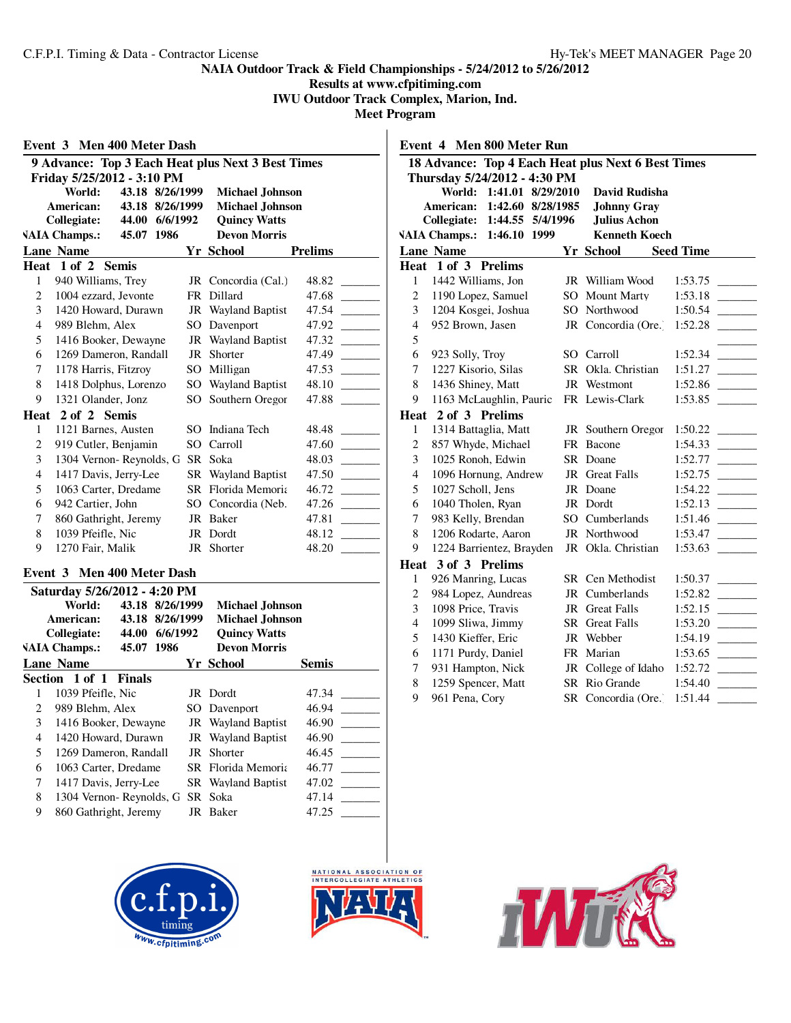**Results at www.cfpitiming.com**

**IWU Outdoor Track Complex, Marion, Ind. Meet Program**

| Event 3 Men 400 Meter Dash |                                                   |     |                           |         |  |
|----------------------------|---------------------------------------------------|-----|---------------------------|---------|--|
|                            | 9 Advance: Top 3 Each Heat plus Next 3 Best Times |     |                           |         |  |
|                            | Friday 5/25/2012 - 3:10 PM                        |     |                           |         |  |
|                            | World:<br>43.18 8/26/1999                         |     | <b>Michael Johnson</b>    |         |  |
|                            | American:<br>8/26/1999<br>43.18                   |     | <b>Michael Johnson</b>    |         |  |
|                            | Collegiate:<br>44.00<br>6/6/1992                  |     | <b>Quincy Watts</b>       |         |  |
|                            | <b>VAIA Champs.:</b><br>1986<br>45.07             |     | <b>Devon Morris</b>       |         |  |
|                            | <b>Lane Name</b>                                  |     | Yr School                 | Prelims |  |
|                            | Heat 1 of 2 Semis                                 |     |                           |         |  |
| 1                          | 940 Williams, Trey                                |     | JR Concordia (Cal.)       | 48.82   |  |
| 2                          | 1004 ezzard, Jevonte                              |     | FR Dillard                | 47.68   |  |
| 3                          | 1420 Howard, Durawn                               |     | JR Wayland Baptist        | 47.54   |  |
| 4                          | 989 Blehm, Alex                                   | SO. | Davenport                 | 47.92   |  |
| 5                          | 1416 Booker, Dewayne                              |     | <b>JR</b> Wayland Baptist | 47.32   |  |
| 6                          | 1269 Dameron, Randall                             | JR  | Shorter                   | 47.49   |  |
| 7                          | 1178 Harris, Fitzroy                              | SO  | Milligan                  | 47.53   |  |
| 8                          | 1418 Dolphus, Lorenzo                             | SO. | Wayland Baptist           | 48.10   |  |
| 9                          | 1321 Olander, Jonz                                |     | SO Southern Oregor        | 47.88   |  |
| Heat                       | 2 of 2 Semis                                      |     |                           |         |  |
| 1                          | 1121 Barnes, Austen                               | SO. | Indiana Tech              | 48.48   |  |
| 2                          | 919 Cutler, Benjamin                              | SO. | Carroll                   | 47.60   |  |
| 3                          | 1304 Vernon-Reynolds, G                           |     | SR Soka                   | 48.03   |  |
| 4                          | 1417 Davis, Jerry-Lee                             | SR. | Wayland Baptist           | 47.50   |  |
| 5                          | 1063 Carter, Dredame                              |     | <b>SR</b> Florida Memoria | 46.72   |  |
| 6                          | 942 Cartier, John                                 | SO. | Concordia (Neb.           | 47.26   |  |
| 7                          | 860 Gathright, Jeremy                             |     | JR Baker                  | 47.81   |  |
| 8                          | 1039 Pfeifle, Nic                                 | JR  | Dordt                     | 48.12   |  |
| 9                          | 1270 Fair, Malik                                  |     | JR Shorter                | 48.20   |  |

# **Event 3 Men 400 Meter Dash**

|                | Saturday 5/26/2012 - 4:20 PM       |    |                           |              |
|----------------|------------------------------------|----|---------------------------|--------------|
|                | World:<br>43.18<br>8/26/1999       |    | <b>Michael Johnson</b>    |              |
|                | American:<br>8/26/1999<br>43.18    |    | <b>Michael Johnson</b>    |              |
|                | 6/6/1992<br>44.00<br>Collegiate:   |    | <b>Quincy Watts</b>       |              |
|                | 45.07 1986<br><b>VAIA Champs.:</b> |    | <b>Devon Morris</b>       |              |
|                | <b>Lane Name</b>                   |    | <b>Yr School</b>          | <b>Semis</b> |
|                | Section 1 of 1 Finals              |    |                           |              |
|                | 1039 Pfeifle, Nic                  |    | JR Dordt                  | 47.34        |
| $\mathfrak{D}$ | 989 Blehm, Alex                    |    | SO Davenport              | 46.94        |
| 3              | 1416 Booker, Dewayne               |    | <b>JR</b> Wayland Baptist | 46.90        |
| 4              | 1420 Howard, Durawn                |    | <b>JR</b> Wayland Baptist | 46.90        |
| 5              | 1269 Dameron, Randall              |    | JR Shorter                | 46.45        |
| 6              | 1063 Carter, Dredame               |    | SR Florida Memoria        | 46.77        |
| 7              | 1417 Davis, Jerry-Lee              |    | SR Wayland Baptist        | 47.02        |
| 8              | 1304 Vernon-Reynolds, G            |    | SR Soka                   | 47.14        |
| 9              | 860 Gathright, Jeremy              | JR | Baker                     | 47.25        |
|                |                                    |    |                           |              |





|                | Event 4 Men 800 Meter Run                          |    |                                             |                    |  |  |  |
|----------------|----------------------------------------------------|----|---------------------------------------------|--------------------|--|--|--|
|                | 18 Advance: Top 4 Each Heat plus Next 6 Best Times |    |                                             |                    |  |  |  |
|                | Thursday 5/24/2012 - 4:30 PM                       |    |                                             |                    |  |  |  |
|                | World:<br>1:41.01 8/29/2010                        |    | <b>David Rudisha</b>                        |                    |  |  |  |
|                | American:<br>1:42.60 8/28/1985                     |    | <b>Johnny Gray</b>                          |                    |  |  |  |
|                | Collegiate:<br>1:44.55 5/4/1996                    |    | <b>Julius Achon</b><br><b>Kenneth Koech</b> |                    |  |  |  |
|                | <b>VAIA Champs.:</b><br>1:46.10 1999               |    |                                             |                    |  |  |  |
|                | <b>Lane Name</b>                                   |    | Yr School                                   | <b>Seed Time</b>   |  |  |  |
| 1              | Heat 1 of 3 Prelims<br>1442 Williams, Jon          |    | JR William Wood                             |                    |  |  |  |
| $\overline{c}$ | 1190 Lopez, Samuel                                 |    | SO Mount Marty                              | 1:53.75<br>1:53.18 |  |  |  |
| 3              | 1204 Kosgei, Joshua                                |    | SO Northwood                                | 1:50.54            |  |  |  |
| $\overline{4}$ | 952 Brown, Jasen                                   |    | JR Concordia (Ore.)                         | 1:52.28            |  |  |  |
| 5              |                                                    |    |                                             |                    |  |  |  |
| 6              | 923 Solly, Troy                                    |    | SO Carroll                                  | 1:52.34            |  |  |  |
| 7              | 1227 Kisorio, Silas                                |    | SR Okla. Christian                          | 1:51.27            |  |  |  |
| 8              | 1436 Shiney, Matt                                  |    | JR Westmont                                 | 1:52.86            |  |  |  |
| 9              | 1163 McLaughlin, Pauric                            |    | FR Lewis-Clark                              | 1:53.85            |  |  |  |
|                | Heat 2 of 3 Prelims                                |    |                                             |                    |  |  |  |
| 1              | 1314 Battaglia, Matt                               |    | JR Southern Oregor                          | 1:50.22            |  |  |  |
| $\overline{c}$ | 857 Whyde, Michael                                 |    | FR Bacone                                   | 1:54.33            |  |  |  |
| 3              | 1025 Ronoh, Edwin                                  |    | SR Doane                                    | 1:52.77            |  |  |  |
| $\overline{4}$ | 1096 Hornung, Andrew                               |    | JR Great Falls                              | 1:52.75            |  |  |  |
| 5              | 1027 Scholl, Jens                                  |    | JR Doane                                    | 1:54.22            |  |  |  |
| 6              | 1040 Tholen, Ryan                                  |    | JR Dordt                                    | 1:52.13            |  |  |  |
| $\overline{7}$ | 983 Kelly, Brendan                                 |    | SO Cumberlands                              | 1:51.46            |  |  |  |
| 8              | 1206 Rodarte, Aaron                                |    | JR Northwood                                | 1:53.47            |  |  |  |
| 9              | 1224 Barrientez, Brayden                           |    | JR Okla. Christian                          | 1:53.63            |  |  |  |
| Heat           | 3 of 3 Prelims                                     |    |                                             |                    |  |  |  |
| 1              | 926 Manring, Lucas                                 |    | SR Cen Methodist                            | 1:50.37            |  |  |  |
| $\overline{2}$ | 984 Lopez, Aundreas                                | JR | Cumberlands                                 | 1:52.82            |  |  |  |
| 3              | 1098 Price, Travis                                 | JR | <b>Great Falls</b>                          | 1:52.15            |  |  |  |
| $\overline{4}$ | 1099 Sliwa, Jimmy                                  |    | SR Great Falls                              | 1:53.20            |  |  |  |
| 5              | 1430 Kieffer, Eric                                 |    | JR Webber                                   | 1:54.19            |  |  |  |
| 6              | 1171 Purdy, Daniel                                 |    | FR Marian                                   | 1:53.65            |  |  |  |
| 7              | 931 Hampton, Nick                                  |    | JR College of Idaho                         | 1:52.72            |  |  |  |
| 8              | 1259 Spencer, Matt                                 |    | SR Rio Grande                               | 1:54.40            |  |  |  |
| 9              | 961 Pena, Cory                                     |    | SR Concordia (Ore.)                         | 1:51.44            |  |  |  |

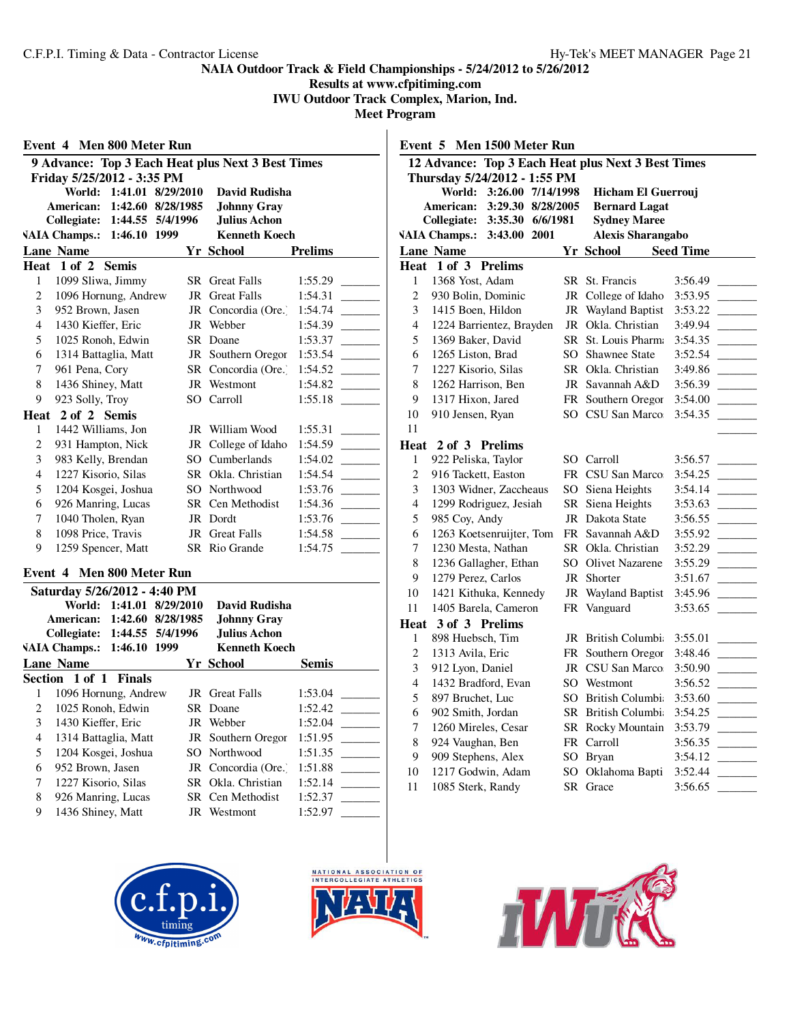**Results at www.cfpitiming.com IWU Outdoor Track Complex, Marion, Ind.**

|                                           | Event 4 Men 800 Meter Run                   |              |                          |                                                   |                |  |  |
|-------------------------------------------|---------------------------------------------|--------------|--------------------------|---------------------------------------------------|----------------|--|--|
|                                           |                                             |              |                          | 9 Advance: Top 3 Each Heat plus Next 3 Best Times |                |  |  |
|                                           | Friday 5/25/2012 - 3:35 PM                  |              |                          |                                                   |                |  |  |
| World: 1:41.01 8/29/2010<br>David Rudisha |                                             |              |                          |                                                   |                |  |  |
|                                           | American:                                   |              | 1:42.60 8/28/1985        | <b>Johnny Gray</b>                                |                |  |  |
|                                           | <b>Collegiate:</b>                          | 1:46.10 1999 | 1:44.55 5/4/1996         | Julius Achon<br><b>Kenneth Koech</b>              |                |  |  |
|                                           | <b>VAIA Champs.:</b>                        |              |                          |                                                   |                |  |  |
|                                           | <b>Lane Name</b><br>Heat 1 of 2 Semis       |              |                          | <b>Yr School</b>                                  | <b>Prelims</b> |  |  |
| 1                                         | 1099 Sliwa, Jimmy                           |              |                          | <b>SR</b> Great Falls                             | 1:55.29        |  |  |
| 2                                         | 1096 Hornung, Andrew                        |              |                          | JR Great Falls                                    | 1:54.31        |  |  |
| 3                                         | 952 Brown, Jasen                            |              | JR                       | Concordia (Ore.)                                  | 1:54.74        |  |  |
| $\overline{4}$                            | 1430 Kieffer, Eric                          |              |                          | JR Webber                                         | 1:54.39        |  |  |
| 5                                         | 1025 Ronoh, Edwin                           |              |                          | SR Doane                                          | 1:53.37        |  |  |
| 6                                         | 1314 Battaglia, Matt                        |              |                          | JR Southern Oregor                                | 1:53.54        |  |  |
| 7                                         | 961 Pena, Cory                              |              |                          | SR Concordia (Ore.)                               | 1:54.52        |  |  |
| 8                                         | 1436 Shiney, Matt                           |              |                          | JR Westmont                                       | 1:54.82        |  |  |
| 9                                         | 923 Solly, Troy                             |              |                          | SO Carroll                                        | 1:55.18        |  |  |
| Heat                                      | 2 of 2 Semis                                |              |                          |                                                   |                |  |  |
| 1                                         | 1442 Williams, Jon                          |              |                          | JR William Wood                                   | 1:55.31        |  |  |
| $\mathbf{2}$                              | 931 Hampton, Nick                           |              |                          | JR College of Idaho                               | 1:54.59        |  |  |
| 3                                         | 983 Kelly, Brendan                          |              |                          | SO Cumberlands                                    | 1:54.02        |  |  |
| $\overline{4}$                            | 1227 Kisorio, Silas                         |              |                          | SR Okla, Christian                                | 1:54.54        |  |  |
| 5                                         | 1204 Kosgei, Joshua                         |              |                          | SO Northwood                                      | 1:53.76        |  |  |
| 6                                         | 926 Manring, Lucas                          |              |                          | SR Cen Methodist                                  | 1:54.36        |  |  |
| $\tau$                                    | 1040 Tholen, Ryan                           |              |                          | JR Dordt                                          | 1:53.76        |  |  |
| 8                                         | 1098 Price, Travis                          |              |                          | <b>JR</b> Great Falls                             | 1:54.58        |  |  |
| 9                                         | 1259 Spencer, Matt                          |              |                          | SR Rio Grande                                     | 1:54.75        |  |  |
|                                           | Event 4 Men 800 Meter Run                   |              |                          |                                                   |                |  |  |
|                                           | Saturday 5/26/2012 - 4:40 PM                |              |                          |                                                   |                |  |  |
|                                           |                                             |              | World: 1:41.01 8/29/2010 | David Rudisha                                     |                |  |  |
|                                           | American:                                   |              | 1:42.60 8/28/1985        | <b>Johnny Gray</b>                                |                |  |  |
|                                           | Collegiate:                                 |              | 1:44.55 5/4/1996         | Julius Achon                                      |                |  |  |
|                                           | VAIA Champs.: 1:46.10 1999<br>Kenneth Koech |              |                          |                                                   |                |  |  |

| VALA Спашрэ    1.70.10   1777 |                       |  | іхліпсін тубсті       |              |  |  |
|-------------------------------|-----------------------|--|-----------------------|--------------|--|--|
| <b>Lane Name</b>              |                       |  | Yr School             | <b>Semis</b> |  |  |
|                               | Section 1 of 1 Finals |  |                       |              |  |  |
|                               | 1096 Hornung, Andrew  |  | <b>JR</b> Great Falls | 1:53.04      |  |  |
| 2                             | 1025 Ronoh, Edwin     |  | SR Doane              | 1:52.42      |  |  |
| 3                             | 1430 Kieffer, Eric    |  | JR Webber             | 1:52.04      |  |  |
| 4                             | 1314 Battaglia, Matt  |  | JR Southern Oregor    | 1:51.95      |  |  |
| 5                             | 1204 Kosgei, Joshua   |  | SO Northwood          | 1:51.35      |  |  |
| 6                             | 952 Brown, Jasen      |  | JR Concordia (Ore.)   | 1:51.88      |  |  |
| 7                             | 1227 Kisorio, Silas   |  | SR Okla. Christian    | 1:52.14      |  |  |
| 8                             | 926 Manring, Lucas    |  | SR Cen Methodist      | 1:52.37      |  |  |
| 9                             | 1436 Shiney, Matt     |  | JR Westmont           | 1:52.97      |  |  |
|                               |                       |  |                       |              |  |  |





|                | Men 1500 Meter Run<br>Event 5 |                          |  |     |                                                    |                                                    |  |
|----------------|-------------------------------|--------------------------|--|-----|----------------------------------------------------|----------------------------------------------------|--|
|                |                               |                          |  |     | 12 Advance: Top 3 Each Heat plus Next 3 Best Times |                                                    |  |
|                | Thursday 5/24/2012 - 1:55 PM  |                          |  |     |                                                    |                                                    |  |
|                |                               | World: 3:26.00 7/14/1998 |  |     | Hicham El Guerrouj                                 |                                                    |  |
|                | American:                     | 3:29.30 8/28/2005        |  |     | <b>Bernard Lagat</b>                               |                                                    |  |
|                | Collegiate:                   | 3:35.30 6/6/1981         |  |     | <b>Sydney Maree</b>                                |                                                    |  |
|                | <b>VAIA Champs.:</b>          | 3:43.00 2001             |  |     | <b>Alexis Sharangabo</b>                           |                                                    |  |
|                | <b>Lane Name</b>              |                          |  |     | <b>Yr School</b>                                   | <b>Seed Time</b>                                   |  |
|                | Heat 1 of 3 Prelims           |                          |  |     |                                                    |                                                    |  |
| 1              | 1368 Yost, Adam               |                          |  |     | SR St. Francis                                     | 3:56.49                                            |  |
| $\overline{c}$ | 930 Bolin, Dominic            |                          |  |     | JR College of Idaho                                | 3:53.95                                            |  |
| 3              | 1415 Boen, Hildon             |                          |  | JR  | <b>Wayland Baptist</b>                             | 3:53.22                                            |  |
| 4              | 1224 Barrientez, Brayden      |                          |  | JR  | Okla. Christian                                    | 3:49.94                                            |  |
| 5              | 1369 Baker, David             |                          |  |     | SR St. Louis Pharm                                 | 3:54.35                                            |  |
| 6              | 1265 Liston, Brad             |                          |  |     | SO Shawnee State                                   | 3:52.54                                            |  |
| 7              | 1227 Kisorio, Silas           |                          |  |     | SR Okla. Christian                                 | 3:49.86                                            |  |
| 8              | 1262 Harrison, Ben            |                          |  |     | JR Savannah A&D                                    | 3:56.39                                            |  |
| 9              | 1317 Hixon, Jared             |                          |  |     | FR Southern Oregor                                 | 3:54.00                                            |  |
| 10             | 910 Jensen, Ryan              |                          |  |     | SO CSU San Marco                                   | 3:54.35                                            |  |
| 11             |                               |                          |  |     |                                                    |                                                    |  |
| Heat           | 2 of 3 Prelims                |                          |  |     |                                                    |                                                    |  |
| 1              | 922 Peliska, Taylor           |                          |  |     | SO Carroll                                         | 3:56.57                                            |  |
| $\overline{c}$ | 916 Tackett, Easton           |                          |  |     | FR CSU San Marco                                   | 3:54.25<br><b>Contract Contract</b>                |  |
| 3              | 1303 Widner, Zaccheaus        |                          |  |     | SO Siena Heights                                   | 3:54.14                                            |  |
| 4              | 1299 Rodriguez, Jesiah        |                          |  |     | SR Siena Heights                                   | 3:53.63<br><b>Contract Contract</b>                |  |
| 5              | 985 Coy, Andy                 |                          |  | JR  | Dakota State                                       | 3:56.55                                            |  |
| 6              | 1263 Koetsenruijter, Tom      |                          |  |     | FR Savannah A&D                                    | 3:55.92                                            |  |
| 7              | 1230 Mesta, Nathan            |                          |  |     | SR Okla. Christian                                 | 3:52.29                                            |  |
| 8              | 1236 Gallagher, Ethan         |                          |  |     | SO Olivet Nazarene                                 | 3:55.29                                            |  |
| 9              | 1279 Perez, Carlos            |                          |  |     | JR Shorter                                         | 3:51.67                                            |  |
| 10             | 1421 Kithuka, Kennedy         |                          |  |     | JR Wayland Baptist                                 | 3:45.96                                            |  |
| 11             | 1405 Barela, Cameron          |                          |  |     | FR Vanguard                                        | 3:53.65                                            |  |
| Heat           | 3 of 3 Prelims                |                          |  |     |                                                    |                                                    |  |
| 1              | 898 Huebsch, Tim              |                          |  |     | JR British Columbi                                 | 3:55.01                                            |  |
| $\overline{c}$ | 1313 Avila, Eric              |                          |  |     | FR Southern Oregor                                 | 3:48.46                                            |  |
| 3              | 912 Lyon, Daniel              |                          |  |     | JR CSU San Marco                                   | 3:50.90<br>$\mathcal{L}^{\text{max}}_{\text{max}}$ |  |
| 4              | 1432 Bradford, Evan           |                          |  |     | SO Westmont                                        | 3:56.52                                            |  |
| 5              | 897 Bruchet, Luc              |                          |  |     | SO British Columbi                                 | 3:53.60                                            |  |
| 6              | 902 Smith, Jordan             |                          |  |     | SR British Columbi                                 | 3:54.25                                            |  |
| 7              | 1260 Mireles, Cesar           |                          |  |     | SR Rocky Mountain                                  | 3:53.79                                            |  |
| 8              | 924 Vaughan, Ben              |                          |  |     | FR Carroll                                         | 3:56.35                                            |  |
| 9              | 909 Stephens, Alex            |                          |  |     | SO Bryan                                           | 3:54.12                                            |  |
| 10             | 1217 Godwin, Adam             |                          |  | SO  | Oklahoma Bapti                                     | 3:52.44                                            |  |
| 11             | 1085 Sterk, Randy             |                          |  | SR. | Grace                                              | 3:56.65                                            |  |

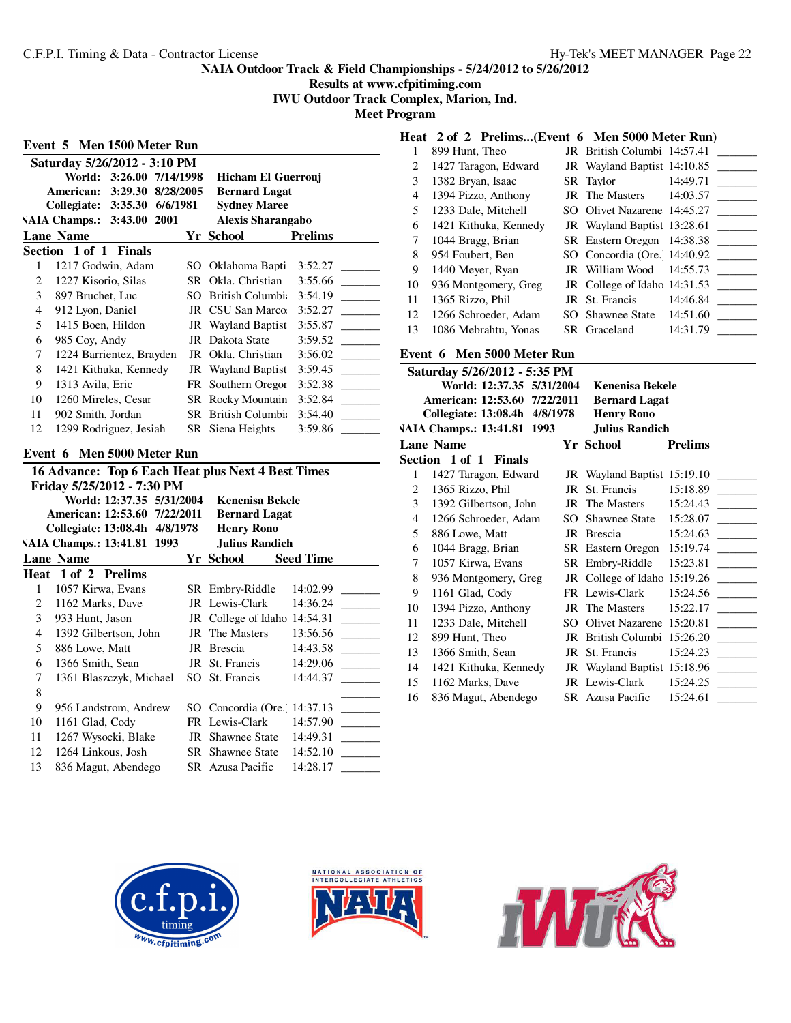**Results at www.cfpitiming.com**

**IWU Outdoor Track Complex, Marion, Ind. Meet Program**

| Event 5 Men 1500 Meter Run |                               |                           |  |    |                                                    |                  |
|----------------------------|-------------------------------|---------------------------|--|----|----------------------------------------------------|------------------|
|                            | Saturday 5/26/2012 - 3:10 PM  |                           |  |    |                                                    |                  |
|                            | World:                        | 3:26.00 7/14/1998         |  |    | Hicham El Guerrouj                                 |                  |
|                            | American:                     | 3:29.30 8/28/2005         |  |    | <b>Bernard Lagat</b>                               |                  |
|                            | Collegiate: 3:35.30 6/6/1981  |                           |  |    | <b>Sydney Maree</b>                                |                  |
|                            | VAIA Champs.: 3:43.00 2001    |                           |  |    | <b>Alexis Sharangabo</b>                           |                  |
|                            | <b>Lane Name</b>              |                           |  |    | <b>Yr School</b>                                   | <b>Prelims</b>   |
|                            | Section 1 of 1                | <b>Finals</b>             |  |    |                                                    |                  |
| 1                          | 1217 Godwin, Adam             |                           |  |    | SO Oklahoma Bapti                                  | 3:52.27          |
| $\overline{c}$             | 1227 Kisorio, Silas           |                           |  |    | SR Okla, Christian                                 | 3:55.66          |
| 3                          | 897 Bruchet, Luc              |                           |  |    | SO British Columbia                                | 3:54.19          |
| 4                          | 912 Lyon, Daniel              |                           |  |    | JR CSU San Marco:                                  | 3:52.27          |
| 5                          | 1415 Boen, Hildon             |                           |  |    | JR Wayland Baptist                                 | 3:55.87          |
| 6                          | 985 Coy, Andy                 |                           |  |    | JR Dakota State                                    | 3:59.52          |
| 7                          | 1224 Barrientez, Brayden      |                           |  |    | JR Okla. Christian                                 | 3:56.02          |
| 8                          | 1421 Kithuka, Kennedy         |                           |  |    | JR Wayland Baptist                                 | 3:59.45          |
| 9                          | 1313 Avila, Eric              |                           |  |    | FR Southern Oregor                                 | 3:52.38          |
| 10                         | 1260 Mireles, Cesar           |                           |  |    | SR Rocky Mountain                                  | 3:52.84          |
| 11                         | 902 Smith, Jordan             |                           |  |    | SR British Columbi:                                | 3:54.40          |
| 12                         | 1299 Rodriguez, Jesiah        |                           |  |    | SR Siena Heights                                   | 3:59.86          |
| Event 6                    |                               | Men 5000 Meter Run        |  |    |                                                    |                  |
|                            |                               |                           |  |    | 16 Advance: Top 6 Each Heat plus Next 4 Best Times |                  |
|                            | Friday 5/25/2012 - 7:30 PM    |                           |  |    |                                                    |                  |
|                            |                               | World: 12:37.35 5/31/2004 |  |    | <b>Kenenisa Bekele</b>                             |                  |
|                            | American: 12:53.60 7/22/2011  |                           |  |    | <b>Bernard Lagat</b>                               |                  |
|                            | Collegiate: 13:08.4h 4/8/1978 |                           |  |    | <b>Henry Rono</b>                                  |                  |
|                            | VAIA Champs.: 13:41.81 1993   |                           |  |    | <b>Julius Randich</b>                              |                  |
|                            | <b>Lane Name</b>              |                           |  |    | Yr School                                          | <b>Seed Time</b> |
|                            | Heat 1 of 2 Prelims           |                           |  |    |                                                    |                  |
| 1                          | 1057 Kirwa, Evans             |                           |  |    | SR Embry-Riddle                                    | 14:02.99         |
| 2                          | 1162 Marks, Dave              |                           |  |    | JR Lewis-Clark                                     | 14:36.24         |
| 3                          | 933 Hunt, Jason               |                           |  |    | JR College of Idaho 14:54.31                       |                  |
| 4                          | 1392 Gilbertson, John         |                           |  |    | <b>JR</b> The Masters                              | 13:56.56         |
| 5                          | 886 Lowe, Matt                |                           |  |    | JR Brescia                                         | 14:43.58         |
| 6                          | 1366 Smith, Sean              |                           |  |    | JR St. Francis                                     | 14:29.06         |
| 7                          | 1361 Blaszczyk, Michael       |                           |  |    | SO St. Francis                                     | 14:44.37         |
| 8                          |                               |                           |  |    |                                                    |                  |
| 9                          | 956 Landstrom, Andrew         |                           |  |    | SO Concordia (Ore. 14:37.13                        |                  |
| 10                         | 1161 Glad, Cody               |                           |  |    | FR Lewis-Clark                                     | 14:57.90         |
| 11                         | 1267 Wysocki, Blake           |                           |  |    | <b>JR</b> Shawnee State                            | 14:49.31         |
| 12                         | 1264 Linkous, Josh            |                           |  | SR | <b>Shawnee State</b>                               | 14:52.10         |

# 13 836 Magut, Abendego SR Azusa Pacific 14:28.17 \_

|  |  | Heat 2 of 2 Prelims(Event 6 Men 5000 Meter Run) |
|--|--|-------------------------------------------------|

|    | 899 Hunt, Theo        | JR British Columbi 14:57.41  |                              |
|----|-----------------------|------------------------------|------------------------------|
| 2  | 1427 Taragon, Edward  | JR Wayland Baptist 14:10.85  |                              |
| 3  | 1382 Bryan, Isaac     | SR Taylor                    | 14:49.71                     |
| 4  | 1394 Pizzo, Anthony   | JR The Masters               | 14:03.57                     |
| 5  | 1233 Dale, Mitchell   | SO Olivet Nazarene 14:45.27  |                              |
| 6  | 1421 Kithuka, Kennedy | JR Wayland Baptist 13:28.61  |                              |
| 7  | 1044 Bragg, Brian     | SR Eastern Oregon 14:38.38   |                              |
| 8  | 954 Foubert, Ben      | SO Concordia (Ore. 14:40.92) |                              |
| 9  | 1440 Meyer, Ryan      | JR William Wood              | 14:55.73                     |
| 10 | 936 Montgomery, Greg  |                              | JR College of Idaho 14:31.53 |
| 11 | 1365 Rizzo, Phil      | JR St. Francis               | 14:46.84                     |
| 12 | 1266 Schroeder, Adam  | SO Shawnee State             | 14:51.60                     |
| 13 | 1086 Mebrahtu, Yonas  | SR Graceland                 | 14:31.79                     |

# **Event 6 Men 5000 Meter Run**

|                                                     | Saturday 5/26/2012 - 5:35 PM  |        |                              |                |  |  |
|-----------------------------------------------------|-------------------------------|--------|------------------------------|----------------|--|--|
| World: 12:37.35 5/31/2004<br><b>Kenenisa Bekele</b> |                               |        |                              |                |  |  |
|                                                     | American: 12:53.60 7/22/2011  |        | <b>Bernard Lagat</b>         |                |  |  |
|                                                     | Collegiate: 13:08.4h 4/8/1978 |        | <b>Henry Rono</b>            |                |  |  |
|                                                     | VAIA Champs.: 13:41.81 1993   |        | <b>Julius Randich</b>        |                |  |  |
|                                                     | <b>Lane Name</b>              |        | Yr School                    | <b>Prelims</b> |  |  |
|                                                     | Section 1 of 1 Finals         |        |                              |                |  |  |
| 1                                                   | 1427 Taragon, Edward          |        | JR Wayland Baptist 15:19.10  |                |  |  |
| 2                                                   | 1365 Rizzo, Phil              | JR     | St. Francis                  | 15:18.89       |  |  |
| 3                                                   | 1392 Gilbertson, John         |        | JR The Masters               | 15:24.43       |  |  |
| 4                                                   | 1266 Schroeder, Adam          |        | SO Shawnee State 15:28.07    |                |  |  |
| 5                                                   | 886 Lowe, Matt                |        | JR Brescia                   | 15:24.63       |  |  |
| 6                                                   | 1044 Bragg, Brian             |        | SR Eastern Oregon            | 15:19.74       |  |  |
| 7                                                   | 1057 Kirwa, Evans             |        | SR Embry-Riddle              | 15:23.81       |  |  |
| 8                                                   | 936 Montgomery, Greg          |        | JR College of Idaho 15:19.26 |                |  |  |
| 9                                                   | 1161 Glad, Cody               |        | FR Lewis-Clark               | 15:24.56       |  |  |
| 10                                                  | 1394 Pizzo, Anthony           |        | JR The Masters               | 15:22.17       |  |  |
| 11                                                  | 1233 Dale, Mitchell           | $SO^-$ | Olivet Nazarene 15:20.81     |                |  |  |
| 12                                                  | 899 Hunt, Theo                |        | JR British Columbi: 15:26.20 |                |  |  |
| 13                                                  | 1366 Smith, Sean              |        | JR St. Francis               | 15:24.23       |  |  |
| 14                                                  | 1421 Kithuka, Kennedy         |        | JR Wayland Baptist 15:18.96  |                |  |  |
| 15                                                  | 1162 Marks, Dave              |        | JR Lewis-Clark               | 15:24.25       |  |  |
| 16                                                  | 836 Magut, Abendego           |        | SR Azusa Pacific             | 15:24.61       |  |  |





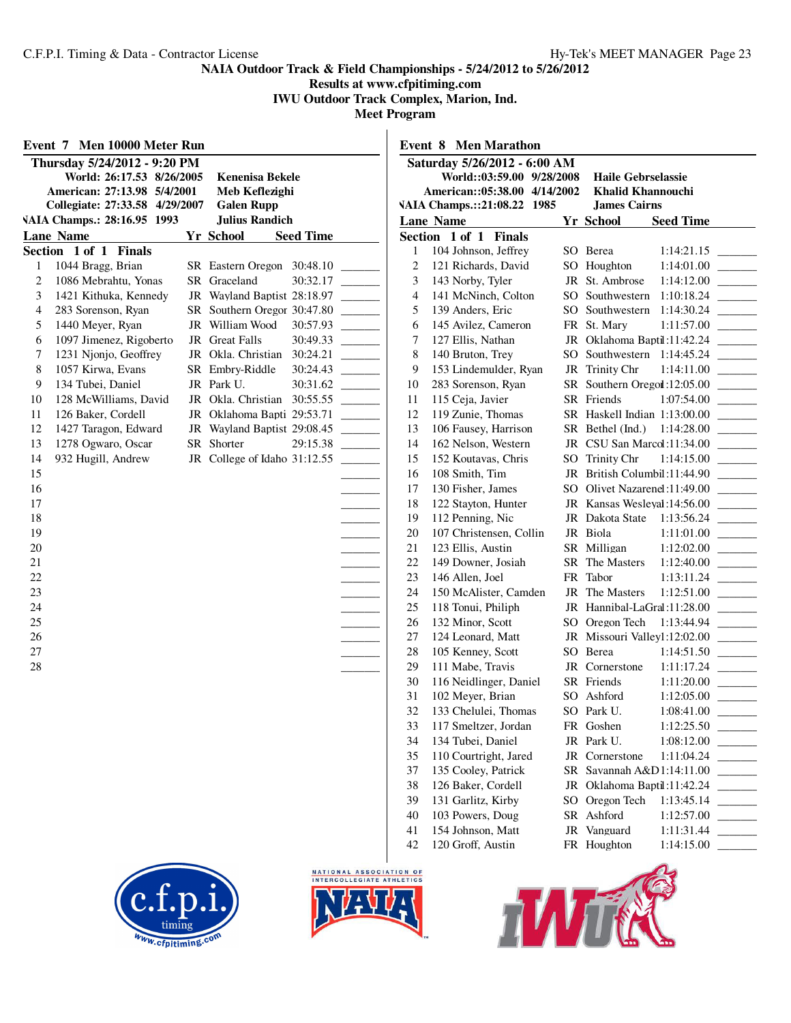# **Results at www.cfpitiming.com**

**IWU Outdoor Track Complex, Marion, Ind.**

|                         | Event 7 Men 10000 Meter Run    |                              |                  |                | Event 8 M          |
|-------------------------|--------------------------------|------------------------------|------------------|----------------|--------------------|
|                         | Thursday 5/24/2012 - 9:20 PM   |                              |                  |                | Saturday 5         |
|                         | World: 26:17.53 8/26/2005      | <b>Kenenisa Bekele</b>       |                  |                | Worl               |
|                         | American: 27:13.98 5/4/2001    | Meb Keflezighi               |                  |                | America            |
|                         | Collegiate: 27:33.58 4/29/2007 | <b>Galen Rupp</b>            |                  |                | <b>VAIA Champs</b> |
|                         | VAIA Champs.: 28:16.95 1993    | <b>Julius Randich</b>        |                  |                | <b>Lane Name</b>   |
|                         | <b>Lane Name</b>               | Yr School                    | <b>Seed Time</b> |                | Section 1 of       |
|                         | Section 1 of 1 Finals          |                              |                  | 1              | 104 Joh            |
| 1                       | 1044 Bragg, Brian              | SR Eastern Oregon            | 30:48.10         | $\overline{c}$ | 121 Ric            |
| $\overline{c}$          | 1086 Mebrahtu, Yonas           | SR Graceland                 | 30:32.17         | 3              | 143 No             |
| 3                       | 1421 Kithuka, Kennedy          | JR Wayland Baptist 28:18.97  |                  | $\overline{4}$ | 141 Mc             |
| $\overline{\mathbf{4}}$ | 283 Sorenson, Ryan             | SR Southern Oregor 30:47.80  |                  | 5              | 139 An             |
| 5                       | 1440 Meyer, Ryan               | JR William Wood              | 30:57.93         | 6              | 145 Avi            |
| 6                       | 1097 Jimenez, Rigoberto        | JR Great Falls               | 30:49.33         | $\overline{7}$ | 127 Ell            |
| 7                       | 1231 Njonjo, Geoffrey          | JR Okla. Christian 30:24.21  |                  | 8              | 140 Brt            |
| 8                       | 1057 Kirwa, Evans              | SR Embry-Riddle              | 30:24.43         | 9              | 153 Lin            |
| 9                       | 134 Tubei, Daniel              | JR Park U.                   | 30:31.62         | 10             | 283 Sor            |
| 10                      | 128 McWilliams, David          | JR Okla. Christian           | 30:55.55         | 11             | 115 Cej            |
| 11                      | 126 Baker, Cordell             | JR Oklahoma Bapti 29:53.71   |                  | 12             | 119 Zui            |
| 12                      | 1427 Taragon, Edward           | JR Wayland Baptist 29:08.45  |                  | 13             | 106 Fat            |
| 13                      | 1278 Ogwaro, Oscar             | SR Shorter                   | 29:15.38         | 14             | 162 Nel            |
| 14                      | 932 Hugill, Andrew             | JR College of Idaho 31:12.55 |                  | 15             | 152 Ko             |
| 15                      |                                |                              |                  | 16             | 108 Sm             |
| 16                      |                                |                              |                  | 17             | 130 Fis            |
| 17                      |                                |                              |                  | 18             | 122 Sta            |
| 18                      |                                |                              |                  | 19             | 112 Per            |
| 19                      |                                |                              |                  | 20             | 107 Ch             |
| 20                      |                                |                              |                  | 21             | 123 Ell            |
| 21                      |                                |                              |                  | 22             | 149 Do             |
| 22                      |                                |                              |                  | 23             | 146 All            |
| 23                      |                                |                              |                  | 24             | 150 Mc             |
| 24                      |                                |                              |                  | 25             | 118 Tor            |
| 25                      |                                |                              |                  | 26             | 132 Mi             |
| 26                      |                                |                              |                  | 27             | 124 Leo            |
| 27                      |                                |                              |                  | 28             | 105 Ke             |
| 28                      |                                |                              |                  | 29             | 111 Ma             |
|                         |                                |                              |                  | 30             | 116 Nei            |
|                         |                                |                              |                  | 31             | 102 Me             |
|                         |                                |                              |                  | 32<br>33       | 133 Ch<br>117 Sm   |
|                         |                                |                              |                  | 34             | 134 Tul            |
|                         |                                |                              |                  | 35             | 110 Co             |
|                         |                                |                              |                  | 37             | 135 Co             |
|                         |                                |                              |                  | 38             | 126 Bal            |
|                         |                                |                              |                  | 39             | 131 Ga             |
|                         |                                |                              |                  | 40             | 103 Poy            |
|                         |                                |                              |                  | 41             | 154 Joh            |
|                         |                                |                              |                  | 42             | 120 Gro            |
|                         |                                |                              |                  |                |                    |

| <b>Men Marathon</b><br>Event 8 |                                       |          |                                                       |  |  |  |  |  |
|--------------------------------|---------------------------------------|----------|-------------------------------------------------------|--|--|--|--|--|
|                                | Saturday 5/26/2012 - 6:00 AM          |          |                                                       |  |  |  |  |  |
|                                | World::03:59.00 9/28/2008             |          | <b>Haile Gebrselassie</b>                             |  |  |  |  |  |
|                                | American::05:38.00 4/14/2002          |          | <b>Khalid Khannouchi</b>                              |  |  |  |  |  |
|                                | VAIA Champs.::21:08.22 1985           |          | <b>James Cairns</b>                                   |  |  |  |  |  |
|                                | <b>Lane Name</b>                      |          | <b>Seed Time</b><br>Yr School                         |  |  |  |  |  |
|                                | Section 1 of 1<br><b>Finals</b>       |          |                                                       |  |  |  |  |  |
| 1                              | 104 Johnson, Jeffrey                  |          | 1:14:21.15<br>SO Berea                                |  |  |  |  |  |
| 2                              | 121 Richards, David                   | SO.      | Houghton<br>1:14:01.00                                |  |  |  |  |  |
| 3                              | 143 Norby, Tyler                      | JR       | St. Ambrose<br>1:14:12.00                             |  |  |  |  |  |
| $\overline{4}$                 | 141 McNinch, Colton                   |          | SO Southwestern<br>1:10:18.24                         |  |  |  |  |  |
| 5                              | 139 Anders, Eric                      |          | SO Southwestern<br>1:14:30.24                         |  |  |  |  |  |
| 6                              | 145 Avilez, Cameron                   |          | FR St. Mary<br>1:11:57.00                             |  |  |  |  |  |
| 7                              | 127 Ellis, Nathan                     |          | JR Oklahoma Baptil:11:42.24                           |  |  |  |  |  |
| 8                              | 140 Bruton, Trey                      | $SO_{-}$ | Southwestern<br>1:14:45.24                            |  |  |  |  |  |
| 9                              | 153 Lindemulder, Ryan                 | JR       | Trinity Chr<br>1:14:11.00                             |  |  |  |  |  |
| 10                             | 283 Sorenson, Ryan                    | SR       | Southern Oregon : 12:05.00                            |  |  |  |  |  |
| 11<br>12                       | 115 Ceja, Javier<br>119 Zunie, Thomas | SR       | Friends<br>1:07:54.00<br>SR Haskell Indian 1:13:00.00 |  |  |  |  |  |
| 13                             | 106 Fausey, Harrison                  | SR       | Bethel (Ind.)<br>1:14:28.00                           |  |  |  |  |  |
| 14                             | 162 Nelson, Western                   | JR       | CSU San Marcol:11:34.00                               |  |  |  |  |  |
| 15                             | 152 Koutavas, Chris                   | SO       | <b>Trinity Chr</b><br>1:14:15.00                      |  |  |  |  |  |
| 16                             | 108 Smith, Tim                        | JR       | British Columbil:11:44.90                             |  |  |  |  |  |
| 17                             | 130 Fisher, James                     |          | SO Olivet Nazarenel:11:49.00                          |  |  |  |  |  |
| 18                             | 122 Stayton, Hunter                   |          | JR Kansas Wesleval:14:56.00                           |  |  |  |  |  |
| 19                             | 112 Penning, Nic                      |          | JR Dakota State<br>1:13:56.24                         |  |  |  |  |  |
| 20                             | 107 Christensen, Collin               |          | JR Biola<br>1:11:01.00                                |  |  |  |  |  |
| 21                             | 123 Ellis, Austin                     |          | SR Milligan<br>1:12:02.00                             |  |  |  |  |  |
| 22                             | 149 Downer, Josiah                    | SR       | The Masters<br>1:12:40.00                             |  |  |  |  |  |
| 23                             | 146 Allen, Joel                       | FR       | Tabor<br>1:13:11.24                                   |  |  |  |  |  |
| 24                             | 150 McAlister, Camden                 | JR       | The Masters<br>1:12:51.00                             |  |  |  |  |  |
| 25                             | 118 Tonui, Philiph                    | JR       | Hannibal-LaGral:11:28.00                              |  |  |  |  |  |
| 26                             | 132 Minor, Scott                      | SO       | Oregon Tech<br>1:13:44.94                             |  |  |  |  |  |
| 27                             | 124 Leonard, Matt                     | JR       | Missouri Valley1:12:02.00                             |  |  |  |  |  |
| 28                             | 105 Kenney, Scott                     | SO.      | 1:14:51.50<br>Berea                                   |  |  |  |  |  |
| 29                             | 111 Mabe, Travis                      |          | 1:11:17.24<br>JR Cornerstone                          |  |  |  |  |  |
| 30                             | 116 Neidlinger, Daniel                |          | SR Friends<br>1:11:20.00                              |  |  |  |  |  |
| 31                             | 102 Meyer, Brian                      |          | SO Ashford<br>1:12:05.00                              |  |  |  |  |  |
| 32                             | 133 Chelulei, Thomas                  |          | SO Park U.<br>1:08:41.00                              |  |  |  |  |  |
| 33                             | 117 Smeltzer, Jordan                  | FR       | Goshen<br>1:12:25.50                                  |  |  |  |  |  |
| 34                             | 134 Tubei, Daniel                     | JR       | Park U.<br>1:08:12.00                                 |  |  |  |  |  |
| 35                             | 110 Courtright, Jared                 | JR       | 1:11:04.24<br>Cornerstone                             |  |  |  |  |  |
| 37                             | 135 Cooley, Patrick                   | SR       | Savannah A&D1:14:11.00                                |  |  |  |  |  |
| 38                             | 126 Baker, Cordell                    | JR       | Oklahoma Baptil:11:42.24                              |  |  |  |  |  |
| 39                             | 131 Garlitz, Kirby                    | SO       | Oregon Tech<br>1:13:45.14                             |  |  |  |  |  |
| 40                             | 103 Powers, Doug                      | SR       | Ashford<br>1:12:57.00                                 |  |  |  |  |  |
| 41                             | 154 Johnson, Matt                     | JR       | Vanguard<br>1:11:31.44                                |  |  |  |  |  |
| 42                             | 120 Groff, Austin                     | FR       | Houghton<br>1:14:15.00                                |  |  |  |  |  |
|                                |                                       |          |                                                       |  |  |  |  |  |





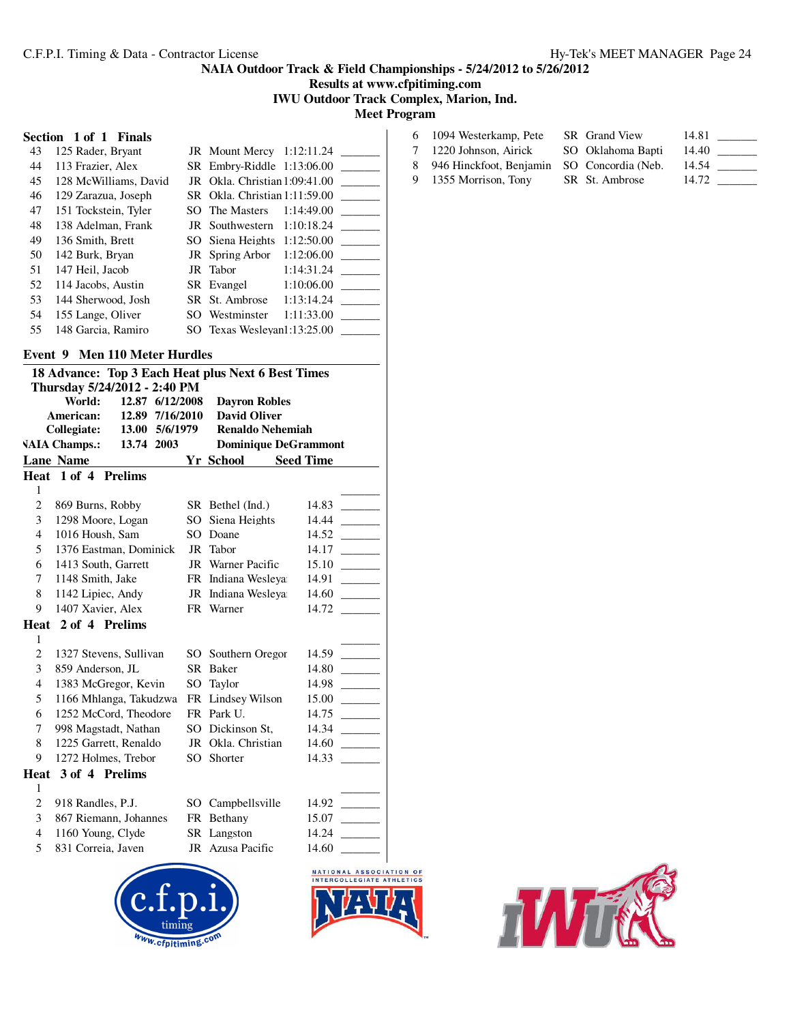**Results at www.cfpitiming.com**

# **IWU Outdoor Track Complex, Marion, Ind.**

**Meet Program**

| Section 1 of 1 Finals |  |  |
|-----------------------|--|--|
|                       |  |  |

| 43  | 125 Rader, Bryant     | <b>JR</b> Mount Mercy 1:12:11.24 |            |  |
|-----|-----------------------|----------------------------------|------------|--|
|     |                       |                                  |            |  |
| 44  | 113 Frazier, Alex     | SR Embry-Riddle 1:13:06.00       |            |  |
| 45  | 128 McWilliams, David | JR Okla. Christian 1:09:41.00    |            |  |
| 46  | 129 Zarazua, Joseph   | SR Okla. Christian 1:11:59.00    |            |  |
| 47  | 151 Tockstein, Tyler  | SO The Masters                   | 1:14:49.00 |  |
| 48  | 138 Adelman, Frank    | JR Southwestern                  | 1:10:18.24 |  |
| 49  | 136 Smith, Brett      | SO Siena Heights $1:12:50.00$    |            |  |
| 50  | 142 Burk, Bryan       | JR Spring Arbor                  | 1:12:06.00 |  |
| 51  | 147 Heil, Jacob       | JR Tabor                         | 1:14:31.24 |  |
| 52  | 114 Jacobs, Austin    | SR Evangel                       | 1:10:06.00 |  |
| 53. | 144 Sherwood, Josh    | SR St. Ambrose                   | 1:13:14.24 |  |
| 54  | 155 Lange, Oliver     | SO Westminster                   | 1:11:33.00 |  |
| 55  | 148 Garcia, Ramiro    | SO Texas Wesleyan1:13:25.00      |            |  |
|     |                       |                                  |            |  |

# **Event 9 Men 110 Meter Hurdles**

| 18 Advance: Top 3 Each Heat plus Next 6 Best Times |                                    |                 |                          |                                                      |  |
|----------------------------------------------------|------------------------------------|-----------------|--------------------------|------------------------------------------------------|--|
|                                                    | Thursday 5/24/2012 - 2:40 PM       |                 |                          |                                                      |  |
|                                                    | World:                             | 12.87 6/12/2008 | <b>Dayron Robles</b>     |                                                      |  |
|                                                    | American:<br>12.89                 | 7/16/2010       | <b>David Oliver</b>      |                                                      |  |
|                                                    | Collegiate:                        | 13.00 5/6/1979  | Renaldo Nehemiah         |                                                      |  |
|                                                    | <b>VAIA Champs.:</b><br>13.74 2003 |                 |                          | <b>Dominique DeGrammont</b>                          |  |
|                                                    | <b>Lane Name</b>                   |                 | Yr School                | <b>Seed Time</b>                                     |  |
|                                                    | Heat 1 of 4 Prelims                |                 |                          |                                                      |  |
| 1                                                  |                                    |                 |                          |                                                      |  |
| $\overline{c}$                                     | 869 Burns, Robby                   |                 | SR Bethel (Ind.)         | 14.83                                                |  |
| 3                                                  | 1298 Moore, Logan                  |                 | SO Siena Heights         | 14.44                                                |  |
| $\overline{4}$                                     | 1016 Housh, Sam                    |                 | SO Doane                 | 14.52                                                |  |
| 5                                                  | 1376 Eastman, Dominick             |                 | JR Tabor                 | 14.17                                                |  |
| 6                                                  | 1413 South, Garrett                |                 | <b>JR</b> Warner Pacific | 15.10                                                |  |
| 7                                                  | 1148 Smith, Jake                   |                 | FR Indiana Wesleya       | 14.91                                                |  |
| 8                                                  | 1142 Lipiec, Andy                  |                 | JR Indiana Wesleya       | 14.60                                                |  |
| 9                                                  | 1407 Xavier, Alex                  |                 | FR Warner                | 14.72                                                |  |
|                                                    | Heat 2 of 4 Prelims                |                 |                          |                                                      |  |
| $\mathbf{1}$                                       |                                    |                 |                          |                                                      |  |
| $\overline{c}$                                     | 1327 Stevens, Sullivan             |                 | SO Southern Oregor       | 14.59                                                |  |
| 3                                                  | 859 Anderson, JL                   |                 | SR Baker                 | 14.80                                                |  |
| $\overline{\mathcal{L}}$                           | 1383 McGregor, Kevin               |                 | SO Taylor                | 14.98                                                |  |
| 5                                                  | 1166 Mhlanga, Takudzwa             |                 | FR Lindsey Wilson        | 15.00                                                |  |
| 6                                                  | 1252 McCord. Theodore              |                 | FR Park U.               | 14.75                                                |  |
| 7                                                  | 998 Magstadt, Nathan               |                 | SO Dickinson St,         | 14.34                                                |  |
| 8                                                  | 1225 Garrett, Renaldo              |                 | JR Okla. Christian       | 14.60                                                |  |
| 9                                                  | 1272 Holmes, Trebor                |                 | SO Shorter               | 14.33                                                |  |
| Heat                                               | 3 of 4 Prelims                     |                 |                          |                                                      |  |
| 1                                                  |                                    |                 |                          |                                                      |  |
| $\overline{c}$                                     | 918 Randles, P.J.                  |                 | SO Campbellsville        | 14.92                                                |  |
| 3                                                  | 867 Riemann, Johannes              |                 | FR Bethany               | 15.07                                                |  |
| $\overline{4}$                                     | 1160 Young, Clyde                  |                 | SR Langston              | 14.24                                                |  |
| 5                                                  | 831 Correia, Javen                 |                 | JR Azusa Pacific         | 14.60                                                |  |
|                                                    |                                    |                 |                          | NATIONAL ASSOCIATION OF<br>INTERCOLLEGIATE ATHLETICS |  |

| 6 1094 Westerkamp, Pete                      | SR Grand View     | 14.81 |  |
|----------------------------------------------|-------------------|-------|--|
| 7 1220 Johnson, Airick                       | SO Oklahoma Bapti | 14.40 |  |
| 8 946 Hinckfoot, Benjamin SO Concordia (Neb. |                   | 14.54 |  |

9 1355 Morrison, Tony SR St. Ambrose 14.72



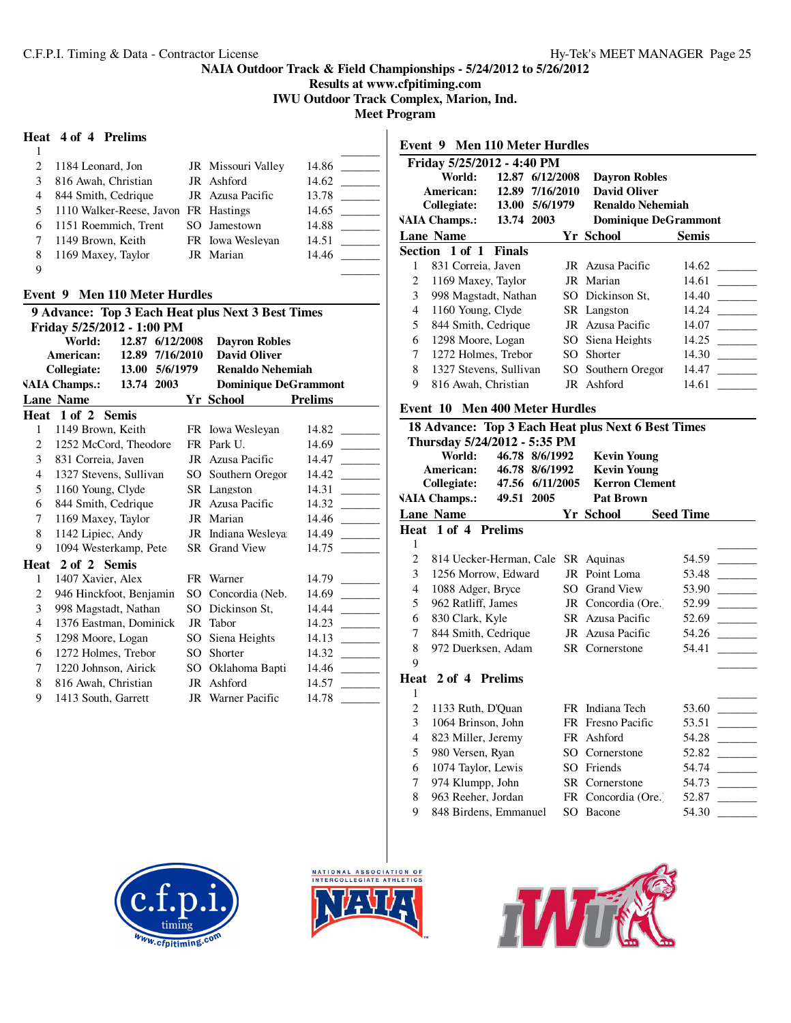# **Results at www.cfpitiming.com**

**IWU Outdoor Track Complex, Marion, Ind.**

**Meet Program**

#### **Heat 4 of 4 Prelims**

| $\mathcal{D}_{\mathcal{L}}$ | 1184 Leonard, Jon                    | JR Missouri Valley | 14.86 |
|-----------------------------|--------------------------------------|--------------------|-------|
| 3                           | 816 Awah, Christian                  | JR Ashford         | 14.62 |
| 4                           | 844 Smith, Cedrique                  | JR Azusa Pacific   | 13.78 |
| 5                           | 1110 Walker-Reese, Javon FR Hastings |                    | 14.65 |
| 6                           | 1151 Roemmich, Trent                 | SO Jamestown       | 14.88 |
|                             | 1149 Brown, Keith                    | FR Iowa Wesleyan   | 14.51 |
| 8                           | 1169 Maxey, Taylor                   | JR Marian          | 14.46 |
| 9                           |                                      |                    |       |

#### **Event 9 Men 110 Meter Hurdles**

| 9 Advance: Top 3 Each Heat plus Next 3 Best Times |                            |                |           |     |                             |                |  |
|---------------------------------------------------|----------------------------|----------------|-----------|-----|-----------------------------|----------------|--|
|                                                   | Friday 5/25/2012 - 1:00 PM |                |           |     |                             |                |  |
|                                                   | World:                     | 12.87          | 6/12/2008 |     | <b>Dayron Robles</b>        |                |  |
|                                                   | American:                  | 12.89          | 7/16/2010 |     | <b>David Oliver</b>         |                |  |
|                                                   | Collegiate:                | 13.00 5/6/1979 |           |     | <b>Renaldo Nehemiah</b>     |                |  |
|                                                   | <b>VAIA Champs.:</b>       | 13.74 2003     |           |     | <b>Dominique DeGrammont</b> |                |  |
|                                                   | <b>Lane Name</b>           |                |           |     | Yr School                   | <b>Prelims</b> |  |
| Heat                                              | $1$ of $2$                 | <b>Semis</b>   |           |     |                             |                |  |
| 1                                                 | 1149 Brown, Keith          |                |           |     | FR Iowa Wesleyan            | 14.82          |  |
| 2                                                 | 1252 McCord, Theodore      |                |           |     | FR Park U.                  | 14.69          |  |
| 3                                                 | 831 Correia, Javen         |                |           |     | JR Azusa Pacific            | 14.47          |  |
| $\overline{4}$                                    | 1327 Stevens, Sullivan     |                |           |     | SO Southern Oregor          | 14.42          |  |
| 5                                                 | 1160 Young, Clyde          |                |           |     | SR Langston                 | 14.31          |  |
| 6                                                 | 844 Smith, Cedrique        |                |           |     | JR Azusa Pacific            | 14.32          |  |
| $\tau$                                            | 1169 Maxey, Taylor         |                |           |     | JR Marian                   | 14.46          |  |
| 8                                                 | 1142 Lipiec, Andy          |                |           |     | JR Indiana Wesleya          | 14.49          |  |
| 9                                                 | 1094 Westerkamp, Pete      |                |           |     | SR Grand View               | 14.75          |  |
| Heat                                              | 2 of 2 Semis               |                |           |     |                             |                |  |
| 1                                                 | 1407 Xavier, Alex          |                |           |     | FR Warner                   | 14.79          |  |
| 2                                                 | 946 Hinckfoot, Benjamin    |                |           | SO  | Concordia (Neb.             | 14.69          |  |
| 3                                                 | 998 Magstadt, Nathan       |                |           | SO  | Dickinson St.               | 14.44          |  |
| 4                                                 | 1376 Eastman, Dominick     |                |           | JR. | Tabor                       | 14.23          |  |
| 5                                                 | 1298 Moore, Logan          |                |           | SO  | Siena Heights               | 14.13          |  |
| 6                                                 | 1272 Holmes, Trebor        |                |           | SO. | Shorter                     | 14.32          |  |
| 7                                                 | 1220 Johnson, Airick       |                |           | SO. | Oklahoma Bapti              | 14.46          |  |
| 8                                                 | 816 Awah, Christian        |                |           | JR  | Ashford                     | 14.57          |  |
| 9                                                 | 1413 South, Garrett        |                |           |     | JR Warner Pacific           | 14.78          |  |
|                                                   |                            |                |           |     |                             |                |  |

# **Event 9 Men 110 Meter Hurdles Friday 5/25/2012 - 4:40 PM World: 12.87 6/12/2008 Dayron Robles American: 12.89 7/16/2010 David Oliver Collegiate: 13.00 5/6/1979 Renaldo Nehemiah NAIA Champs.: 13.74 2003 Dominique DeGrammont Lane Name Yr School Semis Section 1 of 1 Finals** 1 831 Correia, Javen JR Azusa Pacific 14.62 \_\_\_\_\_\_\_\_\_ 2 1169 Maxey, Taylor JR Marian 3 998 Magstadt, Nathan SO Dickinson St, 14.40 \_\_\_\_\_\_\_\_\_ 4 1160 Young, Clyde SR Langston 14.24 \_\_\_\_\_\_\_\_\_ 5 844 Smith, Cedrique JR Azusa Pacific 14.07 \_\_\_\_\_\_ 6 1298 Moore, Logan SO Siena Heights 14.25 \_\_\_\_\_\_\_\_\_ 7 1272 Holmes, Trebor SO Shorter 14.30 \_\_\_\_\_\_\_\_\_ 8 1327 Stevens, Sullivan SO Southern Oregon 14.47 \_\_\_\_\_\_\_\_\_\_\_\_\_\_\_\_\_\_\_\_\_\_\_\_\_\_\_\_\_\_\_ 9 816 Awah, Christian JR Ashford 14.61 **Event 10 Men 400 Meter Hurdles 18 Advance: Top 3 Each Heat plus Next 6 Best Times Thursday 5/24/2012 - 5:35 PM World: 46.78 8/6/1992 Kevin Young American: 46.78 8/6/1992 Kevin Young Collegiate: 47.56 6/11/2005 Kerron Clement NAIA Champs.: 49.51 2005 Pat Brown Lane Name Seed Time Seed Time Heat 1 of 4 Prelims**  $1$   $\overline{\phantom{a}}$   $\overline{\phantom{a}}$   $\overline{\phantom{a}}$   $\overline{\phantom{a}}$   $\overline{\phantom{a}}$   $\overline{\phantom{a}}$   $\overline{\phantom{a}}$   $\overline{\phantom{a}}$   $\overline{\phantom{a}}$   $\overline{\phantom{a}}$   $\overline{\phantom{a}}$   $\overline{\phantom{a}}$   $\overline{\phantom{a}}$   $\overline{\phantom{a}}$   $\overline{\phantom{a}}$   $\overline{\phantom{a}}$   $\overline{\phantom{a}}$   $\overline{\phantom{a}}$  2 814 Uecker-Herman, Cale SR Aquinas 54.59 3 1256 Morrow, Edward JR Point Loma 53.48 4 1088 Adger, Bryce SO Grand View 53.90 5 962 Ratliff, James JR Concordia (Ore.) 52.99 6 830 Clark, Kyle SR Azusa Pacific 52.69 \_\_\_\_\_\_\_\_\_ 7 844 Smith, Cedrique JR Azusa Pacific 54.26 \_\_\_\_\_\_\_\_\_ 8 972 Duerksen, Adam SR Cornerstone 54.41 9 \_\_\_\_\_\_\_\_\_ **Heat 2 of 4 Prelims**  $1$ 2 1133 Ruth, D'Quan FR Indiana Tech 53.60 3 1064 Brinson, John FR Fresno Pacific 53.51 4 823 Miller, Jeremy FR Ashford 54.28 \_\_\_\_\_\_\_\_\_ 5 980 Versen, Ryan SO Cornerstone 52.82 \_\_\_\_\_\_\_ 6 1074 Taylor, Lewis SO Friends 54.74 \_\_\_\_\_\_\_\_\_ 7 974 Klumpp, John SR Cornerstone 54.73 \_\_\_\_\_\_\_\_\_ 8 963 Reeher, Jordan FR Concordia (Ore.) 52.87 9 848 Birdens, Emmanuel SO Bacone 54.30 \_\_\_\_\_\_\_\_\_



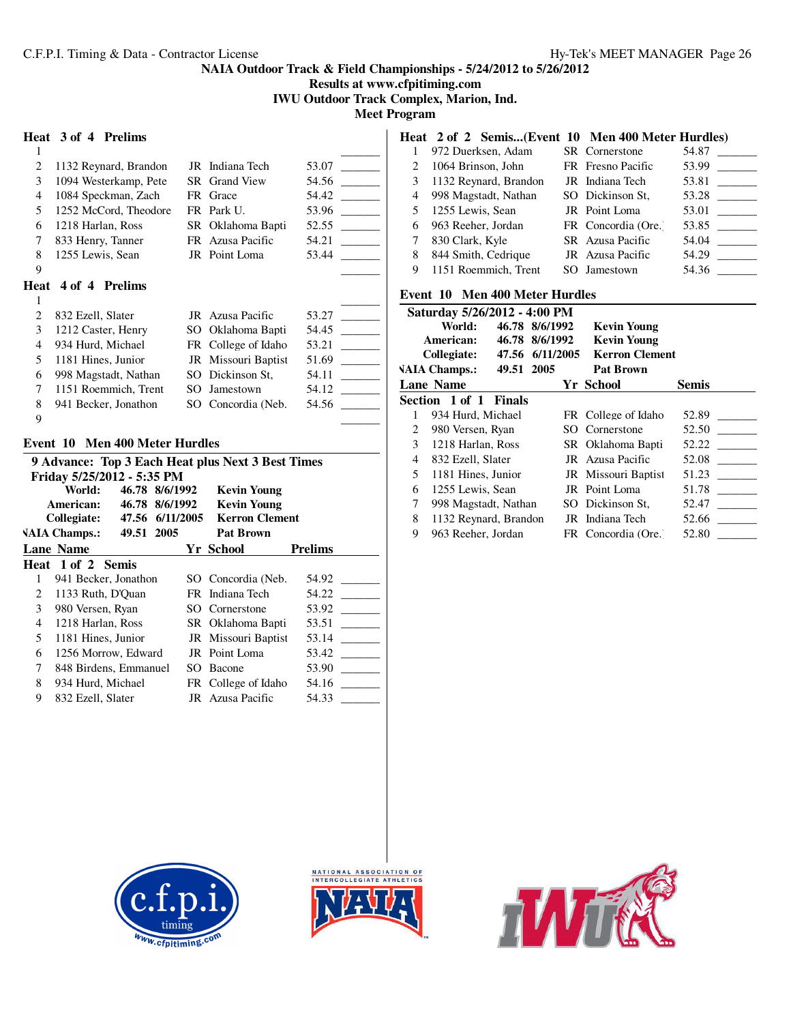**Results at www.cfpitiming.com**

**IWU Outdoor Track Complex, Marion, Ind.**

**Meet Program**

# **Heat 3 of 4 Prelims**

| 1 |                       |    |                      |       |
|---|-----------------------|----|----------------------|-------|
| 2 | 1132 Reynard, Brandon |    | JR Indiana Tech      | 53.07 |
| 3 | 1094 Westerkamp, Pete |    | <b>SR</b> Grand View | 54.56 |
| 4 | 1084 Speckman, Zach   |    | FR Grace             | 54.42 |
| 5 | 1252 McCord, Theodore |    | FR Park U.           | 53.96 |
| 6 | 1218 Harlan, Ross     |    | SR Oklahoma Bapti    | 52.55 |
| 7 | 833 Henry, Tanner     | FR | Azusa Pacific        | 54.21 |
| 8 | 1255 Lewis, Sean      |    | JR Point Loma        | 53.44 |
| 9 |                       |    |                      |       |
|   |                       |    |                      |       |
|   | Heat 4 of 4 Prelims   |    |                      |       |
|   |                       |    |                      |       |
| 2 | 832 Ezell, Slater     |    | JR Azusa Pacific     | 53.27 |
| 3 | 1212 Caster, Henry    |    | SO Oklahoma Bapti    | 54.45 |
| 4 | 934 Hurd, Michael     |    | FR College of Idaho  | 53.21 |
| 5 | 1181 Hines, Junior    |    | JR Missouri Baptist  | 51.69 |
| 6 | 998 Magstadt, Nathan  |    | SO Dickinson St.     | 54.11 |
| 7 | 1151 Roemmich, Trent  | SO | Jamestown            | 54.12 |

 $\qquad \qquad \qquad$ 

#### **Event 10 Men 400 Meter Hurdles**

| 9 Advance: Top 3 Each Heat plus Next 3 Best Times |                                      |  |                 |  |                                   |                |
|---------------------------------------------------|--------------------------------------|--|-----------------|--|-----------------------------------|----------------|
|                                                   | Friday 5/25/2012 - 5:35 PM<br>World: |  | 46.78 8/6/1992  |  |                                   |                |
|                                                   | American:                            |  | 46.78 8/6/1992  |  | Kevin Young<br><b>Kevin Young</b> |                |
|                                                   | Collegiate:                          |  | 47.56 6/11/2005 |  | <b>Kerron Clement</b>             |                |
|                                                   | <b>VAIA Champs.:</b>                 |  | 49.51 2005      |  | <b>Pat Brown</b>                  |                |
|                                                   | <b>Lane Name</b>                     |  |                 |  | Yr School                         | <b>Prelims</b> |
|                                                   | Heat 1 of 2 Semis                    |  |                 |  |                                   |                |
| 1                                                 | 941 Becker, Jonathon                 |  |                 |  | SO Concordia (Neb.                | 54.92          |
| 2                                                 | 1133 Ruth, D'Ouan                    |  |                 |  | FR Indiana Tech                   | 54.22          |
| 3                                                 | 980 Versen, Ryan                     |  |                 |  | SO Cornerstone                    | 53.92          |
| $\overline{4}$                                    | 1218 Harlan, Ross                    |  |                 |  | SR Oklahoma Bapti                 | 53.51          |
| 5                                                 | 1181 Hines, Junior                   |  |                 |  | JR Missouri Baptist               | 53.14          |
| 6                                                 | 1256 Morrow, Edward                  |  |                 |  | JR Point Loma                     | 53.42          |
| 7                                                 | 848 Birdens, Emmanuel                |  |                 |  | SO Bacone                         | 53.90          |
| 8                                                 | 934 Hurd, Michael                    |  |                 |  | FR College of Idaho               | 54.16          |
| 9                                                 | 832 Ezell, Slater                    |  |                 |  | <b>JR</b> Azusa Pacific           | 54.33          |

# **Heat 2 of 2 Semis...(Event 10 Men 400 Meter Hurdles)**

|    | 972 Duerksen, Adam     | <b>SR</b> Cornerstone | 54.87                             |
|----|------------------------|-----------------------|-----------------------------------|
|    | 1064 Brinson, John     | FR Fresno Pacific     | 53.99                             |
| 3  | 1132 Reynard, Brandon  | JR Indiana Tech       | 53.81<br><b>Contract Contract</b> |
|    | 4 998 Magstadt, Nathan | SO Dickinson St.      | 53.28                             |
| 5. | 1255 Lewis, Sean       | JR Point Loma         | 53.01                             |
| 6  | 963 Reeher, Jordan     | FR Concordia (Ore.)   | 53.85                             |
|    | 830 Clark, Kyle        | SR Azusa Pacific      | 54.04                             |
| 8  | 844 Smith, Cedrique    | JR Azusa Pacific      | 54.29                             |
| 9  | 1151 Roemmich, Trent   | SO Jamestown          | 54.36                             |

# **Event 10 Men 400 Meter Hurdles**

|   | Saturday 5/26/2012 - 4:00 PM |                 |                       |              |  |  |  |
|---|------------------------------|-----------------|-----------------------|--------------|--|--|--|
|   | World:                       | 46.78 8/6/1992  | <b>Kevin Young</b>    |              |  |  |  |
|   | American:                    | 46.78 8/6/1992  | <b>Kevin Young</b>    |              |  |  |  |
|   | Collegiate:                  | 47.56 6/11/2005 | <b>Kerron Clement</b> |              |  |  |  |
|   | <b>VAIA Champs.:</b>         | 49.51 2005      | <b>Pat Brown</b>      |              |  |  |  |
|   | <b>Lane Name</b>             |                 | Yr School             | <b>Semis</b> |  |  |  |
|   | Section 1 of 1 Finals        |                 |                       |              |  |  |  |
| 1 | 934 Hurd, Michael            |                 | FR College of Idaho   | 52.89        |  |  |  |
| 2 | 980 Versen, Ryan             |                 | SO Cornerstone        | 52.50        |  |  |  |
| 3 | 1218 Harlan, Ross            |                 | SR Oklahoma Bapti     | 52.22        |  |  |  |
| 4 | 832 Ezell, Slater            |                 | JR Azusa Pacific      | 52.08        |  |  |  |
| 5 | 1181 Hines, Junior           |                 | JR Missouri Baptist   | 51.23        |  |  |  |
| 6 | 1255 Lewis, Sean             |                 | JR Point Loma         | 51.78        |  |  |  |
| 7 | 998 Magstadt, Nathan         |                 | SO Dickinson St.      | 52.47        |  |  |  |
| 8 | 1132 Reynard, Brandon        |                 | JR Indiana Tech       | 52.66        |  |  |  |
| 9 | 963 Reeher, Jordan           |                 | FR Concordia (Ore.)   | 52.80        |  |  |  |





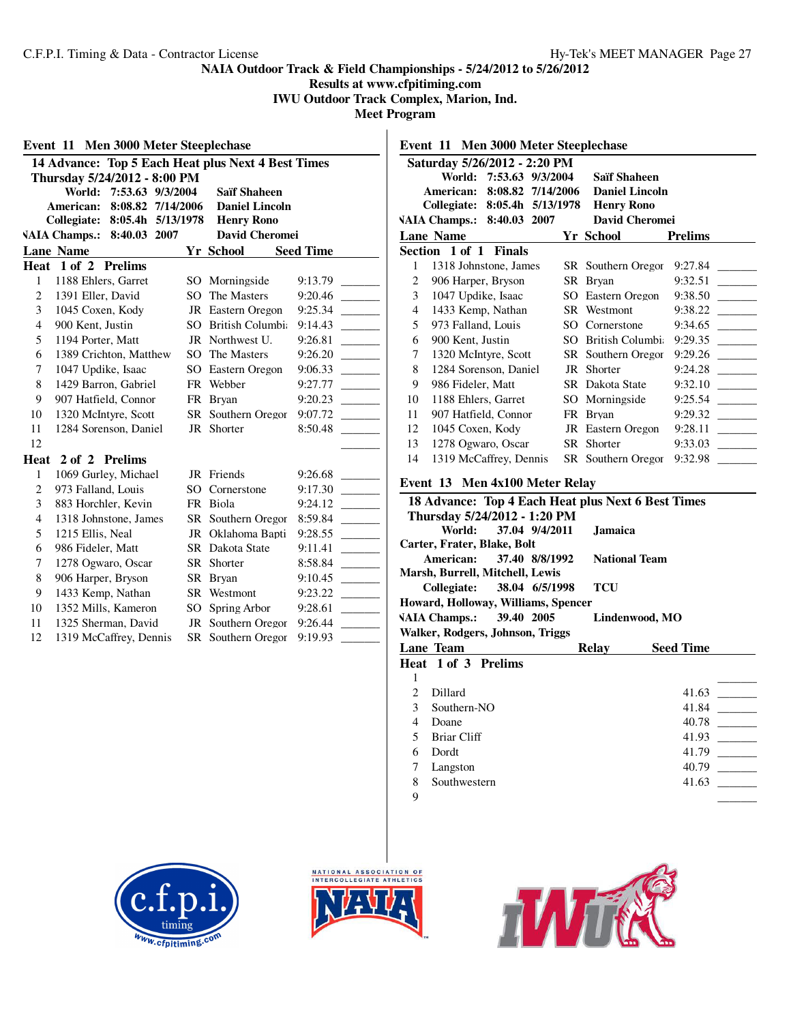# **Results at www.cfpitiming.com**

**IWU Outdoor Track Complex, Marion, Ind.**

**Meet Program**  $\overline{\phantom{a}}$ 

|                | 14 Advance: Top 5 Each Heat plus Next 4 Best Times                                                        |                        |                                                                   |                  |
|----------------|-----------------------------------------------------------------------------------------------------------|------------------------|-------------------------------------------------------------------|------------------|
|                | Thursday 5/24/2012 - 8:00 PM<br>World:<br>7:53.63 9/3/2004<br>American:<br>8:08.82<br>Collegiate: 8:05.4h | 7/14/2006<br>5/13/1978 | <b>Saïf Shaheen</b><br><b>Daniel Lincoln</b><br><b>Henry Rono</b> |                  |
|                | <b>VAIA Champs.:</b><br>8:40.03 2007                                                                      |                        | <b>David Cheromei</b>                                             |                  |
|                | <b>Lane Name</b>                                                                                          |                        | Yr School                                                         | <b>Seed Time</b> |
|                | Heat 1 of 2 Prelims                                                                                       |                        |                                                                   |                  |
| $\mathbf{1}$   | 1188 Ehlers, Garret                                                                                       |                        | SO Morningside                                                    | 9:13.79          |
| $\overline{c}$ | 1391 Eller, David                                                                                         | SO.                    | The Masters                                                       | 9:20.46          |
| 3              | 1045 Coxen, Kody                                                                                          |                        | JR Eastern Oregon                                                 | 9:25.34          |
| $\overline{4}$ | 900 Kent, Justin                                                                                          |                        | SO British Columbia                                               | 9:14.43          |
| 5              | 1194 Porter, Matt                                                                                         |                        | JR Northwest U.                                                   | 9:26.81          |
| 6              | 1389 Crichton, Matthew                                                                                    |                        | SO The Masters                                                    | 9:26.20          |
| $\overline{7}$ | 1047 Updike, Isaac                                                                                        |                        | SO Eastern Oregon                                                 | 9:06.33          |
| 8              | 1429 Barron, Gabriel                                                                                      |                        | FR Webber                                                         | 9:27.77          |
| 9              | 907 Hatfield, Connor                                                                                      |                        | FR Bryan                                                          | 9:20.23          |
| 10             | 1320 McIntyre, Scott                                                                                      |                        | SR Southern Oregor                                                | 9:07.72          |
| 11             | 1284 Sorenson, Daniel                                                                                     |                        | JR Shorter                                                        | 8:50.48          |
| 12             |                                                                                                           |                        |                                                                   |                  |
| Heat           | 2 of 2 Prelims                                                                                            |                        |                                                                   |                  |
| $\mathbf{1}$   | 1069 Gurley, Michael                                                                                      |                        | JR Friends                                                        | 9:26.68          |
| $\overline{c}$ | 973 Falland, Louis                                                                                        |                        | SO Cornerstone                                                    | 9:17.30          |
| 3              | 883 Horchler, Kevin                                                                                       |                        | FR Biola                                                          | 9:24.12          |
| $\overline{4}$ | 1318 Johnstone, James                                                                                     |                        | SR Southern Oregor                                                | 8:59.84          |
| 5              | 1215 Ellis, Neal                                                                                          |                        | JR Oklahoma Bapti                                                 | 9:28.55          |
| 6              | 986 Fideler, Matt                                                                                         |                        | SR Dakota State                                                   | 9:11.41          |
| $\overline{7}$ | 1278 Ogwaro, Oscar                                                                                        |                        | SR Shorter                                                        | 8:58.84          |
| 8              | 906 Harper, Bryson                                                                                        |                        | SR Brvan                                                          | 9:10.45          |
| 9              | 1433 Kemp, Nathan                                                                                         |                        | SR Westmont                                                       | 9:23.22          |
| 10             | 1352 Mills, Kameron                                                                                       |                        | SO Spring Arbor                                                   | 9:28.61          |
| 11             | 1325 Sherman, David                                                                                       |                        | JR Southern Oregon                                                | 9:26.44          |
| 12             | 1319 McCaffrey, Dennis                                                                                    |                        | SR Southern Oregor                                                | 9:19.93          |

| Event 11 Men 3000 Meter Steeplechase |                                                       |                   |                        |                                                                                                        |  |  |  |  |
|--------------------------------------|-------------------------------------------------------|-------------------|------------------------|--------------------------------------------------------------------------------------------------------|--|--|--|--|
|                                      | Saturday 5/26/2012 - 2:20 PM                          |                   |                        |                                                                                                        |  |  |  |  |
|                                      | World: 7:53.63 9/3/2004                               |                   | <b>Saïf Shaheen</b>    |                                                                                                        |  |  |  |  |
|                                      | American:                                             | 8:08.82 7/14/2006 | <b>Daniel Lincoln</b>  |                                                                                                        |  |  |  |  |
|                                      | Collegiate:<br>8:05.4h 5/13/1978<br><b>Henry Rono</b> |                   |                        |                                                                                                        |  |  |  |  |
|                                      | <b>VAIA Champs.:</b><br>8:40.03 2007                  |                   | <b>David Cheromei</b>  |                                                                                                        |  |  |  |  |
|                                      | <b>Lane Name</b>                                      |                   | Yr School              | <b>Prelims</b>                                                                                         |  |  |  |  |
|                                      | Section 1 of 1 Finals                                 |                   |                        |                                                                                                        |  |  |  |  |
| 1                                    | 1318 Johnstone, James                                 |                   | SR Southern Oregor     | 9:27.84                                                                                                |  |  |  |  |
| $\overline{c}$                       | 906 Harper, Bryson                                    |                   | SR Bryan               | 9:32.51                                                                                                |  |  |  |  |
| 3                                    | 1047 Updike, Isaac                                    |                   | SO Eastern Oregon      | 9:38.50<br>$\mathcal{L}^{\text{max}}_{\text{max}}$                                                     |  |  |  |  |
| $\overline{4}$                       | 1433 Kemp, Nathan                                     |                   | SR Westmont            | 9:38.22                                                                                                |  |  |  |  |
| 5                                    | 973 Falland, Louis                                    |                   | SO Cornerstone         | 9:34.65                                                                                                |  |  |  |  |
| 6                                    | 900 Kent, Justin                                      |                   | SO British Columbi     | 9:29.35                                                                                                |  |  |  |  |
| $\tau$                               | 1320 McIntyre, Scott                                  |                   | SR Southern Oregor     | 9:29.26                                                                                                |  |  |  |  |
| 8                                    | 1284 Sorenson, Daniel                                 |                   | JR Shorter             | 9:24.28                                                                                                |  |  |  |  |
| 9                                    | 986 Fideler, Matt                                     |                   | <b>SR</b> Dakota State | 9:32.10                                                                                                |  |  |  |  |
| 10                                   | 1188 Ehlers, Garret                                   |                   | SO Morningside         | 9:25.54                                                                                                |  |  |  |  |
| 11                                   | 907 Hatfield, Connor                                  |                   | FR Bryan               | 9:29.32<br><b>Contract Contract</b>                                                                    |  |  |  |  |
| 12                                   | 1045 Coxen, Kody                                      |                   | JR Eastern Oregon      | 9:28.11<br>$\mathcal{L}^{\text{max}}$ and $\mathcal{L}^{\text{max}}$                                   |  |  |  |  |
| 13                                   | 1278 Ogwaro, Oscar                                    |                   | SR Shorter             | 9:33.03<br>$\mathcal{L}^{\mathcal{L}}$ and $\mathcal{L}^{\mathcal{L}}$ and $\mathcal{L}^{\mathcal{L}}$ |  |  |  |  |
| 14                                   | 1319 McCaffrey, Dennis                                |                   | SR Southern Oregor     | 9:32.98                                                                                                |  |  |  |  |
|                                      | Event 13 Men 4x100 Meter Relay                        |                   |                        |                                                                                                        |  |  |  |  |
|                                      | 18 Advance: Top 4 Each Heat plus Next 6 Best Times    |                   |                        |                                                                                                        |  |  |  |  |
|                                      | Thursday 5/24/2012 - 1:20 PM                          |                   |                        |                                                                                                        |  |  |  |  |
|                                      | World:                                                | 37.04 9/4/2011    | <b>Jamaica</b>         |                                                                                                        |  |  |  |  |
|                                      | Carter, Frater, Blake, Bolt                           |                   |                        |                                                                                                        |  |  |  |  |
|                                      | American:<br>Marsh, Burrell, Mitchell, Lewis          | 37.40 8/8/1992    | <b>National Team</b>   |                                                                                                        |  |  |  |  |
|                                      | Collegiate:                                           | 38.04 6/5/1998    | <b>TCU</b>             |                                                                                                        |  |  |  |  |
|                                      | Howard, Holloway, Williams, Spencer                   |                   |                        |                                                                                                        |  |  |  |  |
|                                      | 39.40 2005<br><b>VAIA Champs.:</b>                    |                   | Lindenwood, MO         |                                                                                                        |  |  |  |  |
|                                      | Walker, Rodgers, Johnson, Triggs                      |                   |                        |                                                                                                        |  |  |  |  |

|   | waiku, Kougurs, Jonnson, Triggs |       |                  |
|---|---------------------------------|-------|------------------|
|   | <b>Lane Team</b>                | Relay | <b>Seed Time</b> |
|   | Heat 1 of 3 Prelims             |       |                  |
|   |                                 |       |                  |
|   | Dillard                         |       | 41.63            |
| 3 | Southern-NO                     |       | 41.84            |
| 4 | Doane                           |       | 40.78            |
|   | Briar Cliff                     |       | 41.93            |
| 6 | Dordt                           |       | 41.79            |
|   | Langston                        |       | 40.79            |
| 8 | Southwestern                    |       | 41.63            |
| 9 |                                 |       |                  |





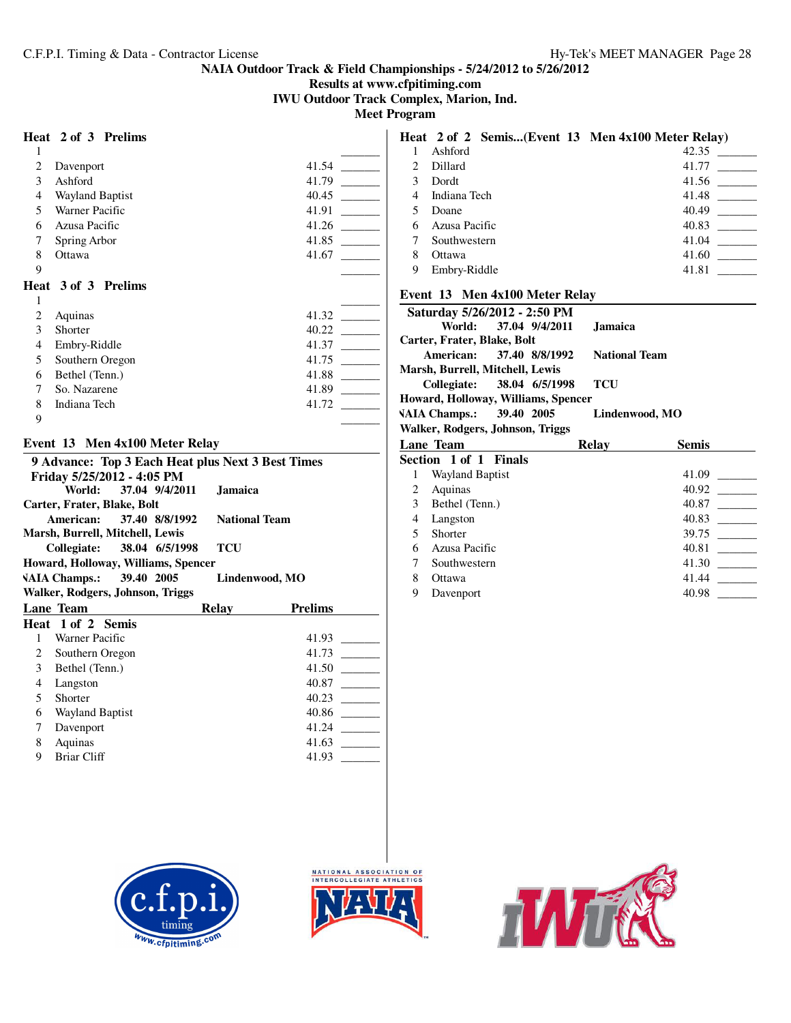**Results at www.cfpitiming.com**

**IWU Outdoor Track Complex, Marion, Ind.**

**Meet Program**

# **Heat 2 of 3 Prelims**

|                | Heat 2 of 3 Prelims    |       |
|----------------|------------------------|-------|
| 1              |                        |       |
| $\overline{c}$ | Davenport              | 41.54 |
| 3              | Ashford                | 41.79 |
| 4              | <b>Wayland Baptist</b> | 40.45 |
| 5              | Warner Pacific         | 41.91 |
| 6              | Azusa Pacific          | 41.26 |
| 7              | Spring Arbor           | 41.85 |
| 8              | Ottawa                 | 41.67 |
| 9              |                        |       |
|                | Heat 3 of 3 Prelims    |       |
| 1              |                        |       |
| 2              | Aquinas                | 41.32 |
| 3              | Shorter                | 40.22 |
| 4              | Embry-Riddle           | 41.37 |
| 5              | Southern Oregon        | 41.75 |
| 6              | Bethel (Tenn.)         | 41.88 |
| 7              | So. Nazarene           | 41.89 |
| 8              | Indiana Tech           | 41.72 |
| 9              |                        |       |
|                |                        |       |

# **Event 13 Men 4x100 Meter Relay**

|                                            | 9 Advance: Top 3 Each Heat plus Next 3 Best Times |                |                      |                |  |  |  |  |
|--------------------------------------------|---------------------------------------------------|----------------|----------------------|----------------|--|--|--|--|
|                                            | Friday 5/25/2012 - 4:05 PM                        |                |                      |                |  |  |  |  |
|                                            | World:                                            | 37.04 9/4/2011 | <b>Jamaica</b>       |                |  |  |  |  |
|                                            | Carter, Frater, Blake, Bolt                       |                |                      |                |  |  |  |  |
|                                            | American:                                         | 37.40 8/8/1992 | <b>National Team</b> |                |  |  |  |  |
| Marsh, Burrell, Mitchell, Lewis            |                                                   |                |                      |                |  |  |  |  |
| 38.04 6/5/1998<br>TCU<br>Collegiate:       |                                                   |                |                      |                |  |  |  |  |
| Howard, Holloway, Williams, Spencer        |                                                   |                |                      |                |  |  |  |  |
| VAIA Champs.: 39.40 2005<br>Lindenwood, MO |                                                   |                |                      |                |  |  |  |  |
| Walker, Rodgers, Johnson, Triggs           |                                                   |                |                      |                |  |  |  |  |
|                                            | <b>Lane Team</b>                                  |                | Relay                | <b>Prelims</b> |  |  |  |  |
|                                            | Heat 1 of 2 Semis                                 |                |                      |                |  |  |  |  |
| 1                                          | Warner Pacific                                    |                |                      | 41.93          |  |  |  |  |
| $\overline{2}$                             | Southern Oregon                                   |                |                      | 41.73          |  |  |  |  |
| $\mathfrak{Z}$                             | Bethel (Tenn.)                                    |                |                      | 41.50          |  |  |  |  |
| 4                                          | Langston                                          |                |                      | 40.87          |  |  |  |  |
| 5                                          | Shorter                                           |                |                      | 40.23          |  |  |  |  |
| 6                                          | Wayland Baptist                                   |                |                      | 40.86          |  |  |  |  |
| 7                                          | Davenport                                         |                |                      | 41.24          |  |  |  |  |
| 8                                          | Aquinas                                           |                |                      | 41.63          |  |  |  |  |
| 9                                          | Briar Cliff                                       |                |                      | 41.93          |  |  |  |  |
|                                            |                                                   |                |                      |                |  |  |  |  |

# **Heat 2 of 2 Semis...(Event 13 Men 4x100 Meter Relay)**<br>1 Ashford 42.35 1 Ashford 2 Dillard 41.77 \_\_\_\_\_\_\_\_\_ 3 Dordt 41.56 \_\_\_\_\_\_\_\_\_ 4 Indiana Tech 41.48 \_\_\_\_\_\_\_\_\_ 5 Doane 40.49 \_\_\_\_\_\_\_\_\_ 6 Azusa Pacific 7 Southwestern 41.04 \_\_\_\_\_\_\_\_\_ 8 Ottawa 41.60 \_\_\_\_\_\_\_\_\_ 9 Embry-Riddle 41.81 \_\_\_\_\_\_\_\_\_

#### **Event 13 Men 4x100 Meter Relay**

| Saturday 5/26/2012 - 2:50 PM        |                      |                            |  |  |
|-------------------------------------|----------------------|----------------------------|--|--|
| World: 37.04 9/4/2011               | <b>Jamaica</b>       |                            |  |  |
| Carter, Frater, Blake, Bolt         |                      |                            |  |  |
| American: 37.40 8/8/1992            | <b>National Team</b> |                            |  |  |
| Marsh, Burrell, Mitchell, Lewis     |                      |                            |  |  |
| Collegiate: 38.04 6/5/1998          | TCU                  |                            |  |  |
| Howard, Holloway, Williams, Spencer |                      |                            |  |  |
| VAIA Champs.: 39.40 2005            | Lindenwood, MO       |                            |  |  |
| Walker, Rodgers, Johnson, Triggs    |                      |                            |  |  |
| Lane Team                           | <b>Relay</b>         | <b>Semis</b>               |  |  |
| Section 1 of 1 Finals               |                      |                            |  |  |
| Wayland Baptist<br>1                |                      | 41.09                      |  |  |
| $2 \Delta$ animage                  |                      | $\Delta$ $\Omega$ $\Omega$ |  |  |

|   | <b>Wayland Baptist</b> | 41.09 |
|---|------------------------|-------|
| 2 | Aquinas                | 40.92 |
| 3 | Bethel (Tenn.)         | 40.87 |
| 4 | Langston               | 40.83 |
|   | Shorter                | 39.75 |
| 6 | Azusa Pacific          | 40.81 |
|   | Southwestern           | 41.30 |
| 8 | Ottawa                 | 41.44 |
| 9 | Davenport              | 40.98 |





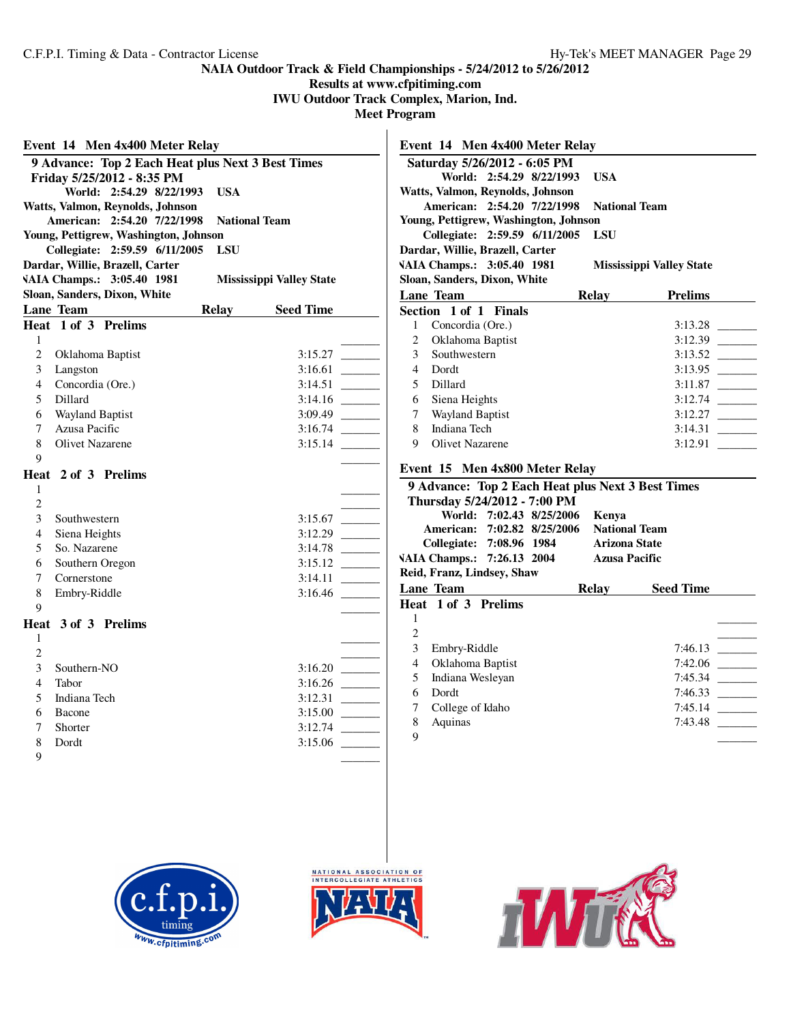**Results at www.cfpitiming.com**

**IWU Outdoor Track Complex, Marion, Ind.**

**Meet Program**

|                | Event 14 Men 4x400 Meter Relay                                       |            |                                 |                            |
|----------------|----------------------------------------------------------------------|------------|---------------------------------|----------------------------|
|                | 9 Advance: Top 2 Each Heat plus Next 3 Best Times                    |            |                                 |                            |
|                | Friday 5/25/2012 - 8:35 PM                                           |            |                                 |                            |
|                | World: 2:54.29 8/22/1993                                             | <b>USA</b> |                                 |                            |
|                | Watts, Valmon, Reynolds, Johnson                                     |            |                                 |                            |
|                | American: 2:54.20 7/22/1998<br>Young, Pettigrew, Washington, Johnson |            | <b>National Team</b>            |                            |
|                | Collegiate: 2:59.59 6/11/2005                                        | <b>LSU</b> |                                 |                            |
|                | Dardar, Willie, Brazell, Carter                                      |            |                                 |                            |
|                | VAIA Champs.: 3:05.40 1981                                           |            | <b>Mississippi Valley State</b> |                            |
|                | Sloan, Sanders, Dixon, White                                         |            |                                 |                            |
|                | Lane Team                                                            | Relay      | <b>Seed Time</b>                |                            |
|                | Heat 1 of 3 Prelims                                                  |            |                                 |                            |
| 1              |                                                                      |            |                                 |                            |
| $\overline{c}$ | Oklahoma Baptist                                                     |            |                                 |                            |
| 3              | Langston                                                             |            |                                 |                            |
| 4              | Concordia (Ore.)                                                     |            |                                 |                            |
| 5              | Dillard                                                              |            |                                 |                            |
| 6              | Wayland Baptist                                                      |            |                                 |                            |
| $\tau$         | Azusa Pacific                                                        |            | 3:16.74                         | $\sim$ 100 $\mu$           |
| 8              | <b>Olivet Nazarene</b>                                               |            | 3:15.14                         |                            |
| 9              |                                                                      |            |                                 |                            |
| 1              | Heat 2 of 3 Prelims                                                  |            |                                 |                            |
| 2              |                                                                      |            |                                 |                            |
| 3              | Southwestern                                                         |            | 3:15.67                         | $\mathcal{L}^{\text{max}}$ |
| 4              | Siena Heights                                                        |            | 3:12.29                         | $\sim$ 100 $\mu$           |
| 5              | So. Nazarene                                                         |            |                                 |                            |
| 6              | Southern Oregon                                                      |            | 3:15.12                         | <b>Contract Contract</b>   |
| $\overline{7}$ | Cornerstone                                                          |            | 3:14.11                         |                            |
| 8              | Embry-Riddle                                                         |            | 3:16.46                         |                            |
| 9              |                                                                      |            |                                 |                            |
|                | Heat 3 of 3 Prelims                                                  |            |                                 |                            |
| 1              |                                                                      |            |                                 |                            |
| $\overline{c}$ |                                                                      |            |                                 |                            |
| 3              | Southern-NO                                                          |            |                                 |                            |
| $\overline{4}$ | Tabor                                                                |            |                                 |                            |
| 5              | Indiana Tech                                                         |            | 3:12.31                         | <u> The Common</u>         |
| 6              | Bacone                                                               |            | 3:15.00                         |                            |
| 7              | Shorter                                                              |            | 3:12.74                         | $\sim 10^{11}$ m $^{-1}$   |
| 8              | Dordt                                                                |            | 3:15.06                         |                            |
| 9              |                                                                      |            |                                 |                            |

|                | Event 14 Men 4x400 Meter Relay        |              |                                                   |                                                                                       |
|----------------|---------------------------------------|--------------|---------------------------------------------------|---------------------------------------------------------------------------------------|
|                | Saturday 5/26/2012 - 6:05 PM          |              |                                                   |                                                                                       |
|                | World: 2:54.29 8/22/1993              | <b>USA</b>   |                                                   |                                                                                       |
|                | Watts, Valmon, Reynolds, Johnson      |              |                                                   |                                                                                       |
|                | American: 2:54.20 7/22/1998           |              | <b>National Team</b>                              |                                                                                       |
|                | Young, Pettigrew, Washington, Johnson |              |                                                   |                                                                                       |
|                | Collegiate: 2:59.59 6/11/2005         | LSU          |                                                   |                                                                                       |
|                | Dardar, Willie, Brazell, Carter       |              |                                                   |                                                                                       |
|                | VAIA Champs.: 3:05.40 1981            |              | <b>Mississippi Valley State</b>                   |                                                                                       |
|                | Sloan, Sanders, Dixon, White          |              |                                                   |                                                                                       |
|                | <b>Lane Team</b>                      | <b>Relay</b> | <b>Prelims</b>                                    |                                                                                       |
|                | Section 1 of 1 Finals                 |              |                                                   |                                                                                       |
| 1              | Concordia (Ore.)                      |              | 3:13.28                                           |                                                                                       |
| $\overline{c}$ | Oklahoma Baptist                      |              | 3:12.39                                           |                                                                                       |
| 3              | Southwestern                          |              | 3:13.52                                           | <b>Contract Contract</b>                                                              |
| $\overline{4}$ | Dordt                                 |              | 3:13.95                                           |                                                                                       |
| 5              | Dillard                               |              | 3:11.87                                           | $\mathcal{L}^{\text{max}}_{\text{max}}$                                               |
| 6              | Siena Heights                         |              | 3:12.74                                           | $\mathcal{L}^{\text{max}}_{\text{max}}$ , and $\mathcal{L}^{\text{max}}_{\text{max}}$ |
| 7              | <b>Wayland Baptist</b>                |              | 3:12.27                                           | $\mathcal{L}(\mathcal{L}^{\mathcal{L}})$ and $\mathcal{L}^{\mathcal{L}}$              |
| 8              | Indiana Tech                          |              | 3:14.31                                           | $\frac{1}{2}$                                                                         |
| 9              | <b>Olivet Nazarene</b>                |              | 3:12.91                                           |                                                                                       |
|                |                                       |              |                                                   |                                                                                       |
|                | Event 15 Men 4x800 Meter Relay        |              |                                                   |                                                                                       |
|                |                                       |              | 9 Advance: Top 2 Each Heat plus Next 3 Best Times |                                                                                       |
|                | Thursday 5/24/2012 - 7:00 PM          |              |                                                   |                                                                                       |
|                | World: 7:02.43 8/25/2006              | Kenya        |                                                   |                                                                                       |
|                | American: 7:02.82 8/25/2006           |              | <b>National Team</b>                              |                                                                                       |
|                | Collegiate: 7:08.96 1984              |              | <b>Arizona State</b>                              |                                                                                       |
|                | VAIA Champs.: 7:26.13 2004            |              | <b>Azusa Pacific</b>                              |                                                                                       |
|                | Reid, Franz, Lindsey, Shaw            |              |                                                   |                                                                                       |
|                | <b>Lane Team</b>                      | <b>Relay</b> | <b>Seed Time</b>                                  |                                                                                       |
|                | Heat 1 of 3 Prelims                   |              |                                                   |                                                                                       |
| 1              |                                       |              |                                                   |                                                                                       |
| $\overline{c}$ |                                       |              |                                                   |                                                                                       |
| 3              | Embry-Riddle                          |              | 7:46.13                                           |                                                                                       |
| $\overline{4}$ | Oklahoma Baptist                      |              | 7:42.06                                           | $\sim$ 100 $\sim$                                                                     |
| 5              | Indiana Wesleyan                      |              | 7:45.34                                           | <b>Contract Contract</b>                                                              |
| 6              | Dordt                                 |              | 7:46.33                                           |                                                                                       |
| 7              | College of Idaho                      |              | 7:45.14                                           |                                                                                       |
| 8              | Aquinas                               |              | 7:43.48                                           |                                                                                       |







9 \_\_\_\_\_\_\_\_\_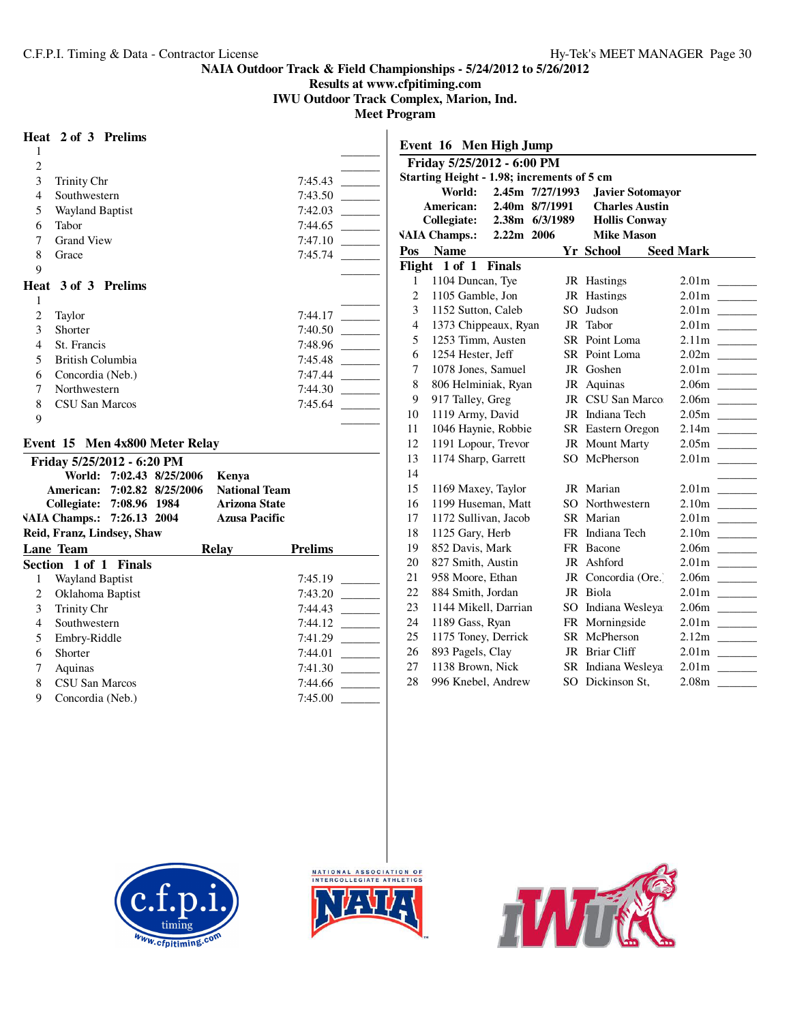**Results at www.cfpitiming.com**

**IWU Outdoor Track Complex, Marion, Ind.**

**Meet Program**

## **Heat 2 of 3 Prelims**

| $\mathbf{1}$   |                                   |                   |                                              |                |
|----------------|-----------------------------------|-------------------|----------------------------------------------|----------------|
| $\overline{c}$ |                                   |                   |                                              |                |
| 3              | <b>Trinity Chr</b>                |                   |                                              | 7:45.43        |
| $\overline{4}$ | Southwestern                      |                   |                                              | 7:43.50        |
| 5              | <b>Wayland Baptist</b>            |                   |                                              | 7:42.03        |
| 6              | Tabor                             |                   |                                              | 7:44.65        |
| 7              | <b>Grand View</b>                 |                   |                                              | 7:47.10        |
| 8              | Grace                             |                   |                                              | 7:45.74        |
| 9              |                                   |                   |                                              |                |
|                | Heat 3 of 3 Prelims               |                   |                                              |                |
| 1              |                                   |                   |                                              |                |
| $\mathbf{2}$   | Taylor                            |                   |                                              | 7:44.17        |
| 3              | Shorter                           |                   |                                              | 7:40.50        |
| 4              | St. Francis                       |                   |                                              | 7:48.96        |
| 5              | <b>British Columbia</b>           |                   |                                              | 7:45.48        |
| 6              | Concordia (Neb.)                  |                   |                                              | 7:47.44        |
| $\tau$         | Northwestern                      |                   |                                              | 7:44.30        |
| 8              | CSU San Marcos                    |                   |                                              | 7:45.64        |
| 9              |                                   |                   |                                              |                |
|                |                                   |                   |                                              |                |
|                | Event 15 Men 4x800 Meter Relay    |                   |                                              |                |
|                | Friday 5/25/2012 - 6:20 PM        |                   |                                              |                |
|                | World: 7:02.43 8/25/2006          |                   | Kenya                                        |                |
|                | American:                         | 7:02.82 8/25/2006 | <b>National Team</b><br><b>Arizona State</b> |                |
|                | Collegiate: 7:08.96 1984          |                   | <b>Azusa Pacific</b>                         |                |
|                | VAIA Champs.: 7:26.13 2004        |                   |                                              |                |
|                | Reid, Franz, Lindsey, Shaw        |                   |                                              |                |
|                | <b>Lane Team</b><br><b>Finals</b> |                   | Relay                                        | <b>Prelims</b> |
|                | Section 1 of 1                    |                   |                                              |                |
| 1              | Wayland Baptist                   |                   |                                              | 7:45.19        |
| $\overline{2}$ | Oklahoma Baptist                  |                   |                                              | 7:43.20        |
| 3              | Trinity Chr                       |                   |                                              | 7:44.43        |
| 4              | Southwestern                      |                   |                                              | 7:44.12        |
| 5              | Embry-Riddle                      |                   |                                              | 7:41.29        |
| 6              | Shorter                           |                   |                                              | 7:44.01        |
| 7              | Aquinas                           |                   |                                              | 7:41.30        |

| World:                  |                                                                                                                                                                                               | <b>Javier Sotomayor</b>                                                                                                                                                                                                                                                                                                                                                                                                                     |                                                                                                                                                                                                                                                                                                                                                                                                                                                         |
|-------------------------|-----------------------------------------------------------------------------------------------------------------------------------------------------------------------------------------------|---------------------------------------------------------------------------------------------------------------------------------------------------------------------------------------------------------------------------------------------------------------------------------------------------------------------------------------------------------------------------------------------------------------------------------------------|---------------------------------------------------------------------------------------------------------------------------------------------------------------------------------------------------------------------------------------------------------------------------------------------------------------------------------------------------------------------------------------------------------------------------------------------------------|
| American:               |                                                                                                                                                                                               |                                                                                                                                                                                                                                                                                                                                                                                                                                             |                                                                                                                                                                                                                                                                                                                                                                                                                                                         |
| Collegiate:             |                                                                                                                                                                                               | <b>Hollis Conway</b>                                                                                                                                                                                                                                                                                                                                                                                                                        |                                                                                                                                                                                                                                                                                                                                                                                                                                                         |
|                         |                                                                                                                                                                                               |                                                                                                                                                                                                                                                                                                                                                                                                                                             |                                                                                                                                                                                                                                                                                                                                                                                                                                                         |
| <b>Name</b>             |                                                                                                                                                                                               |                                                                                                                                                                                                                                                                                                                                                                                                                                             | <b>Seed Mark</b>                                                                                                                                                                                                                                                                                                                                                                                                                                        |
| 1 of 1<br><b>Finals</b> |                                                                                                                                                                                               |                                                                                                                                                                                                                                                                                                                                                                                                                                             |                                                                                                                                                                                                                                                                                                                                                                                                                                                         |
|                         |                                                                                                                                                                                               |                                                                                                                                                                                                                                                                                                                                                                                                                                             |                                                                                                                                                                                                                                                                                                                                                                                                                                                         |
|                         |                                                                                                                                                                                               |                                                                                                                                                                                                                                                                                                                                                                                                                                             |                                                                                                                                                                                                                                                                                                                                                                                                                                                         |
|                         |                                                                                                                                                                                               |                                                                                                                                                                                                                                                                                                                                                                                                                                             |                                                                                                                                                                                                                                                                                                                                                                                                                                                         |
|                         | JR                                                                                                                                                                                            | Tabor                                                                                                                                                                                                                                                                                                                                                                                                                                       |                                                                                                                                                                                                                                                                                                                                                                                                                                                         |
|                         |                                                                                                                                                                                               |                                                                                                                                                                                                                                                                                                                                                                                                                                             | 2.11m                                                                                                                                                                                                                                                                                                                                                                                                                                                   |
|                         |                                                                                                                                                                                               |                                                                                                                                                                                                                                                                                                                                                                                                                                             |                                                                                                                                                                                                                                                                                                                                                                                                                                                         |
|                         |                                                                                                                                                                                               |                                                                                                                                                                                                                                                                                                                                                                                                                                             |                                                                                                                                                                                                                                                                                                                                                                                                                                                         |
|                         | JR                                                                                                                                                                                            |                                                                                                                                                                                                                                                                                                                                                                                                                                             | 2.06m<br><b>Contract Contract</b>                                                                                                                                                                                                                                                                                                                                                                                                                       |
|                         |                                                                                                                                                                                               |                                                                                                                                                                                                                                                                                                                                                                                                                                             | 2.06 <sub>m</sub><br><b>Contract Contract</b>                                                                                                                                                                                                                                                                                                                                                                                                           |
|                         |                                                                                                                                                                                               |                                                                                                                                                                                                                                                                                                                                                                                                                                             |                                                                                                                                                                                                                                                                                                                                                                                                                                                         |
|                         |                                                                                                                                                                                               |                                                                                                                                                                                                                                                                                                                                                                                                                                             | 2.14m<br><b>Contract Contract</b>                                                                                                                                                                                                                                                                                                                                                                                                                       |
|                         |                                                                                                                                                                                               |                                                                                                                                                                                                                                                                                                                                                                                                                                             |                                                                                                                                                                                                                                                                                                                                                                                                                                                         |
|                         |                                                                                                                                                                                               |                                                                                                                                                                                                                                                                                                                                                                                                                                             |                                                                                                                                                                                                                                                                                                                                                                                                                                                         |
|                         |                                                                                                                                                                                               |                                                                                                                                                                                                                                                                                                                                                                                                                                             |                                                                                                                                                                                                                                                                                                                                                                                                                                                         |
|                         |                                                                                                                                                                                               |                                                                                                                                                                                                                                                                                                                                                                                                                                             |                                                                                                                                                                                                                                                                                                                                                                                                                                                         |
|                         |                                                                                                                                                                                               |                                                                                                                                                                                                                                                                                                                                                                                                                                             |                                                                                                                                                                                                                                                                                                                                                                                                                                                         |
|                         |                                                                                                                                                                                               |                                                                                                                                                                                                                                                                                                                                                                                                                                             |                                                                                                                                                                                                                                                                                                                                                                                                                                                         |
| 1125 Gary, Herb         |                                                                                                                                                                                               |                                                                                                                                                                                                                                                                                                                                                                                                                                             | 2.10 <sub>m</sub><br><b>Contract Contract</b>                                                                                                                                                                                                                                                                                                                                                                                                           |
|                         | FR                                                                                                                                                                                            | Bacone                                                                                                                                                                                                                                                                                                                                                                                                                                      | 2.06m<br><b>Contract Contract</b>                                                                                                                                                                                                                                                                                                                                                                                                                       |
| 827 Smith, Austin       | JR                                                                                                                                                                                            | Ashford                                                                                                                                                                                                                                                                                                                                                                                                                                     |                                                                                                                                                                                                                                                                                                                                                                                                                                                         |
|                         |                                                                                                                                                                                               | Concordia (Ore.)                                                                                                                                                                                                                                                                                                                                                                                                                            | 2.06m<br>$\mathcal{L}^{\text{max}}_{\text{max}}$ , and $\mathcal{L}^{\text{max}}_{\text{max}}$                                                                                                                                                                                                                                                                                                                                                          |
| 884 Smith, Jordan       |                                                                                                                                                                                               | Biola                                                                                                                                                                                                                                                                                                                                                                                                                                       |                                                                                                                                                                                                                                                                                                                                                                                                                                                         |
|                         | SO                                                                                                                                                                                            |                                                                                                                                                                                                                                                                                                                                                                                                                                             |                                                                                                                                                                                                                                                                                                                                                                                                                                                         |
|                         |                                                                                                                                                                                               | Morningside                                                                                                                                                                                                                                                                                                                                                                                                                                 |                                                                                                                                                                                                                                                                                                                                                                                                                                                         |
|                         | SR                                                                                                                                                                                            | McPherson                                                                                                                                                                                                                                                                                                                                                                                                                                   |                                                                                                                                                                                                                                                                                                                                                                                                                                                         |
| 893 Pagels, Clay        | JR                                                                                                                                                                                            | <b>Briar Cliff</b>                                                                                                                                                                                                                                                                                                                                                                                                                          |                                                                                                                                                                                                                                                                                                                                                                                                                                                         |
| 1138 Brown, Nick        | SR                                                                                                                                                                                            | Indiana Wesleya                                                                                                                                                                                                                                                                                                                                                                                                                             |                                                                                                                                                                                                                                                                                                                                                                                                                                                         |
|                         |                                                                                                                                                                                               |                                                                                                                                                                                                                                                                                                                                                                                                                                             | 2.08m<br>$\mathcal{L}^{\mathcal{L}}$ and $\mathcal{L}^{\mathcal{L}}$ and $\mathcal{L}^{\mathcal{L}}$                                                                                                                                                                                                                                                                                                                                                    |
|                         | <b>VAIA Champs.:</b><br>Flight<br>1104 Duncan, Tye<br>1105 Gamble, Jon<br>1254 Hester, Jeff<br>917 Talley, Greg<br>1119 Army, David<br>852 Davis, Mark<br>958 Moore, Ethan<br>1189 Gass, Ryan | Event 16 Men High Jump<br>Friday 5/25/2012 - 6:00 PM<br>2.40m 8/7/1991<br>2.38m 6/3/1989<br>2.22m 2006<br>1152 Sutton, Caleb<br>SO.<br>1373 Chippeaux, Ryan<br>1253 Timm, Austen<br>1078 Jones, Samuel<br>806 Helminiak, Ryan<br>1046 Haynie, Robbie<br>1191 Lopour, Trevor<br>1174 Sharp, Garrett<br>1169 Maxey, Taylor<br>1199 Huseman, Matt<br>1172 Sullivan, Jacob<br>1144 Mikell, Darrian<br>1175 Toney, Derrick<br>996 Knebel, Andrew | Starting Height - 1.98; increments of 5 cm<br>2.45m 7/27/1993<br><b>Charles Austin</b><br><b>Mike Mason</b><br>Yr School<br>JR Hastings<br>JR Hastings<br>Judson<br>SR Point Loma<br>SR Point Loma<br>JR Goshen<br>Aquinas<br>CSU San Marco<br>JR<br>JR Indiana Tech<br>SR Eastern Oregon<br>JR Mount Marty<br>SO McPherson<br>JR Marian<br>SO Northwestern<br>SR Marian<br>Indiana Tech<br>FR<br>JR<br>JR<br>Indiana Wesleya<br>FR<br>SO Dickinson St. |



CSU San Marcos 7:44.66 \_\_\_\_\_\_\_\_\_

9 Concordia (Neb.)



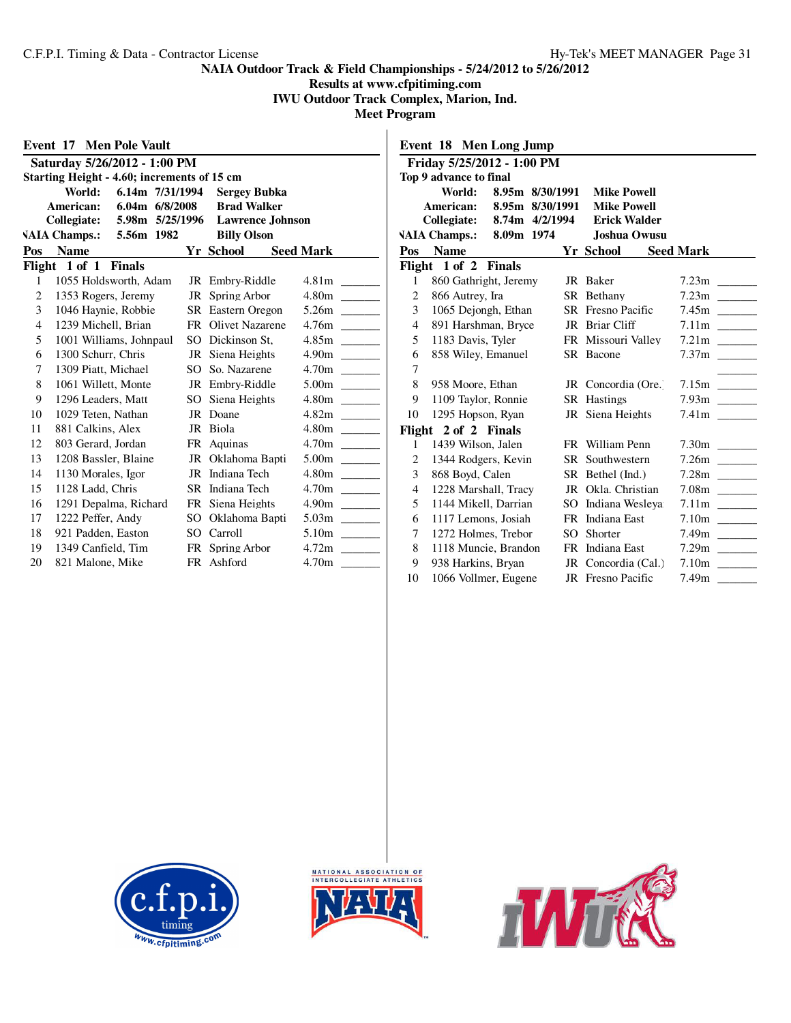**Results at www.cfpitiming.com**

**IWU Outdoor Track Complex, Marion, Ind. Meet Program**

|                                             | <b>Event 17 Men Pole Vault</b>                   |     |                          |                                    |  |  |  |  |  |  |
|---------------------------------------------|--------------------------------------------------|-----|--------------------------|------------------------------------|--|--|--|--|--|--|
|                                             | Saturday 5/26/2012 - 1:00 PM                     |     |                          |                                    |  |  |  |  |  |  |
| Starting Height - 4.60; increments of 15 cm |                                                  |     |                          |                                    |  |  |  |  |  |  |
|                                             | 6.14m 7/31/1994<br>World:<br><b>Sergey Bubka</b> |     |                          |                                    |  |  |  |  |  |  |
|                                             | American:<br>6.04m 6/8/2008                      |     | <b>Brad Walker</b>       |                                    |  |  |  |  |  |  |
|                                             | Collegiate: 5.98m 5/25/1996                      |     | <b>Lawrence</b> Johnson  |                                    |  |  |  |  |  |  |
|                                             | VAIA Champs.: 5.56m 1982                         |     | <b>Billy Olson</b>       |                                    |  |  |  |  |  |  |
| Pos                                         | <b>Name</b>                                      |     | Yr School                | <b>Seed Mark</b>                   |  |  |  |  |  |  |
|                                             | Flight 1 of 1 Finals                             |     |                          |                                    |  |  |  |  |  |  |
| 1                                           | 1055 Holdsworth, Adam                            |     | JR Embry-Riddle          | 4.81 <sub>m</sub>                  |  |  |  |  |  |  |
| 2                                           | 1353 Rogers, Jeremy                              | JR  | Spring Arbor             | 4.80m                              |  |  |  |  |  |  |
| 3                                           | 1046 Haynie, Robbie                              |     | <b>SR</b> Eastern Oregon | 5.26m                              |  |  |  |  |  |  |
| 4                                           | 1239 Michell, Brian                              |     | FR Olivet Nazarene       | 4.76m                              |  |  |  |  |  |  |
| 5                                           | 1001 Williams, Johnpaul                          |     | SO Dickinson St.         | 4.85m                              |  |  |  |  |  |  |
| 6                                           | 1300 Schurr, Chris                               |     | JR Siena Heights         | 4.90 <sub>m</sub>                  |  |  |  |  |  |  |
| 7                                           | 1309 Piatt, Michael                              | SO. | So. Nazarene             | 4.70 <sub>m</sub>                  |  |  |  |  |  |  |
| 8                                           | 1061 Willett, Monte                              |     | JR Embry-Riddle          |                                    |  |  |  |  |  |  |
| 9                                           | 1296 Leaders, Matt                               | SO. | Siena Heights            | 4.80m                              |  |  |  |  |  |  |
| 10                                          | 1029 Teten, Nathan                               |     | JR Doane                 | 4.82m<br><u> 1989 - Andrea Sta</u> |  |  |  |  |  |  |
| 11                                          | 881 Calkins, Alex                                |     | JR Biola                 | 4.80m                              |  |  |  |  |  |  |
| 12                                          | 803 Gerard, Jordan                               |     | FR Aquinas               |                                    |  |  |  |  |  |  |
| 13                                          | 1208 Bassler, Blaine                             |     | JR Oklahoma Bapti        | 5.00m                              |  |  |  |  |  |  |
| 14                                          | 1130 Morales, Igor                               | JR. | Indiana Tech             | 4.80m                              |  |  |  |  |  |  |
| 15                                          | 1128 Ladd, Chris                                 |     | SR Indiana Tech          | 4.70 <sub>m</sub>                  |  |  |  |  |  |  |
| 16                                          | 1291 Depalma, Richard                            |     | FR Siena Heights         | 4.90m                              |  |  |  |  |  |  |
| 17                                          | 1222 Peffer, Andy                                |     | SO Oklahoma Bapti        | 5.03 <sub>m</sub>                  |  |  |  |  |  |  |
| 18                                          | 921 Padden, Easton                               | SO. | Carroll                  | 5.10m<br><b>Contract Contract</b>  |  |  |  |  |  |  |
| 19                                          | 1349 Canfield, Tim                               |     | FR Spring Arbor          | 4.72 <sub>m</sub>                  |  |  |  |  |  |  |
| 20                                          | 821 Malone, Mike                                 |     | FR Ashford               | 4.70m                              |  |  |  |  |  |  |

|                | Friday 5/25/2012 - 1:00 PM |                 |     |                          |                   |
|----------------|----------------------------|-----------------|-----|--------------------------|-------------------|
|                | Top 9 advance to final     |                 |     |                          |                   |
|                | World:                     | 8.95m 8/30/1991 |     | <b>Mike Powell</b>       |                   |
|                | American:                  | 8.95m 8/30/1991 |     | <b>Mike Powell</b>       |                   |
|                | Collegiate: 8.74m 4/2/1994 |                 |     | <b>Erick Walder</b>      |                   |
|                | <b>VAIA Champs.:</b>       | 8.09m 1974      |     | Joshua Owusu             |                   |
|                | Pos Name                   |                 |     | Yr School                | <b>Seed Mark</b>  |
|                | Flight 1 of 2 Finals       |                 |     |                          |                   |
| 1              | 860 Gathright, Jeremy      |                 |     | JR Baker                 | 7.23 <sub>m</sub> |
| $\overline{2}$ | 866 Autrey, Ira            |                 |     | SR Bethany               | 7.23m             |
| 3              | 1065 Dejongh, Ethan        |                 |     | <b>SR</b> Fresno Pacific |                   |
| $\overline{4}$ | 891 Harshman, Bryce        |                 |     | JR Briar Cliff           |                   |
| 5              | 1183 Davis, Tyler          |                 |     | FR Missouri Valley       |                   |
| 6              | 858 Wiley, Emanuel         |                 |     | SR Bacone                |                   |
| 7              |                            |                 |     |                          |                   |
| 8              | 958 Moore, Ethan           |                 |     | JR Concordia (Ore.       |                   |
| 9              | 1109 Taylor, Ronnie        |                 |     | SR Hastings              |                   |
| 10             | 1295 Hopson, Ryan          |                 |     | JR Siena Heights         |                   |
|                | Flight 2 of 2 Finals       |                 |     |                          |                   |
| 1              | 1439 Wilson, Jalen         |                 |     | FR William Penn          |                   |
| $\overline{2}$ | 1344 Rodgers, Kevin        |                 |     | SR Southwestern          |                   |
| 3              | 868 Boyd, Calen            |                 |     | SR Bethel (Ind.)         |                   |
| $\overline{4}$ | 1228 Marshall, Tracy       |                 |     | JR Okla. Christian       |                   |
| 5              | 1144 Mikell, Darrian       |                 |     | SO Indiana Wesleya       |                   |
| 6              | 1117 Lemons, Josiah        |                 |     | FR Indiana East          |                   |
| 7              | 1272 Holmes, Trebor        |                 | SO. | Shorter                  |                   |
| 8              | 1118 Muncie, Brandon       |                 |     | FR Indiana East          |                   |
| 9              | 938 Harkins, Bryan         |                 |     | JR Concordia (Cal.)      |                   |
| 10             | 1066 Vollmer, Eugene       |                 |     | <b>JR</b> Fresno Pacific | 7.49m             |





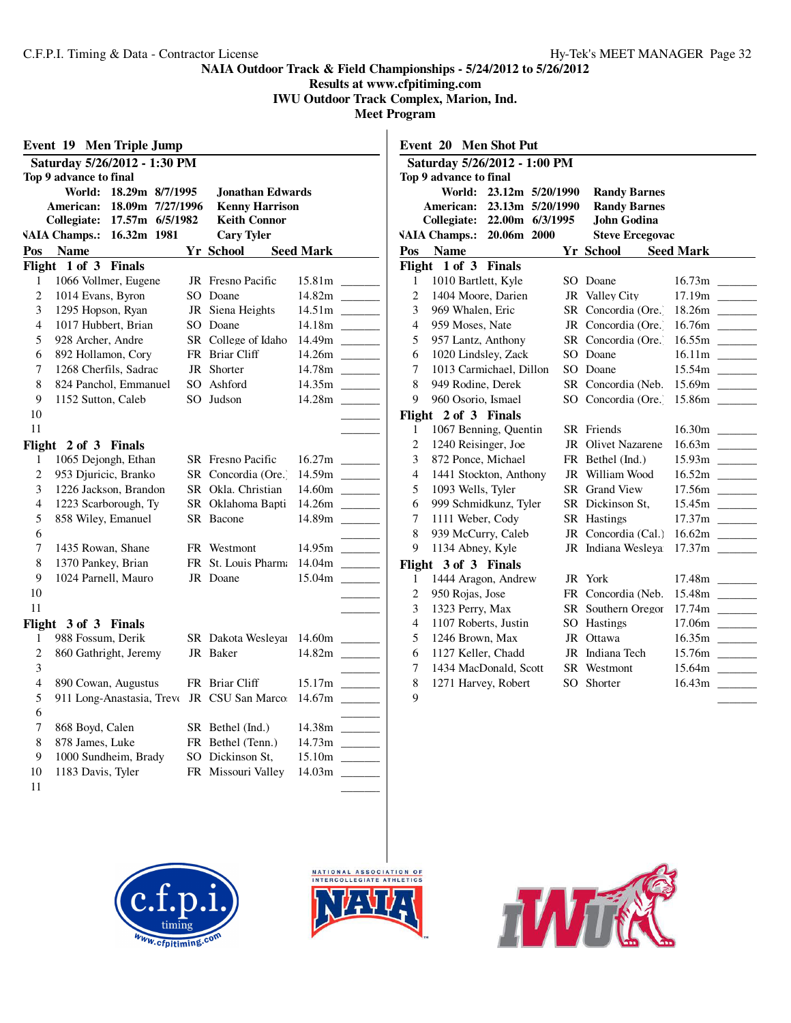**Results at www.cfpitiming.com IWU Outdoor Track Complex, Marion, Ind.**

|                              | Event 19 Men Triple Jump                           |  |                              |                  |        |                |                        | <b>Event 20 Men Shot Put</b> |  |                                   |                  |        |
|------------------------------|----------------------------------------------------|--|------------------------------|------------------|--------|----------------|------------------------|------------------------------|--|-----------------------------------|------------------|--------|
| Saturday 5/26/2012 - 1:30 PM |                                                    |  | Saturday 5/26/2012 - 1:00 PM |                  |        |                |                        |                              |  |                                   |                  |        |
|                              | Top 9 advance to final                             |  |                              |                  |        |                | Top 9 advance to final |                              |  |                                   |                  |        |
|                              | World: 18.29m 8/7/1995                             |  | Jonathan Edwards             |                  |        |                |                        | World: 23.12m 5/20/1990      |  | <b>Randy Barnes</b>               |                  |        |
|                              | American: 18.09m 7/27/1996                         |  | <b>Kenny Harrison</b>        |                  |        |                |                        | American: 23.13m 5/20/1990   |  | <b>Randy Barnes</b>               |                  |        |
|                              | Collegiate: 17.57m 6/5/1982                        |  | <b>Keith Connor</b>          |                  |        |                |                        | Collegiate: 22.00m 6/3/1995  |  | John Godina                       |                  |        |
|                              | VAIA Champs.: 16.32m 1981                          |  | <b>Cary Tyler</b>            |                  |        |                |                        | VAIA Champs.: 20.06m 2000    |  | <b>Steve Ercegovac</b>            |                  |        |
|                              | Pos Name                                           |  | <b>Yr School</b>             | <b>Seed Mark</b> |        |                | Pos Name               |                              |  | Yr School                         | <b>Seed Mark</b> |        |
|                              | Flight 1 of 3 Finals                               |  |                              |                  |        |                | Flight 1 of 3 Finals   |                              |  |                                   |                  |        |
| $\mathbf{1}$                 | 1066 Vollmer, Eugene                               |  | JR Fresno Pacific            |                  |        | $\mathbf{1}$   | 1010 Bartlett, Kyle    |                              |  | SO Doane                          |                  |        |
| 2                            | 1014 Evans, Byron                                  |  | SO Doane                     |                  |        | $\overline{c}$ | 1404 Moore, Darien     |                              |  | JR Valley City                    |                  |        |
| 3                            | 1295 Hopson, Ryan                                  |  | JR Siena Heights             |                  |        | 3              | 969 Whalen, Eric       |                              |  | SR Concordia (Ore.)               |                  |        |
| 4                            | 1017 Hubbert, Brian                                |  | SO Doane                     |                  |        | $\overline{4}$ | 959 Moses, Nate        |                              |  | JR Concordia (Ore.                |                  |        |
| 5                            | 928 Archer, Andre                                  |  | SR College of Idaho          |                  |        | 5              | 957 Lantz, Anthony     |                              |  | SR Concordia (Ore.)               |                  |        |
| 6                            | 892 Hollamon, Cory                                 |  | FR Briar Cliff               |                  |        | 6              | 1020 Lindsley, Zack    |                              |  | SO Doane                          |                  |        |
| 7                            | 1268 Cherfils, Sadrac                              |  | JR Shorter                   |                  |        | 7              |                        | 1013 Carmichael, Dillon      |  | SO Doane                          |                  |        |
| 8                            | 824 Panchol, Emmanuel                              |  | SO Ashford                   |                  |        | 8              | 949 Rodine, Derek      |                              |  | SR Concordia (Neb. 15.69m _______ |                  |        |
| 9                            | 1152 Sutton, Caleb                                 |  | SO Judson                    |                  |        | 9              | 960 Osorio, Ismael     |                              |  | SO Concordia (Ore. 15.86m ______  |                  |        |
| $10\,$                       |                                                    |  |                              |                  |        |                | Flight 2 of 3 Finals   |                              |  |                                   |                  |        |
| 11                           |                                                    |  |                              |                  |        | 1              |                        | 1067 Benning, Quentin        |  | SR Friends                        |                  |        |
|                              | Flight 2 of 3 Finals                               |  |                              |                  |        | $\overline{c}$ | 1240 Reisinger, Joe    |                              |  | JR Olivet Nazarene                |                  |        |
| 1                            | 1065 Dejongh, Ethan                                |  | <b>SR</b> Fresno Pacific     |                  |        | 3              | 872 Ponce, Michael     |                              |  | FR Bethel (Ind.)                  |                  |        |
| 2                            | 953 Djuricic, Branko                               |  | SR Concordia (Ore.)          |                  |        | $\overline{4}$ |                        | 1441 Stockton, Anthony       |  | JR William Wood                   |                  |        |
| 3                            | 1226 Jackson, Brandon                              |  | SR Okla. Christian           | 14.60m           |        | 5              | 1093 Wells, Tyler      |                              |  | <b>SR</b> Grand View              |                  | 17.56m |
| $\overline{4}$               | 1223 Scarborough, Ty                               |  | SR Oklahoma Bapti            |                  |        | 6              |                        | 999 Schmidkunz, Tyler        |  | SR Dickinson St,                  |                  |        |
| 5                            | 858 Wiley, Emanuel                                 |  | SR Bacone                    |                  |        | 7              | 1111 Weber, Cody       |                              |  | <b>SR</b> Hastings                |                  |        |
| 6                            |                                                    |  |                              |                  |        | 8              | 939 McCurry, Caleb     |                              |  | JR Concordia (Cal.) 16.62m        |                  |        |
| $\tau$                       | 1435 Rowan, Shane                                  |  | FR Westmont                  |                  |        | 9              | 1134 Abney, Kyle       |                              |  | JR Indiana Wesleya 17.37m         |                  |        |
| 8                            | 1370 Pankey, Brian                                 |  | FR St. Louis Pharma          |                  |        |                | Flight 3 of 3 Finals   |                              |  |                                   |                  |        |
| 9                            | 1024 Parnell, Mauro                                |  | JR Doane                     |                  |        | 1              |                        | 1444 Aragon, Andrew          |  | JR York                           |                  |        |
| 10                           |                                                    |  |                              |                  |        | $\overline{c}$ | 950 Rojas, Jose        |                              |  | FR Concordia (Neb.                |                  |        |
| 11                           |                                                    |  |                              |                  |        | 3              | 1323 Perry, Max        |                              |  | SR Southern Oregor 17.74m         |                  |        |
|                              | Flight 3 of 3 Finals                               |  |                              |                  |        | $\overline{4}$ | 1107 Roberts, Justin   |                              |  | SO Hastings                       |                  |        |
| 1                            | 988 Fossum, Derik                                  |  | SR Dakota Wesleyar 14.60m    |                  |        | 5              | 1246 Brown, Max        |                              |  | JR Ottawa                         |                  |        |
| $\mathfrak{2}$               | 860 Gathright, Jeremy                              |  | JR Baker                     |                  |        | 6              | 1127 Keller, Chadd     |                              |  | JR Indiana Tech                   |                  |        |
| 3                            |                                                    |  |                              |                  |        | $\overline{7}$ |                        | 1434 MacDonald, Scott        |  | SR Westmont                       |                  |        |
| $\overline{4}$               | 890 Cowan, Augustus                                |  | FR Briar Cliff               |                  | 15.17m | 8              | 1271 Harvey, Robert    |                              |  | SO Shorter                        |                  |        |
| 5                            | 911 Long-Anastasia, Treve JR CSU San Marco: 14.67m |  |                              |                  |        | 9              |                        |                              |  |                                   |                  |        |
| 6                            |                                                    |  |                              |                  |        |                |                        |                              |  |                                   |                  |        |
| $\tau$                       | 868 Boyd, Calen                                    |  | SR Bethel (Ind.)             |                  |        |                |                        |                              |  |                                   |                  |        |
| 8<br>9                       | 878 James, Luke                                    |  | FR Bethel (Tenn.)            |                  |        |                |                        |                              |  |                                   |                  |        |
|                              | 1000 Sundheim, Brady                               |  | SO Dickinson St.             |                  |        |                |                        |                              |  |                                   |                  |        |
| 10                           | 1183 Davis, Tyler                                  |  | FR Missouri Valley           |                  |        |                |                        |                              |  |                                   |                  |        |
| 11                           |                                                    |  |                              |                  |        |                |                        |                              |  |                                   |                  |        |





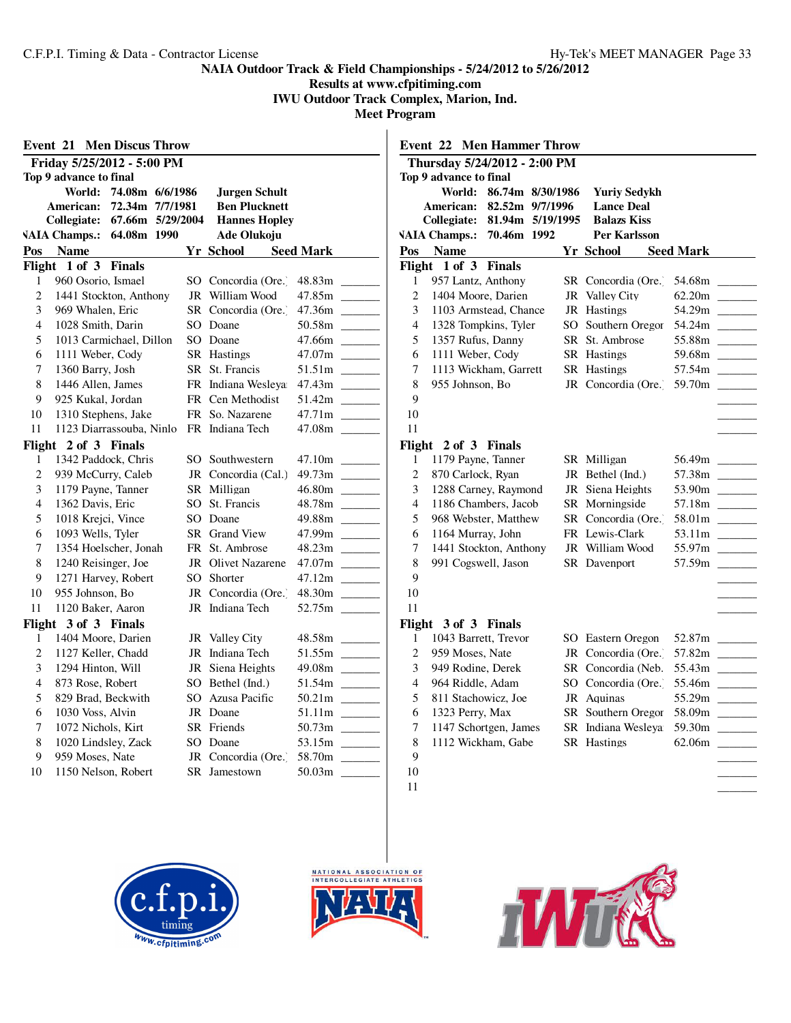**Results at www.cfpitiming.com**

**IWU Outdoor Track Complex, Marion, Ind.**

|                | <b>Event 21 Men Discus Throw</b> |                      |                  |                                                    |                      | <b>Event 22 Men Hammer Throw</b> |  |                                   |                  |  |
|----------------|----------------------------------|----------------------|------------------|----------------------------------------------------|----------------------|----------------------------------|--|-----------------------------------|------------------|--|
|                | Friday 5/25/2012 - 5:00 PM       |                      |                  | Thursday 5/24/2012 - 2:00 PM                       |                      |                                  |  |                                   |                  |  |
|                | Top 9 advance to final           |                      |                  | Top 9 advance to final                             |                      |                                  |  |                                   |                  |  |
|                | World: 74.08m 6/6/1986           | Jurgen Schult        |                  |                                                    |                      | World: 86.74m 8/30/1986          |  | <b>Yuriv Sedvkh</b>               |                  |  |
|                | American: 72.34m 7/7/1981        | <b>Ben Plucknett</b> |                  |                                                    |                      | American: 82.52m 9/7/1996        |  | <b>Lance Deal</b>                 |                  |  |
|                | Collegiate: 67.66m 5/29/2004     | <b>Hannes Hopley</b> |                  | Collegiate: 81.94m 5/19/1995<br><b>Balazs Kiss</b> |                      |                                  |  |                                   |                  |  |
|                | VAIA Champs.: 64.08m 1990        | Ade Olukoju          |                  |                                                    |                      | VAIA Champs.: 70.46m 1992        |  | Per Karlsson                      |                  |  |
| Pos            | <b>Name</b>                      | Yr School            | <b>Seed Mark</b> |                                                    | Pos Name             |                                  |  | Yr School                         | <b>Seed Mark</b> |  |
|                | Flight 1 of 3 Finals             |                      |                  |                                                    | Flight 1 of 3 Finals |                                  |  |                                   |                  |  |
| $\mathbf{1}$   | 960 Osorio, Ismael               | SO Concordia (Ore.)  |                  | 1                                                  | 957 Lantz, Anthony   |                                  |  | SR Concordia (Ore.)               | 54.68m           |  |
| 2              | 1441 Stockton, Anthony           | JR William Wood      |                  | $\overline{c}$                                     | 1404 Moore, Darien   |                                  |  | JR Valley City                    |                  |  |
| 3              | 969 Whalen, Eric                 | SR Concordia (Ore.)  | 47.36m           | 3                                                  |                      | 1103 Armstead, Chance            |  | JR Hastings                       | 54.29m           |  |
| 4              | 1028 Smith, Darin                | SO Doane             |                  | $\overline{4}$                                     |                      | 1328 Tompkins, Tyler             |  | SO Southern Oregor                |                  |  |
| 5              | 1013 Carmichael, Dillon          | SO Doane             |                  | 5                                                  | 1357 Rufus, Danny    |                                  |  | SR St. Ambrose                    | 55.88m           |  |
| 6              | 1111 Weber, Cody                 | SR Hastings          |                  | 6                                                  | 1111 Weber, Cody     |                                  |  | SR Hastings                       | 59.68m           |  |
| 7              | 1360 Barry, Josh                 | SR St. Francis       |                  | $\tau$                                             |                      | 1113 Wickham, Garrett            |  | <b>SR</b> Hastings                | 57.54m           |  |
| 8              | 1446 Allen, James                | FR Indiana Wesleva   |                  | 8                                                  | 955 Johnson, Bo      |                                  |  | JR Concordia (Ore. 59.70m _       |                  |  |
| 9              | 925 Kukal, Jordan                | FR Cen Methodist     |                  | 9                                                  |                      |                                  |  |                                   |                  |  |
| 10             | 1310 Stephens, Jake              | FR So. Nazarene      |                  | 10                                                 |                      |                                  |  |                                   |                  |  |
| 11             | 1123 Diarrassouba, Ninlo         | FR Indiana Tech      | 47.08m           | 11                                                 |                      |                                  |  |                                   |                  |  |
|                | Flight 2 of 3 Finals             |                      |                  |                                                    | Flight 2 of 3 Finals |                                  |  |                                   |                  |  |
| 1              | 1342 Paddock, Chris              | SO Southwestern      |                  | 1                                                  | 1179 Payne, Tanner   |                                  |  | SR Milligan                       |                  |  |
| $\overline{c}$ | 939 McCurry, Caleb               | JR Concordia (Cal.)  |                  | $\mathfrak{2}$                                     | 870 Carlock, Ryan    |                                  |  | JR Bethel (Ind.)                  | 57.38m           |  |
| 3              | 1179 Payne, Tanner               | SR Milligan          |                  | 3                                                  |                      | 1288 Carney, Raymond             |  | JR Siena Heights                  | 53.90m           |  |
| 4              | 1362 Davis, Eric                 | SO St. Francis       | 48.78m           | $\overline{4}$                                     |                      | 1186 Chambers, Jacob             |  | SR Morningside                    | 57.18m           |  |
| 5              | 1018 Krejci, Vince               | SO Doane             | 49.88m           | 5                                                  |                      | 968 Webster, Matthew             |  | SR Concordia (Ore.)               |                  |  |
| 6              | 1093 Wells, Tyler                | SR Grand View        | 47.99m           | 6                                                  | 1164 Murray, John    |                                  |  | FR Lewis-Clark                    |                  |  |
| 7              | 1354 Hoelscher, Jonah            | FR St. Ambrose       |                  | 7                                                  |                      | 1441 Stockton, Anthony           |  | JR William Wood                   | 55.97m           |  |
| 8              | 1240 Reisinger, Joe              | JR Olivet Nazarene   |                  | $\,8\,$                                            | 991 Cogswell, Jason  |                                  |  | SR Davenport                      | 57.59m           |  |
| 9              | 1271 Harvey, Robert              | SO Shorter           |                  | 9                                                  |                      |                                  |  |                                   |                  |  |
| 10             | 955 Johnson, Bo                  | JR Concordia (Ore.)  | 48.30m           | 10                                                 |                      |                                  |  |                                   |                  |  |
| 11             | 1120 Baker, Aaron                | JR Indiana Tech      |                  | 11                                                 |                      |                                  |  |                                   |                  |  |
|                | Flight 3 of 3 Finals             |                      |                  |                                                    | Flight 3 of 3 Finals |                                  |  |                                   |                  |  |
| 1              | 1404 Moore, Darien               | JR Valley City       | 48.58m           | 1                                                  | 1043 Barrett, Trevor |                                  |  | SO Eastern Oregon                 |                  |  |
| 2              | 1127 Keller, Chadd               | JR Indiana Tech      |                  | 2                                                  | 959 Moses, Nate      |                                  |  | JR Concordia (Ore. 57.82m _______ |                  |  |
| 3              | 1294 Hinton, Will                | JR Siena Heights     | 49.08m           | 3                                                  | 949 Rodine, Derek    |                                  |  |                                   |                  |  |
| 4              | 873 Rose, Robert                 | SO Bethel (Ind.)     |                  | $\overline{4}$                                     | 964 Riddle, Adam     |                                  |  | SO Concordia (Ore.) 55.46m        |                  |  |
| 5              | 829 Brad, Beckwith               | SO Azusa Pacific     |                  | 5                                                  | 811 Stachowicz, Joe  |                                  |  | JR Aquinas                        | 55.29m           |  |
| 6              | 1030 Voss, Alvin                 | JR Doane             |                  | 6                                                  | 1323 Perry, Max      |                                  |  | SR Southern Oregor 58.09m         |                  |  |
| 7              | 1072 Nichols, Kirt               | SR Friends           |                  | 7                                                  |                      | 1147 Schortgen, James            |  | SR Indiana Wesleya 59.30m         |                  |  |
| 8              | 1020 Lindsley, Zack              | SO Doane             |                  | 8                                                  |                      | 1112 Wickham, Gabe               |  | <b>SR</b> Hastings                |                  |  |
| 9              | 959 Moses, Nate                  | JR Concordia (Ore.)  | 58.70m           | 9                                                  |                      |                                  |  |                                   |                  |  |
| 10             | 1150 Nelson, Robert              | SR Jamestown         |                  | 10                                                 |                      |                                  |  |                                   |                  |  |
|                |                                  |                      |                  | 11                                                 |                      |                                  |  |                                   |                  |  |





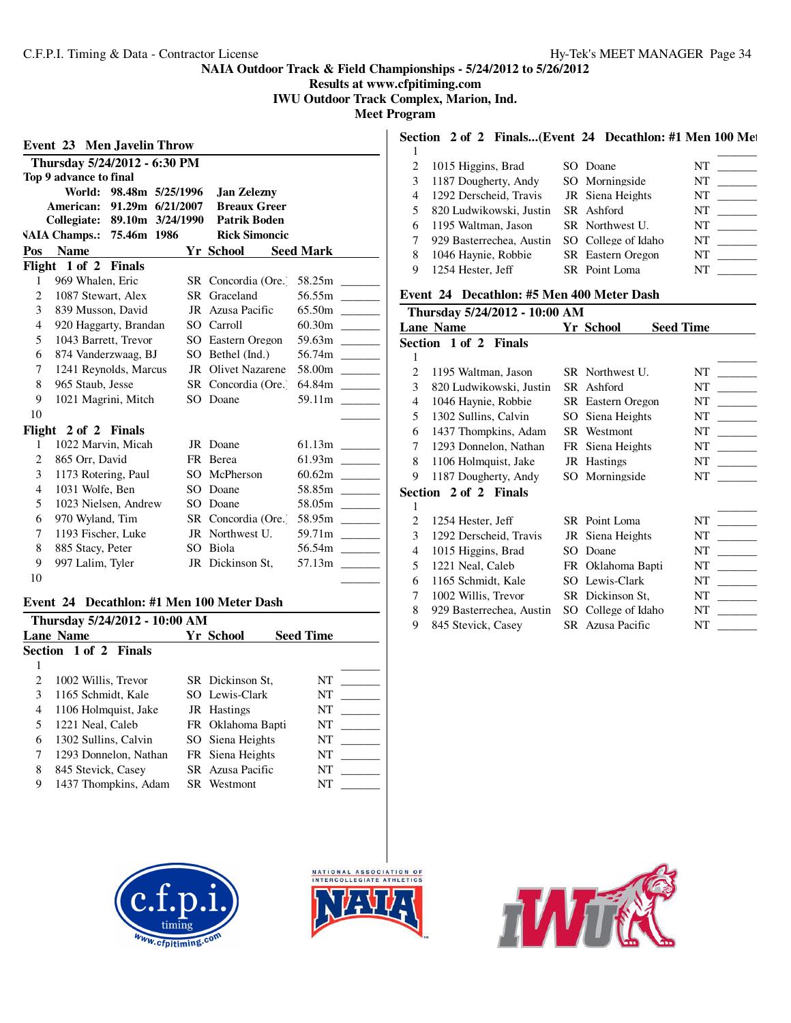**Results at www.cfpitiming.com IWU Outdoor Track Complex, Marion, Ind.**

**Meet Program**

|                |                                   |                 |                            |                  |                                   |                        | Section 2 of 2 Finals(Event 24 Decathlon: #1 Men 100 Met |                     |                                                                                                                                                                                                                                |                                                                              |
|----------------|-----------------------------------|-----------------|----------------------------|------------------|-----------------------------------|------------------------|----------------------------------------------------------|---------------------|--------------------------------------------------------------------------------------------------------------------------------------------------------------------------------------------------------------------------------|------------------------------------------------------------------------------|
|                | <b>Event 23 Men Javelin Throw</b> |                 |                            |                  |                                   |                        |                                                          |                     |                                                                                                                                                                                                                                |                                                                              |
|                | Thursday 5/24/2012 - 6:30 PM      |                 |                            |                  | 2                                 | 1015 Higgins, Brad     |                                                          | SO Doane            | <b>NT</b>                                                                                                                                                                                                                      |                                                                              |
|                | Top 9 advance to final            |                 |                            |                  | 3                                 | 1187 Dougherty, Andy   |                                                          | SO Morningside      | NT                                                                                                                                                                                                                             | $\frac{1}{2}$                                                                |
|                | World: 98.48m 5/25/1996           |                 | <b>Jan Zelezny</b>         |                  | 4                                 | 1292 Derscheid, Travis |                                                          | JR Siena Heights    |                                                                                                                                                                                                                                |                                                                              |
|                | American: 91.29m 6/21/2007        |                 | <b>Breaux Greer</b>        |                  | 5                                 |                        | 820 Ludwikowski, Justin                                  | SR Ashford          | NT                                                                                                                                                                                                                             |                                                                              |
|                | Collegiate: 89.10m 3/24/1990      |                 | <b>Patrik Boden</b>        |                  | 6                                 | 1195 Waltman, Jason    |                                                          | SR Northwest U.     |                                                                                                                                                                                                                                |                                                                              |
|                | VAIA Champs.: 75.46m 1986         |                 | <b>Rick Simoncic</b>       |                  |                                   |                        | 929 Basterrechea, Austin                                 | SO College of Idaho | NT                                                                                                                                                                                                                             | $\begin{array}{c} \begin{array}{c} \hline \end{array} \\ \hline \end{array}$ |
| Pos            | <b>Name</b>                       |                 | <b>Yr School</b>           | <b>Seed Mark</b> | 8                                 | 1046 Haynie, Robbie    |                                                          | SR Eastern Oregon   |                                                                                                                                                                                                                                |                                                                              |
|                | Flight 1 of 2 Finals              |                 |                            |                  | 9                                 | 1254 Hester, Jeff      |                                                          | SR Point Loma       | NT FOR THE STATE OF THE STATE OF THE STATE OF THE STATE OF THE STATE OF THE STATE OF THE STATE OF THE STATE OF THE STATE OF THE STATE OF THE STATE OF THE STATE OF THE STATE OF THE STATE OF THE STATE OF THE STATE OF THE STA |                                                                              |
|                | 969 Whalen, Eric                  |                 | SR Concordia (Ore.) 58.25m |                  |                                   |                        |                                                          |                     |                                                                                                                                                                                                                                |                                                                              |
| 2              | 1087 Stewart, Alex                |                 | SR Graceland               |                  |                                   |                        | Event 24 Decathlon: #5 Men 400 Meter Dash                |                     |                                                                                                                                                                                                                                |                                                                              |
| 3              | 839 Musson, David                 |                 | JR Azusa Pacific           |                  |                                   |                        | Thursday 5/24/2012 - 10:00 AM                            |                     |                                                                                                                                                                                                                                |                                                                              |
| 4              | 920 Haggarty, Brandan             |                 | SO Carroll                 |                  |                                   | Lane Name              |                                                          | Yr School           | <b>Seed Time</b>                                                                                                                                                                                                               |                                                                              |
| 5              | 1043 Barrett, Trevor              |                 | SO Eastern Oregon          |                  | 59.63m                            | Section 1 of 2 Finals  |                                                          |                     |                                                                                                                                                                                                                                |                                                                              |
| 6              | 874 Vanderzwaag, BJ               |                 | SO Bethel (Ind.)           |                  |                                   |                        |                                                          |                     |                                                                                                                                                                                                                                |                                                                              |
| 7              | 1241 Reynolds, Marcus             |                 | <b>JR</b> Olivet Nazarene  |                  | 58.00m<br>$\overline{c}$          | 1195 Waltman, Jason    |                                                          | SR Northwest U.     |                                                                                                                                                                                                                                |                                                                              |
| 8              | 965 Staub, Jesse                  |                 | SR Concordia (Ore.)        |                  | 3                                 |                        | 820 Ludwikowski, Justin                                  | SR Ashford          |                                                                                                                                                                                                                                |                                                                              |
| 9              | 1021 Magrini, Mitch               | SO <sub>2</sub> | Doane                      |                  | 4                                 | 1046 Haynie, Robbie    |                                                          | SR Eastern Oregon   | NT                                                                                                                                                                                                                             | $\frac{1}{2}$                                                                |
| 10             |                                   |                 |                            |                  | 5                                 | 1302 Sullins, Calvin   |                                                          | SO Siena Heights    |                                                                                                                                                                                                                                |                                                                              |
|                | Flight 2 of 2 Finals              |                 |                            |                  | 6                                 |                        | 1437 Thompkins, Adam                                     | SR Westmont         | NT                                                                                                                                                                                                                             | $\frac{1}{1}$                                                                |
|                | 1022 Marvin, Micah                |                 | JR Doane                   |                  | 7                                 | 1293 Donnelon, Nathan  |                                                          | FR Siena Heights    |                                                                                                                                                                                                                                |                                                                              |
| 2              | 865 Orr, David                    |                 | FR Berea                   |                  | 8                                 | 1106 Holmquist, Jake   |                                                          | JR Hastings         |                                                                                                                                                                                                                                |                                                                              |
| 3              | 1173 Rotering, Paul               | SO.             | McPherson                  |                  | 9                                 | 1187 Dougherty, Andy   |                                                          | SO Morningside      | NT NT                                                                                                                                                                                                                          |                                                                              |
| $\overline{4}$ | 1031 Wolfe, Ben                   |                 | SO Doane                   |                  |                                   | Section 2 of 2 Finals  |                                                          |                     |                                                                                                                                                                                                                                |                                                                              |
| 5              | 1023 Nielsen, Andrew              | SO.             | Doane                      |                  | 58.05m<br>1                       |                        |                                                          |                     |                                                                                                                                                                                                                                |                                                                              |
| 6              | 970 Wyland, Tim                   |                 | SR Concordia (Ore.)        |                  | 58.95m<br>2                       | 1254 Hester, Jeff      |                                                          | SR Point Loma       | NT FOR THE STATE OF THE STATE OF THE STATE OF THE STATE OF THE STATE OF THE STATE OF THE STATE OF THE STATE OF THE STATE OF THE STATE OF THE STATE OF THE STATE OF THE STATE OF THE STATE OF THE STATE OF THE STATE OF THE STA |                                                                              |
| 7              | 1193 Fischer, Luke                |                 | JR Northwest U.            |                  | 59.71m<br>3                       | 1292 Derscheid, Travis |                                                          | JR Siena Heights    | <b>NT</b>                                                                                                                                                                                                                      | $\frac{1}{2}$                                                                |
| 8              | 885 Stacy, Peter                  | SO <sub>2</sub> | Biola                      |                  | 4                                 | 1015 Higgins, Brad     |                                                          | SO Doane            | NT                                                                                                                                                                                                                             |                                                                              |
| 9              | 997 Lalim, Tyler                  |                 | JR Dickinson St,           |                  | 57.13m<br>$\overline{\mathbf{5}}$ | 1221 Neal, Caleb       |                                                          | FR Oklahoma Bapti   | NT                                                                                                                                                                                                                             |                                                                              |
| 10             |                                   |                 |                            |                  | 6                                 | 1165 Schmidt, Kale     |                                                          | SO Lewis-Clark      | NT                                                                                                                                                                                                                             |                                                                              |

#### **Event 24 Decathlon: #1 Men 100 Meter Dash**

| Thursday 5/24/2012 - 10:00 AM |                                                   |  |                   |    |  |  |  |  |
|-------------------------------|---------------------------------------------------|--|-------------------|----|--|--|--|--|
|                               | <b>Seed Time</b><br>Yr School<br><b>Lane Name</b> |  |                   |    |  |  |  |  |
|                               | <b>Section 1 of 2 Finals</b>                      |  |                   |    |  |  |  |  |
|                               |                                                   |  |                   |    |  |  |  |  |
|                               | 1002 Willis, Trevor                               |  | SR Dickinson St.  | NT |  |  |  |  |
| 3                             | 1165 Schmidt, Kale                                |  | SO Lewis-Clark    | NT |  |  |  |  |
| 4                             | 1106 Holmquist, Jake                              |  | JR Hastings       | NT |  |  |  |  |
| 5                             | 1221 Neal, Caleb                                  |  | FR Oklahoma Bapti | NT |  |  |  |  |
| 6                             | 1302 Sullins, Calvin                              |  | SO Siena Heights  | NT |  |  |  |  |
|                               | 1293 Donnelon, Nathan                             |  | FR Siena Heights  | NT |  |  |  |  |
| 8                             | 845 Stevick, Casey                                |  | SR Azusa Pacific  | NT |  |  |  |  |
| 9                             | 1437 Thompkins, Adam                              |  | SR Westmont       | NT |  |  |  |  |





# 水成

| 3 1187 Dougherty, Andy   | SO Morningside   | NT |  |
|--------------------------|------------------|----|--|
| 4 1292 Derscheid, Travis | JR Siena Heights | NT |  |

| 5 820 Ludwikowski, Justin SR Ashford           |                          | NT  |
|------------------------------------------------|--------------------------|-----|
| 6 1195 Waltman, Jason                          | SR Northwest U.          | NT  |
| 7 929 Basterrechea, Austin SO College of Idaho |                          | NT. |
| 8 1046 Haynie, Robbie                          | <b>SR</b> Eastern Oregon | NT. |
| 9 1254 Hester, Jeff                            | SR Point Loma            | NT  |

#### **Event 24 Decathlon: #5 Men 400 Meter Dash**

| Thursday 5/24/2012 - 10:00 AM |                          |     |                          |                  |  |  |  |  |
|-------------------------------|--------------------------|-----|--------------------------|------------------|--|--|--|--|
|                               | <b>Lane Name</b>         |     | Yr School                | <b>Seed Time</b> |  |  |  |  |
|                               | Section 1 of 2 Finals    |     |                          |                  |  |  |  |  |
| 1                             |                          |     |                          |                  |  |  |  |  |
| 2                             | 1195 Waltman, Jason      |     | SR Northwest U.          | NT               |  |  |  |  |
| 3                             | 820 Ludwikowski, Justin  | SR. | Ashford                  | NT               |  |  |  |  |
| 4                             | 1046 Haynie, Robbie      |     | <b>SR</b> Eastern Oregon | NT               |  |  |  |  |
| 5                             | 1302 Sullins, Calvin     | SO. | Siena Heights            | NT               |  |  |  |  |
| 6                             | 1437 Thompkins, Adam     |     | SR Westmont              | NT               |  |  |  |  |
| 7                             | 1293 Donnelon, Nathan    |     | FR Siena Heights         | NT               |  |  |  |  |
| 8                             | 1106 Holmquist, Jake     |     | JR Hastings              | NT               |  |  |  |  |
| 9                             | 1187 Dougherty, Andy     |     | SO Morningside           | NT               |  |  |  |  |
|                               | Section 2 of 2 Finals    |     |                          |                  |  |  |  |  |
| 1                             |                          |     |                          |                  |  |  |  |  |
| $\overline{c}$                | 1254 Hester, Jeff        |     | SR Point Loma            | NT               |  |  |  |  |
| 3                             | 1292 Derscheid, Travis   |     | JR Siena Heights         | NT               |  |  |  |  |
| 4                             | 1015 Higgins, Brad       | SО  | Doane                    | <b>NT</b>        |  |  |  |  |
| 5                             | 1221 Neal, Caleb         |     | FR Oklahoma Bapti        | NT               |  |  |  |  |
| 6                             | 1165 Schmidt, Kale       | SO. | Lewis-Clark              | <b>NT</b>        |  |  |  |  |
| 7                             | 1002 Willis, Trevor      |     | SR Dickinson St,         | NT               |  |  |  |  |
| 8                             | 929 Basterrechea, Austin |     | SO College of Idaho      | NT               |  |  |  |  |
| 9                             | 845 Stevick, Casey       |     | SR Azusa Pacific         | NT               |  |  |  |  |
|                               |                          |     |                          |                  |  |  |  |  |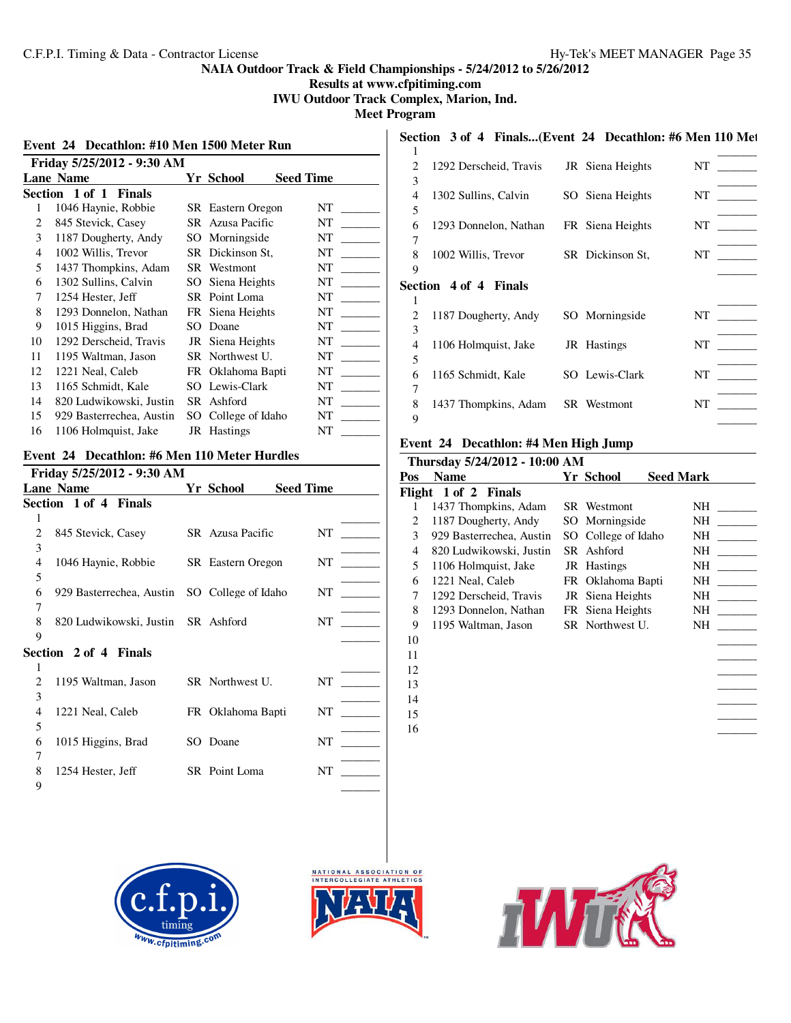**Results at www.cfpitiming.com**

**IWU Outdoor Track Complex, Marion, Ind.**

**Meet Program**

|    | Event 24 Decathlon: #10 Men 1500 Meter Run |  |                          |                                               |        |                        | Section 3 of 4 Finals(Event 24 Decathlon: #6 Men 110 Met |                      |
|----|--------------------------------------------|--|--------------------------|-----------------------------------------------|--------|------------------------|----------------------------------------------------------|----------------------|
|    | Friday 5/25/2012 - 9:30 AM                 |  |                          |                                               |        | 1292 Derscheid, Travis | JR Siena Heights                                         | NT                   |
|    | <b>Lane Name</b>                           |  | <b>Yr School</b>         | <b>Seed Time</b>                              | 3      |                        |                                                          |                      |
|    | Section 1 of 1 Finals                      |  |                          |                                               | 4      | 1302 Sullins, Calvin   | SO Siena Heights                                         | NT                   |
|    | 1046 Haynie, Robbie                        |  | <b>SR</b> Eastern Oregon | NT                                            | 5      |                        |                                                          |                      |
| 2  | 845 Stevick, Casey                         |  | SR Azusa Pacific         | NT                                            | 6      | 1293 Donnelon, Nathan  | FR Siena Heights                                         | NT                   |
| 3  | 1187 Dougherty, Andy                       |  | SO Morningside           | NT                                            | $\tau$ |                        |                                                          |                      |
| 4  | 1002 Willis, Trevor                        |  | SR Dickinson St,         | NT<br>$\mathcal{L}^{\text{max}}_{\text{max}}$ |        | 1002 Willis, Trevor    | SR Dickinson St.                                         | $\sim 10^{11}$<br>NT |
| 5  | 1437 Thompkins, Adam                       |  | SR Westmont              | NT                                            | 9      |                        |                                                          |                      |
| 6  | 1302 Sullins, Calvin                       |  | SO Siena Heights         | NT<br>$\sim$ 100 $\mu$                        |        | Section 4 of 4 Finals  |                                                          |                      |
|    | 1254 Hester, Jeff                          |  | SR Point Loma            | NT                                            |        |                        |                                                          |                      |
| 8  | 1293 Donnelon, Nathan                      |  | FR Siena Heights         | NT                                            |        | 1187 Dougherty, Andy   | SO Morningside                                           | NT                   |
| 9  | 1015 Higgins, Brad                         |  | SO Doane                 | NT                                            | 3      |                        |                                                          |                      |
| 10 | 1292 Derscheid, Travis                     |  | JR Siena Heights         | NT                                            | 4      | 1106 Holmquist, Jake   | JR Hastings                                              | NT                   |
| 11 | 1195 Waltman, Jason                        |  | SR Northwest U.          | NT                                            | 5      |                        |                                                          |                      |
| 12 | 1221 Neal, Caleb                           |  | FR Oklahoma Bapti        | NT                                            | 6      | 1165 Schmidt, Kale     | SO Lewis-Clark                                           | <b>NT</b>            |
| 13 | 1165 Schmidt, Kale                         |  | SO Lewis-Clark           | NT                                            | 7      |                        |                                                          |                      |
| 14 | 820 Ludwikowski, Justin                    |  | SR Ashford               | NT                                            | 8      | 1437 Thompkins, Adam   | SR Westmont                                              | NT                   |
| 15 | 929 Basterrechea, Austin                   |  | SO College of Idaho      | NT                                            | 9      |                        |                                                          |                      |
| 16 | 1106 Holmquist, Jake                       |  | JR Hastings              | NT                                            |        |                        |                                                          |                      |

#### **Event 24 Decathlon: #6 Men 110 Meter Hurdles**

| Friday 5/25/2012 - 9:30 AM |                                              |  |                   |                  |  |  |  |  |
|----------------------------|----------------------------------------------|--|-------------------|------------------|--|--|--|--|
|                            | <b>Lane Name</b>                             |  | Yr School         | <b>Seed Time</b> |  |  |  |  |
|                            | Section 1 of 4 Finals                        |  |                   |                  |  |  |  |  |
| 1                          |                                              |  |                   |                  |  |  |  |  |
| $\overline{c}$             | 845 Stevick, Casey                           |  | SR Azusa Pacific  | NT               |  |  |  |  |
| 3                          |                                              |  |                   |                  |  |  |  |  |
| 4                          | 1046 Haynie, Robbie                          |  | SR Eastern Oregon | NT               |  |  |  |  |
| 5                          |                                              |  |                   |                  |  |  |  |  |
| 6                          | 929 Basterrechea, Austin SO College of Idaho |  |                   | NT               |  |  |  |  |
| 7                          |                                              |  |                   |                  |  |  |  |  |
| 8                          | 820 Ludwikowski, Justin SR Ashford           |  |                   | NT               |  |  |  |  |
| 9                          |                                              |  |                   |                  |  |  |  |  |
|                            | Section 2 of 4 Finals                        |  |                   |                  |  |  |  |  |
|                            |                                              |  |                   |                  |  |  |  |  |
| 2                          | 1195 Waltman, Jason                          |  | SR Northwest U.   | NT               |  |  |  |  |
| 3                          |                                              |  |                   |                  |  |  |  |  |
| 4                          | 1221 Neal, Caleb                             |  | FR Oklahoma Bapti | NT               |  |  |  |  |
| 5                          |                                              |  |                   |                  |  |  |  |  |
| 6                          | 1015 Higgins, Brad                           |  | SO Doane          | NT               |  |  |  |  |
| 7                          |                                              |  |                   |                  |  |  |  |  |
| 8                          | 1254 Hester, Jeff                            |  | SR Point Loma     | NT               |  |  |  |  |
| 9                          |                                              |  |                   |                  |  |  |  |  |

## $\overline{\phantom{a}}$   $\overline{\phantom{a}}$   $\overline{\phantom{a}}$   $\overline{\phantom{a}}$   $\overline{\phantom{a}}$   $\overline{\phantom{a}}$   $\overline{\phantom{a}}$   $\overline{\phantom{a}}$   $\overline{\phantom{a}}$   $\overline{\phantom{a}}$   $\overline{\phantom{a}}$   $\overline{\phantom{a}}$   $\overline{\phantom{a}}$   $\overline{\phantom{a}}$   $\overline{\phantom{a}}$   $\overline{\phantom{a}}$   $\overline{\phantom{a}}$   $\overline{\phantom{a}}$  1292 Derscheid, Travis JR Siena Heights NT \_\_\_\_\_\_\_\_\_  $\overline{\phantom{a}1}$ 4 1302 Sullins, Calvin SO Siena Heights NT \_\_\_\_\_\_\_  $\qquad \qquad \overline{\qquad \qquad }$ 6 1293 Donnelon, Nathan FR Siena Heights NT \_\_\_\_\_\_\_\_\_ 8 1002 Willis, Trevor SR Dickinson St, NT \_  $\overline{\phantom{a}1}$ **Section 4 of 4 Finals**  $\overline{\phantom{a}}$   $\overline{\phantom{a}}$   $\overline{\phantom{a}}$   $\overline{\phantom{a}}$   $\overline{\phantom{a}}$   $\overline{\phantom{a}}$   $\overline{\phantom{a}}$   $\overline{\phantom{a}}$   $\overline{\phantom{a}}$   $\overline{\phantom{a}}$   $\overline{\phantom{a}}$   $\overline{\phantom{a}}$   $\overline{\phantom{a}}$   $\overline{\phantom{a}}$   $\overline{\phantom{a}}$   $\overline{\phantom{a}}$   $\overline{\phantom{a}}$   $\overline{\phantom{a}}$  2 1187 Dougherty, Andy SO Morningside NT \_  $\overline{\phantom{a}1}$ 4 1106 Holmquist, Jake JR Hastings NT \_ 1165 Schmidt, Kale SO Lewis-Clark NT \_\_\_\_\_\_\_\_\_ \_\_\_\_\_\_\_\_\_ 8 1437 Thompkins, Adam SR Westmont NT \_\_\_\_\_\_\_\_\_

#### **Event 24 Decathlon: #4 Men High Jump**

|     | Thursday 5/24/2012 - 10:00 AM |                     |                  |     |
|-----|-------------------------------|---------------------|------------------|-----|
| Pos | <b>Name</b>                   | Yr School           | <b>Seed Mark</b> |     |
|     | Flight 1 of 2 Finals          |                     |                  |     |
| 1   | 1437 Thompkins, Adam          | <b>SR</b> Westmont  |                  | NH  |
| 2   | 1187 Dougherty, Andy          | SO Morningside      |                  | NH  |
| 3   | 929 Basterrechea, Austin      | SO College of Idaho |                  | NH  |
| 4   | 820 Ludwikowski, Justin       | SR Ashford          |                  | NH  |
| 5   | 1106 Holmquist, Jake          | JR Hastings         |                  | NH. |
| 6   | 1221 Neal, Caleb              | FR Oklahoma Bapti   |                  | NH  |
| 7   | 1292 Derscheid, Travis        | JR Siena Heights    |                  | NH  |
| 8   | 1293 Donnelon, Nathan         | FR Siena Heights    |                  | NH  |
| 9   | 1195 Waltman, Jason           | SR Northwest U.     |                  | NH  |
| 10  |                               |                     |                  |     |
| 11  |                               |                     |                  |     |
| 12  |                               |                     |                  |     |
| 13  |                               |                     |                  |     |
| 14  |                               |                     |                  |     |
| 15  |                               |                     |                  |     |





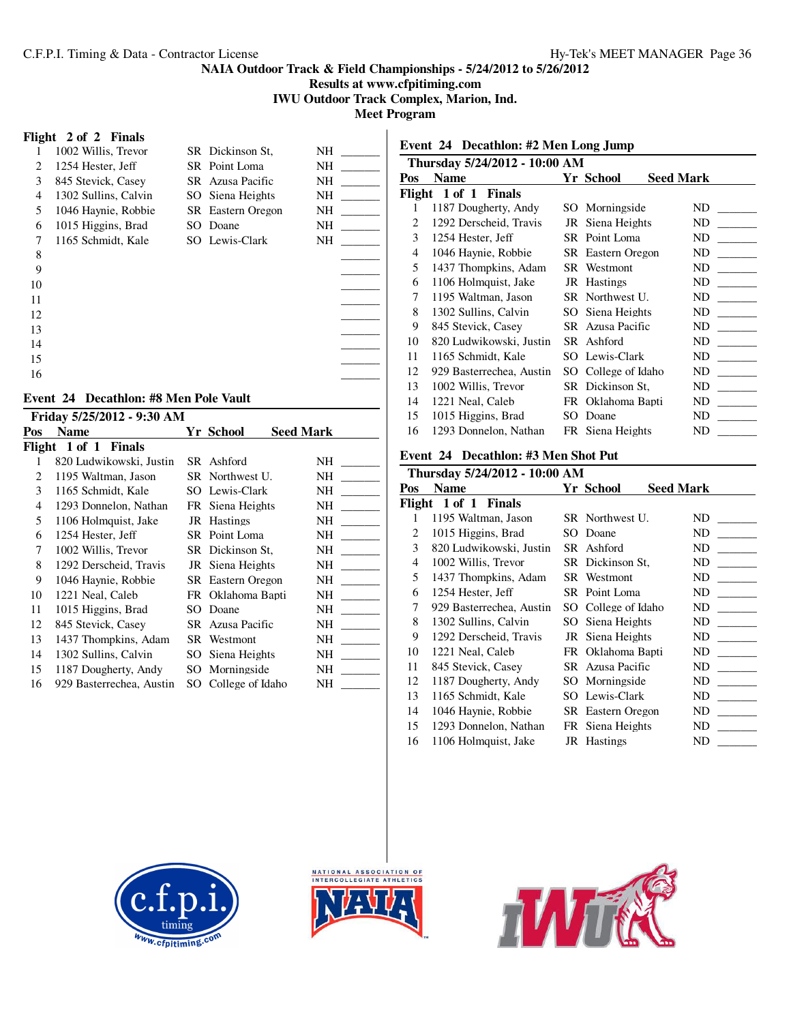**Results at www.cfpitiming.com**

**IWU Outdoor Track Complex, Marion, Ind.**

**Meet Program**

#### **Flight 2 of 2 Finals**

| 1  | 1002 Willis, Trevor  | SR Dickinson St.         | NΗ |
|----|----------------------|--------------------------|----|
| 2  | 1254 Hester, Jeff    | SR Point Loma            | NΗ |
| 3  | 845 Stevick, Casey   | SR Azusa Pacific         | NH |
| 4  | 1302 Sullins, Calvin | SO Siena Heights         | NΗ |
| 5  | 1046 Haynie, Robbie  | <b>SR</b> Eastern Oregon | NΗ |
| 6  | 1015 Higgins, Brad   | SO Doane                 | NH |
| 7  | 1165 Schmidt, Kale   | SO Lewis-Clark           | NΗ |
| 8  |                      |                          |    |
| 9  |                      |                          |    |
| 10 |                      |                          |    |
| 11 |                      |                          |    |
| 12 |                      |                          |    |
| 13 |                      |                          |    |
| 14 |                      |                          |    |
| 15 |                      |                          |    |
| 16 |                      |                          |    |

# **Event 24 Decathlon: #8 Men Pole Vault**

|        | Friday 5/25/2012 - 9:30 AM |     |                          |                  |  |  |  |  |  |
|--------|----------------------------|-----|--------------------------|------------------|--|--|--|--|--|
| Pos    | <b>Name</b>                |     | Yr School                | <b>Seed Mark</b> |  |  |  |  |  |
| Flight | 1 of 1 Finals              |     |                          |                  |  |  |  |  |  |
|        | 820 Ludwikowski, Justin    |     | SR Ashford               | NH               |  |  |  |  |  |
| 2      | 1195 Waltman, Jason        |     | SR Northwest U.          | NH               |  |  |  |  |  |
| 3      | 1165 Schmidt, Kale         |     | SO Lewis-Clark           | NH               |  |  |  |  |  |
| 4      | 1293 Donnelon, Nathan      |     | FR Siena Heights         | NH               |  |  |  |  |  |
| 5      | 1106 Holmquist, Jake       |     | JR Hastings              | NH               |  |  |  |  |  |
| 6      | 1254 Hester, Jeff          |     | SR Point Loma            | NH               |  |  |  |  |  |
| 7      | 1002 Willis, Trevor        |     | SR Dickinson St.         | NΗ               |  |  |  |  |  |
| 8      | 1292 Derscheid, Travis     |     | JR Siena Heights         | NΗ               |  |  |  |  |  |
| 9      | 1046 Haynie, Robbie        |     | <b>SR</b> Eastern Oregon | NΗ               |  |  |  |  |  |
| 10     | 1221 Neal, Caleb           |     | FR Oklahoma Bapti        | NΗ               |  |  |  |  |  |
| 11     | 1015 Higgins, Brad         | SO. | Doane                    | NΗ               |  |  |  |  |  |
| 12     | 845 Stevick, Casey         |     | SR Azusa Pacific         | NH               |  |  |  |  |  |
| 13     | 1437 Thompkins, Adam       |     | SR Westmont              | <b>NH</b>        |  |  |  |  |  |
| 14     | 1302 Sullins, Calvin       | SO. | Siena Heights            | NΗ               |  |  |  |  |  |
| 15     | 1187 Dougherty, Andy       |     | SO Morningside           | NH               |  |  |  |  |  |
| 16     | 929 Basterrechea, Austin   | SO. | College of Idaho         | NΗ               |  |  |  |  |  |
|        |                            |     |                          |                  |  |  |  |  |  |

# **Event 24 Decathlon: #2 Men Long Jump**

|                         | Thursday 5/24/2012 - 10:00 AM |     |                          |                  |  |  |  |  |  |
|-------------------------|-------------------------------|-----|--------------------------|------------------|--|--|--|--|--|
| Pos                     | <b>Name</b>                   |     | Yr School                | <b>Seed Mark</b> |  |  |  |  |  |
| 1 of 1 Finals<br>Flight |                               |     |                          |                  |  |  |  |  |  |
| 1                       | 1187 Dougherty, Andy          |     | SO Morningside           | ND               |  |  |  |  |  |
| 2                       | 1292 Derscheid, Travis        |     | JR Siena Heights         | ND               |  |  |  |  |  |
| 3                       | 1254 Hester, Jeff             |     | SR Point Loma            | ND               |  |  |  |  |  |
| 4                       | 1046 Haynie, Robbie           |     | <b>SR</b> Eastern Oregon | ND               |  |  |  |  |  |
| 5                       | 1437 Thompkins, Adam          |     | SR Westmont              | ND               |  |  |  |  |  |
| 6                       | 1106 Holmquist, Jake          |     | JR Hastings              | ND               |  |  |  |  |  |
| 7                       | 1195 Waltman, Jason           |     | SR Northwest U.          | ND               |  |  |  |  |  |
| 8                       | 1302 Sullins, Calvin          |     | SO Siena Heights         | ND               |  |  |  |  |  |
| 9                       | 845 Stevick, Casey            |     | SR Azusa Pacific         | ND               |  |  |  |  |  |
| 10                      | 820 Ludwikowski, Justin       |     | SR Ashford               | ND               |  |  |  |  |  |
| 11                      | 1165 Schmidt, Kale            |     | SO Lewis-Clark           | ND               |  |  |  |  |  |
| 12                      | 929 Basterrechea, Austin      |     | SO College of Idaho      | ND               |  |  |  |  |  |
| 13                      | 1002 Willis, Trevor           |     | SR Dickinson St.         | ND               |  |  |  |  |  |
| 14                      | 1221 Neal, Caleb              |     | FR Oklahoma Bapti        | ND               |  |  |  |  |  |
| 15                      | 1015 Higgins, Brad            | SO. | Doane                    | ND               |  |  |  |  |  |
| 16                      | 1293 Donnelon, Nathan         |     | FR Siena Heights         | ND               |  |  |  |  |  |

# **Event 24 Decathlon: #3 Men Shot Put**

| Thursday 5/24/2012 - 10:00 AM |                          |  |                     |                  |
|-------------------------------|--------------------------|--|---------------------|------------------|
| Pos                           | <b>Name</b>              |  | Yr School           | <b>Seed Mark</b> |
|                               | Flight 1 of 1 Finals     |  |                     |                  |
| 1                             | 1195 Waltman, Jason      |  | SR Northwest U.     | ND               |
| 2                             | 1015 Higgins, Brad       |  | SO Doane            | ND               |
| 3                             | 820 Ludwikowski, Justin  |  | SR Ashford          | ND               |
| 4                             | 1002 Willis, Trevor      |  | SR Dickinson St,    | ND               |
| 5                             | 1437 Thompkins, Adam     |  | SR Westmont         | ND               |
| 6                             | 1254 Hester, Jeff        |  | SR Point Loma       | ND               |
| 7                             | 929 Basterrechea, Austin |  | SO College of Idaho | ND               |
| 8                             | 1302 Sullins, Calvin     |  | SO Siena Heights    | ND               |
| 9                             | 1292 Derscheid, Travis   |  | JR Siena Heights    | ND               |
| 10                            | 1221 Neal, Caleb         |  | FR Oklahoma Bapti   | ND               |
| 11                            | 845 Stevick, Casey       |  | SR Azusa Pacific    | ND               |
| 12                            | 1187 Dougherty, Andy     |  | SO Morningside      | ND               |
| 13                            | 1165 Schmidt, Kale       |  | SO Lewis-Clark      | ND               |
| 14                            | 1046 Haynie, Robbie      |  | SR Eastern Oregon   | ND               |
| 15                            | 1293 Donnelon, Nathan    |  | FR Siena Heights    | ND               |
| 16                            | 1106 Holmquist, Jake     |  | JR Hastings         | ND               |